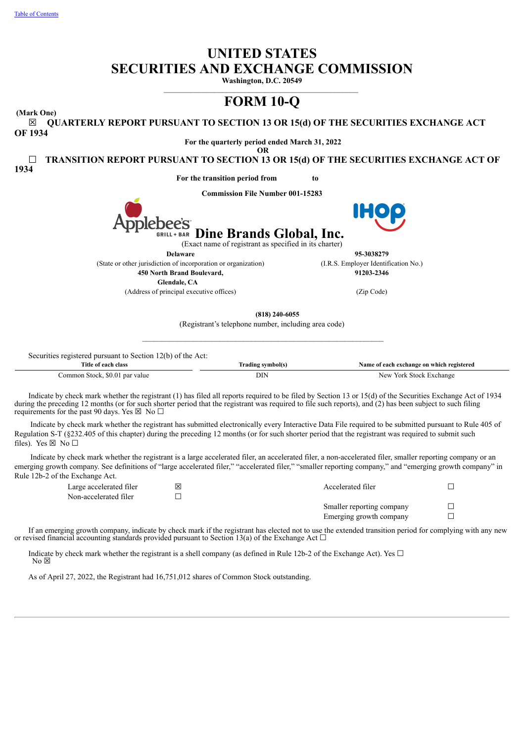# **UNITED STATES SECURITIES AND EXCHANGE COMMISSION**

**Washington, D.C. 20549**  $\mathcal{L}_\text{max} = \frac{1}{2} \sum_{i=1}^n \mathcal{L}_\text{max}(\mathbf{z}_i - \mathbf{z}_i)$ 

# **FORM 10-Q**

**(Mark One)**

☒ **QUARTERLY REPORT PURSUANT TO SECTION 13 OR 15(d) OF THE SECURITIES EXCHANGE ACT OF 1934**

> **For the quarterly period ended March 31, 2022 OR**

☐ **TRANSITION REPORT PURSUANT TO SECTION 13 OR 15(d) OF THE SECURITIES EXCHANGE ACT OF 1934**

**For the transition period from to**

**Commission File Number 001-15283**



(Exact name of registrant as specified in its charter)

(State or other jurisdiction of incorporation or organization) (I.R.S. Employer Identification No.) **450 North Brand Boulevard, 91203-2346 Glendale, CA** (Address of principal executive offices) (Zip Code)

**Delaware 95-3038279**

**(818) 240-6055**

(Registrant's telephone number, including area code)

| Securities registered pursuant to Section 12(b) of the Act: |                   |                                           |
|-------------------------------------------------------------|-------------------|-------------------------------------------|
| Title of each class                                         | Trading symbol(s) | Name of each exchange on which registered |
| Common Stock, \$0.01 par value                              | DIN               | New York Stock Exchange                   |

Indicate by check mark whether the registrant (1) has filed all reports required to be filed by Section 13 or 15(d) of the Securities Exchange Act of 1934 during the preceding 12 months (or for such shorter period that the registrant was required to file such reports), and (2) has been subject to such filing requirements for the past 90 days. Yes  $\boxtimes$  No  $\Box$ 

Indicate by check mark whether the registrant has submitted electronically every Interactive Data File required to be submitted pursuant to Rule 405 of Regulation S-T (§232.405 of this chapter) during the preceding 12 months (or for such shorter period that the registrant was required to submit such files). Yes  $\boxtimes$  No  $\square$ 

Indicate by check mark whether the registrant is a large accelerated filer, an accelerated filer, a non-accelerated filer, smaller reporting company or an emerging growth company. See definitions of "large accelerated filer," "accelerated filer," "smaller reporting company," and "emerging growth company" in Rule 12b-2 of the Exchange Act.

Large accelerated filer  $\boxtimes$ Non-accelerated filer □

| Accelerated filer         |  |
|---------------------------|--|
| Smaller reporting company |  |
| Emerging growth company   |  |

If an emerging growth company, indicate by check mark if the registrant has elected not to use the extended transition period for complying with any new or revised financial accounting standards provided pursuant to Section 13(a) of the Exchange Act  $\Box$ 

Indicate by check mark whether the registrant is a shell company (as defined in Rule 12b-2 of the Exchange Act). Yes  $\Box$  $No \boxtimes$ 

<span id="page-0-0"></span>As of April 27, 2022, the Registrant had 16,751,012 shares of Common Stock outstanding.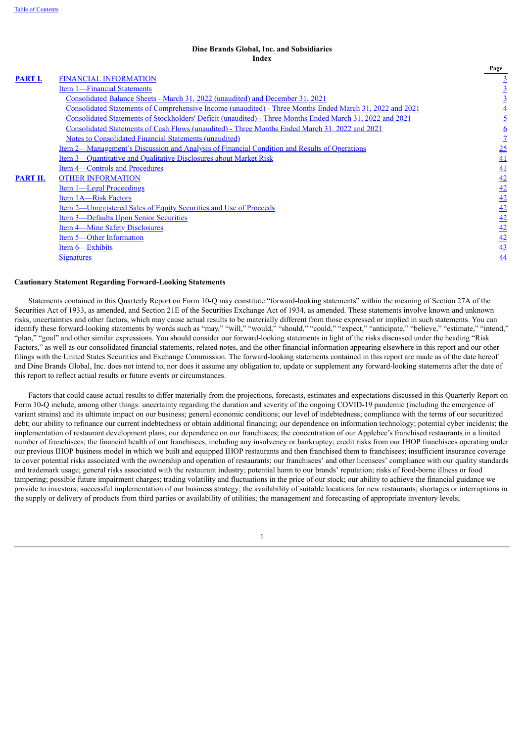### **Dine Brands Global, Inc. and Subsidiaries Index**

|          |                                                                                                           | .         |
|----------|-----------------------------------------------------------------------------------------------------------|-----------|
| PART I.  | <b>FINANCIAL INFORMATION</b>                                                                              |           |
|          | Item 1—Financial Statements                                                                               |           |
|          | Consolidated Balance Sheets - March 31, 2022 (unaudited) and December 31, 2021                            |           |
|          | Consolidated Statements of Comprehensive Income (unaudited) - Three Months Ended March 31, 2022 and 2021  |           |
|          | Consolidated Statements of Stockholders' Deficit (unaudited) - Three Months Ended March 31, 2022 and 2021 |           |
|          | Consolidated Statements of Cash Flows (unaudited) - Three Months Ended March 31, 2022 and 2021            |           |
|          | <b>Notes to Consolidated Financial Statements (unaudited)</b>                                             |           |
|          | <u>Item 2—Management's Discussion and Analysis of Financial Condition and Results of Operations</u>       | <u>25</u> |
|          | <u>Item 3—Quantitative and Qualitative Disclosures about Market Risk</u>                                  | 41        |
|          | Item 4—Controls and Procedures                                                                            | 41        |
| PART II. | <b>OTHER INFORMATION</b>                                                                                  | 42        |
|          | Item 1—Legal Proceedings                                                                                  | 42        |
|          | Item 1A—Risk Factors                                                                                      | 42        |
|          | <u>Item 2—Unregistered Sales of Equity Securities and Use of Proceeds</u>                                 | 42        |
|          | Item 3-Defaults Upon Senior Securities                                                                    | 42        |
|          | Item 4—Mine Safety Disclosures                                                                            | 42        |
|          | Item 5—Other Information                                                                                  | 42        |
|          | Item 6—Exhibits                                                                                           | 43        |
|          | <b>Signatures</b>                                                                                         | 44        |

#### **Cautionary Statement Regarding Forward-Looking Statements**

Statements contained in this Quarterly Report on Form 10-Q may constitute "forward-looking statements" within the meaning of Section 27A of the Securities Act of 1933, as amended, and Section 21E of the Securities Exchange Act of 1934, as amended. These statements involve known and unknown risks, uncertainties and other factors, which may cause actual results to be materially different from those expressed or implied in such statements. You can identify these forward-looking statements by words such as "may," "will," "would," "should," "expect," "anticipate," "believe," "estimate," "intend," "plan," "goal" and other similar expressions. You should consider our forward-looking statements in light of the risks discussed under the heading "Risk Factors," as well as our consolidated financial statements, related notes, and the other financial information appearing elsewhere in this report and our other filings with the United States Securities and Exchange Commission. The forward-looking statements contained in this report are made as of the date hereof and Dine Brands Global, Inc. does not intend to, nor does it assume any obligation to, update or supplement any forward-looking statements after the date of this report to reflect actual results or future events or circumstances.

Factors that could cause actual results to differ materially from the projections, forecasts, estimates and expectations discussed in this Quarterly Report on Form 10-Q include, among other things: uncertainty regarding the duration and severity of the ongoing COVID-19 pandemic (including the emergence of variant strains) and its ultimate impact on our business; general economic conditions; our level of indebtedness; compliance with the terms of our securitized debt; our ability to refinance our current indebtedness or obtain additional financing; our dependence on information technology; potential cyber incidents; the implementation of restaurant development plans; our dependence on our franchisees; the concentration of our Applebee's franchised restaurants in a limited number of franchisees; the financial health of our franchisees, including any insolvency or bankruptcy; credit risks from our IHOP franchisees operating under our previous IHOP business model in which we built and equipped IHOP restaurants and then franchised them to franchisees; insufficient insurance coverage to cover potential risks associated with the ownership and operation of restaurants; our franchisees' and other licensees' compliance with our quality standards and trademark usage; general risks associated with the restaurant industry; potential harm to our brands' reputation; risks of food-borne illness or food tampering; possible future impairment charges; trading volatility and fluctuations in the price of our stock; our ability to achieve the financial guidance we provide to investors; successful implementation of our business strategy; the availability of suitable locations for new restaurants; shortages or interruptions in the supply or delivery of products from third parties or availability of utilities; the management and forecasting of appropriate inventory levels;

**Page**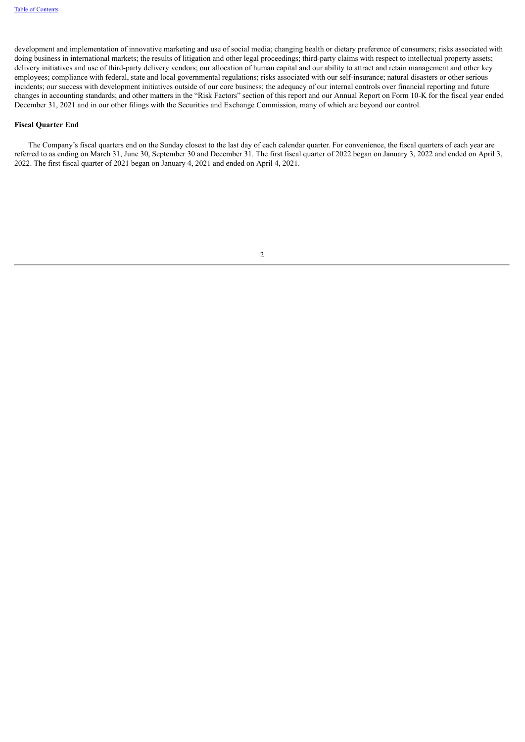development and implementation of innovative marketing and use of social media; changing health or dietary preference of consumers; risks associated with doing business in international markets; the results of litigation and other legal proceedings; third-party claims with respect to intellectual property assets; delivery initiatives and use of third-party delivery vendors; our allocation of human capital and our ability to attract and retain management and other key employees; compliance with federal, state and local governmental regulations; risks associated with our self-insurance; natural disasters or other serious incidents; our success with development initiatives outside of our core business; the adequacy of our internal controls over financial reporting and future changes in accounting standards; and other matters in the "Risk Factors" section of this report and our Annual Report on Form 10-K for the fiscal year ended December 31, 2021 and in our other filings with the Securities and Exchange Commission, many of which are beyond our control.

### **Fiscal Quarter End**

<span id="page-2-0"></span>The Company's fiscal quarters end on the Sunday closest to the last day of each calendar quarter. For convenience, the fiscal quarters of each year are referred to as ending on March 31, June 30, September 30 and December 31. The first fiscal quarter of 2022 began on January 3, 2022 and ended on April 3, 2022. The first fiscal quarter of 2021 began on January 4, 2021 and ended on April 4, 2021.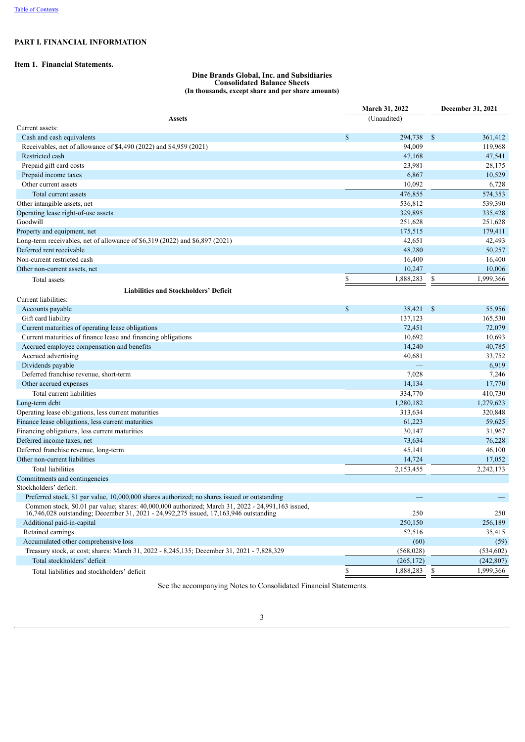# **PART I. FINANCIAL INFORMATION**

# <span id="page-3-1"></span><span id="page-3-0"></span>**Item 1. Financial Statements.**

#### **Dine Brands Global, Inc. and Subsidiaries Consolidated Balance Sheets (In thousands, except share and per share amounts)**

|                                                                                                    | <b>March 31, 2022</b> |               | <b>December 31, 2021</b> |
|----------------------------------------------------------------------------------------------------|-----------------------|---------------|--------------------------|
| <b>Assets</b>                                                                                      | (Unaudited)           |               |                          |
| Current assets:                                                                                    |                       |               |                          |
| Cash and cash equivalents                                                                          | \$<br>294,738         | $\mathbf{\$}$ | 361,412                  |
| Receivables, net of allowance of \$4,490 (2022) and \$4,959 (2021)                                 | 94,009                |               | 119,968                  |
| Restricted cash                                                                                    | 47,168                |               | 47,541                   |
| Prepaid gift card costs                                                                            | 23,981                |               | 28,175                   |
| Prepaid income taxes                                                                               | 6,867                 |               | 10,529                   |
| Other current assets                                                                               | 10,092                |               | 6,728                    |
| Total current assets                                                                               | 476,855               |               | 574,353                  |
| Other intangible assets, net                                                                       | 536,812               |               | 539,390                  |
| Operating lease right-of-use assets                                                                | 329,895               |               | 335,428                  |
| Goodwill                                                                                           | 251,628               |               | 251,628                  |
| Property and equipment, net                                                                        | 175,515               |               | 179,411                  |
| Long-term receivables, net of allowance of \$6,319 (2022) and \$6,897 (2021)                       | 42,651                |               | 42,493                   |
| Deferred rent receivable                                                                           | 48,280                |               | 50,257                   |
| Non-current restricted cash                                                                        | 16,400                |               | 16,400                   |
| Other non-current assets, net                                                                      | 10,247                |               | 10,006                   |
| Total assets                                                                                       | \$<br>1,888,283       | \$            | 1,999,366                |
| <b>Liabilities and Stockholders' Deficit</b>                                                       |                       |               |                          |
| Current liabilities:                                                                               |                       |               |                          |
| Accounts payable                                                                                   | \$<br>38,421          | -\$           | 55,956                   |
| Gift card liability                                                                                | 137,123               |               | 165,530                  |
| Current maturities of operating lease obligations                                                  | 72,451                |               | 72,079                   |
| Current maturities of finance lease and financing obligations                                      | 10,692                |               | 10,693                   |
| Accrued employee compensation and benefits                                                         | 14,240                |               | 40,785                   |
| Accrued advertising                                                                                | 40,681                |               | 33,752                   |
| Dividends payable                                                                                  |                       |               | 6,919                    |
| Deferred franchise revenue, short-term                                                             | 7,028                 |               | 7,246                    |
| Other accrued expenses                                                                             | 14,134                |               | 17,770                   |
| Total current liabilities                                                                          | 334,770               |               | 410,730                  |
| Long-term debt                                                                                     | 1,280,182             |               | 1,279,623                |
| Operating lease obligations, less current maturities                                               | 313,634               |               | 320,848                  |
| Finance lease obligations, less current maturities                                                 | 61,223                |               | 59,625                   |
| Financing obligations, less current maturities                                                     | 30,147                |               | 31,967                   |
| Deferred income taxes, net                                                                         | 73,634                |               | 76,228                   |
| Deferred franchise revenue, long-term                                                              | 45,141                |               | 46,100                   |
| Other non-current liabilities                                                                      | 14,724                |               | 17,052                   |
| <b>Total liabilities</b>                                                                           | 2,153,455             |               | 2,242,173                |
| Commitments and contingencies                                                                      |                       |               |                          |
| Stockholders' deficit:                                                                             |                       |               |                          |
| Preferred stock, \$1 par value, 10,000,000 shares authorized; no shares issued or outstanding      |                       |               |                          |
| Common stock, \$0.01 par value; shares: 40,000,000 authorized; March 31, 2022 - 24,991,163 issued, |                       |               |                          |
| 16,746,028 outstanding; December 31, 2021 - 24,992,275 issued, 17,163,946 outstanding              | 250                   |               | 250                      |
| Additional paid-in-capital                                                                         | 250,150               |               | 256,189                  |
| Retained earnings                                                                                  | 52,516                |               | 35,415                   |
| Accumulated other comprehensive loss                                                               | (60)                  |               | (59)                     |
| Treasury stock, at cost; shares: March 31, 2022 - 8,245,135; December 31, 2021 - 7,828,329         | (568, 028)            |               | (534, 602)               |
| Total stockholders' deficit                                                                        | (265, 172)            |               | (242, 807)               |
| Total liabilities and stockholders' deficit                                                        | \$<br>1,888,283       | \$            | 1,999,366                |

<span id="page-3-2"></span>See the accompanying Notes to Consolidated Financial Statements.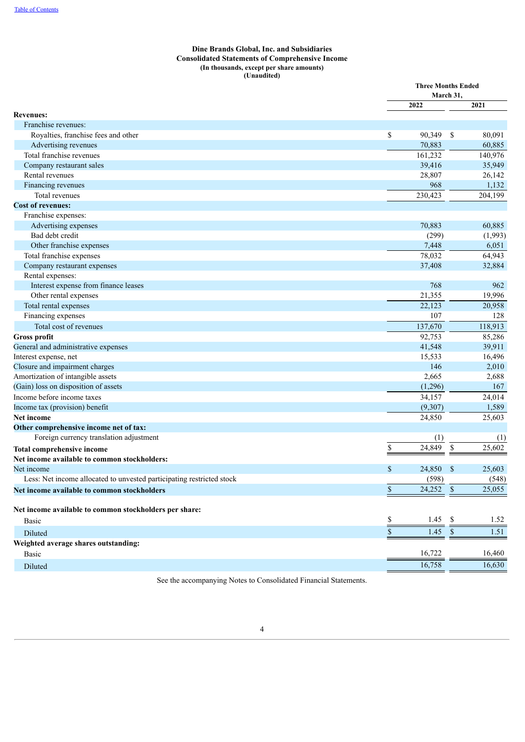# **Dine Brands Global, Inc. and Subsidiaries Consolidated Statements of Comprehensive Income (In thousands, except per share amounts) (Unaudited)**

|                                                                       |             | <b>Three Months Ended</b><br>March 31, |               |         |  |
|-----------------------------------------------------------------------|-------------|----------------------------------------|---------------|---------|--|
|                                                                       |             | 2022                                   |               | 2021    |  |
| <b>Revenues:</b>                                                      |             |                                        |               |         |  |
| Franchise revenues:                                                   |             |                                        |               |         |  |
| Royalties, franchise fees and other                                   | \$          | 90,349                                 | <sup>\$</sup> | 80,091  |  |
| Advertising revenues                                                  |             | 70,883                                 |               | 60,885  |  |
| Total franchise revenues                                              |             | 161,232                                |               | 140,976 |  |
| Company restaurant sales                                              |             | 39,416                                 |               | 35,949  |  |
| Rental revenues                                                       |             | 28,807                                 |               | 26,142  |  |
| Financing revenues                                                    |             | 968                                    |               | 1,132   |  |
| Total revenues                                                        |             | 230,423                                |               | 204,199 |  |
| <b>Cost of revenues:</b>                                              |             |                                        |               |         |  |
| Franchise expenses:                                                   |             |                                        |               |         |  |
| Advertising expenses                                                  |             | 70,883                                 |               | 60,885  |  |
| Bad debt credit                                                       |             | (299)                                  |               | (1,993) |  |
| Other franchise expenses                                              |             | 7,448                                  |               | 6,051   |  |
| Total franchise expenses                                              |             | 78,032                                 |               | 64,943  |  |
| Company restaurant expenses                                           |             | 37,408                                 |               | 32,884  |  |
| Rental expenses:                                                      |             |                                        |               |         |  |
| Interest expense from finance leases                                  |             | 768                                    |               | 962     |  |
| Other rental expenses                                                 |             | 21,355                                 |               | 19,996  |  |
| Total rental expenses                                                 |             | 22,123                                 |               | 20,958  |  |
| Financing expenses                                                    |             | 107                                    |               | 128     |  |
| Total cost of revenues                                                |             | 137,670                                |               | 118,913 |  |
| Gross profit                                                          |             | 92,753                                 |               | 85,286  |  |
| General and administrative expenses                                   |             | 41,548                                 |               | 39,911  |  |
| Interest expense, net                                                 |             | 15,533                                 |               | 16,496  |  |
| Closure and impairment charges                                        |             | 146                                    |               | 2,010   |  |
| Amortization of intangible assets                                     |             | 2,665                                  |               | 2,688   |  |
| (Gain) loss on disposition of assets                                  |             | (1,296)                                |               | 167     |  |
| Income before income taxes                                            |             | 34,157                                 |               | 24,014  |  |
| Income tax (provision) benefit                                        |             | (9,307)                                |               | 1,589   |  |
| Net income                                                            |             | 24,850                                 |               | 25,603  |  |
| Other comprehensive income net of tax:                                |             |                                        |               |         |  |
| Foreign currency translation adjustment                               |             | (1)                                    |               | (1)     |  |
| <b>Total comprehensive income</b>                                     | \$          | 24,849                                 | $\mathbb S$   | 25,602  |  |
| Net income available to common stockholders:                          |             |                                        |               |         |  |
| Net income                                                            | \$          | 24,850                                 | \$            | 25,603  |  |
| Less: Net income allocated to unvested participating restricted stock |             | (598)                                  |               | (548)   |  |
| Net income available to common stockholders                           | $\mathbb S$ | $24,252$ \$                            |               | 25,055  |  |
| Net income available to common stockholders per share:                |             |                                        |               |         |  |
| Basic                                                                 | \$          | 1.45                                   | S             | 1.52    |  |
| Diluted                                                               | $\mathbb S$ | 1.45                                   | $\mathbb S$   | 1.51    |  |
| Weighted average shares outstanding:                                  |             |                                        |               |         |  |
| <b>Basic</b>                                                          |             | 16,722                                 |               | 16,460  |  |
| Diluted                                                               |             | 16,758                                 |               | 16,630  |  |
|                                                                       |             |                                        |               |         |  |

<span id="page-4-0"></span>See the accompanying Notes to Consolidated Financial Statements.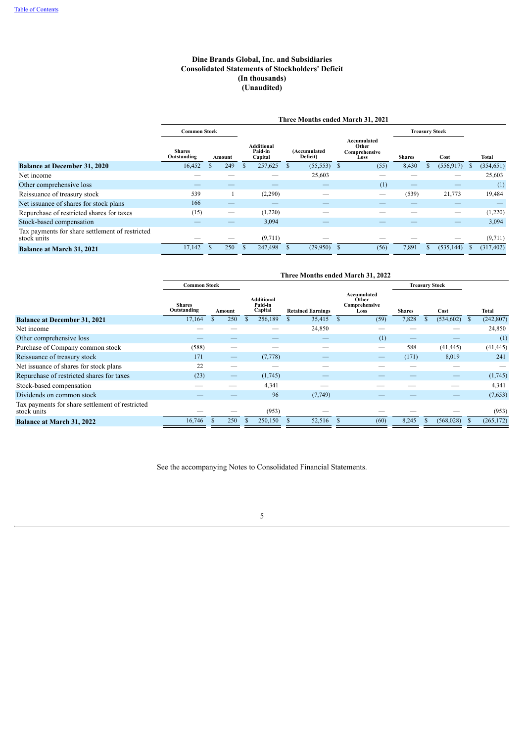# **Dine Brands Global, Inc. and Subsidiaries Consolidated Statements of Stockholders' Deficit (In thousands) (Unaudited)**

|                                                                |                              |                          |     |                                         |   |                          |   | Three Months ended March 31, 2021             |                          |  |            |   |            |
|----------------------------------------------------------------|------------------------------|--------------------------|-----|-----------------------------------------|---|--------------------------|---|-----------------------------------------------|--------------------------|--|------------|---|------------|
|                                                                | <b>Common Stock</b>          |                          |     |                                         |   |                          |   |                                               | <b>Treasury Stock</b>    |  |            |   |            |
|                                                                | <b>Shares</b><br>Outstanding | Amount                   |     | <b>Additional</b><br>Paid-in<br>Capital |   | (Accumulated<br>Deficit) |   | Accumulated<br>Other<br>Comprehensive<br>Loss | <b>Shares</b>            |  | Cost       |   | Total      |
| <b>Balance at December 31, 2020</b>                            | 16,452                       | 249                      | \$. | 257,625                                 | S | (55, 553)                | S | (55)                                          | 8,430                    |  | (556, 917) | S | (354, 651) |
| Net income                                                     |                              |                          |     |                                         |   | 25,603                   |   |                                               |                          |  |            |   | 25,603     |
| Other comprehensive loss                                       |                              |                          |     |                                         |   |                          |   | (1)                                           | $\overline{\phantom{a}}$ |  |            |   | (1)        |
| Reissuance of treasury stock                                   | 539                          |                          |     | (2,290)                                 |   |                          |   | $\hspace{0.05cm}$                             | (539)                    |  | 21,773     |   | 19,484     |
| Net issuance of shares for stock plans                         | 166                          |                          |     |                                         |   |                          |   |                                               |                          |  |            |   |            |
| Repurchase of restricted shares for taxes                      | (15)                         |                          |     | (1,220)                                 |   |                          |   |                                               |                          |  | —          |   | (1,220)    |
| Stock-based compensation                                       | _                            | $\overline{\phantom{a}}$ |     | 3,094                                   |   |                          |   |                                               |                          |  | —          |   | 3,094      |
| Tax payments for share settlement of restricted<br>stock units |                              |                          |     | (9,711)                                 |   |                          |   |                                               |                          |  |            |   | (9,711)    |
| <b>Balance at March 31, 2021</b>                               | 17,142                       | 250                      |     | 247,498                                 |   | (29,950)                 | Ж | (56)                                          | 7,891                    |  | (535, 144) |   | (317, 402) |

|                                                                |                              |        |     |  |                                         |   |                          |   | Three Months ended March 31, 2022             |               |                       |            |   |            |
|----------------------------------------------------------------|------------------------------|--------|-----|--|-----------------------------------------|---|--------------------------|---|-----------------------------------------------|---------------|-----------------------|------------|---|------------|
|                                                                | <b>Common Stock</b>          |        |     |  |                                         |   |                          |   |                                               |               | <b>Treasury Stock</b> |            |   |            |
|                                                                | <b>Shares</b><br>Outstanding | Amount |     |  | <b>Additional</b><br>Paid-in<br>Capital |   | <b>Retained Earnings</b> |   | Accumulated<br>Other<br>Comprehensive<br>Loss | <b>Shares</b> |                       | Cost       |   | Total      |
| <b>Balance at December 31, 2021</b>                            | 17,164                       |        | 250 |  | 256,189                                 | S | 35,415                   | S | (59)                                          | 7,828         | S.                    | (534, 602) | S | (242, 807) |
| Net income                                                     |                              |        |     |  |                                         |   | 24,850                   |   |                                               |               |                       |            |   | 24,850     |
| Other comprehensive loss                                       |                              |        |     |  |                                         |   |                          |   | (1)                                           |               |                       |            |   | (1)        |
| Purchase of Company common stock                               | (588)                        |        |     |  |                                         |   |                          |   |                                               | 588           |                       | (41, 445)  |   | (41, 445)  |
| Reissuance of treasury stock                                   | 171                          |        |     |  | (7, 778)                                |   |                          |   |                                               | (171)         |                       | 8,019      |   | 241        |
| Net issuance of shares for stock plans                         | 22                           |        |     |  |                                         |   |                          |   |                                               |               |                       |            |   |            |
| Repurchase of restricted shares for taxes                      | (23)                         |        | $-$ |  | (1,745)                                 |   |                          |   |                                               |               |                       |            |   | (1,745)    |
| Stock-based compensation                                       |                              |        |     |  | 4,341                                   |   |                          |   |                                               |               |                       |            |   | 4,341      |
| Dividends on common stock                                      |                              |        |     |  | 96                                      |   | (7,749)                  |   |                                               |               |                       |            |   | (7,653)    |
| Tax payments for share settlement of restricted<br>stock units |                              |        |     |  | (953)                                   |   |                          |   |                                               |               |                       |            |   | (953)      |
| <b>Balance at March 31, 2022</b>                               | 16,746                       |        | 250 |  | 250,150                                 |   | 52,516                   |   | (60)                                          | 8,245         |                       | (568, 028) |   | (265, 172) |

<span id="page-5-0"></span>See the accompanying Notes to Consolidated Financial Statements.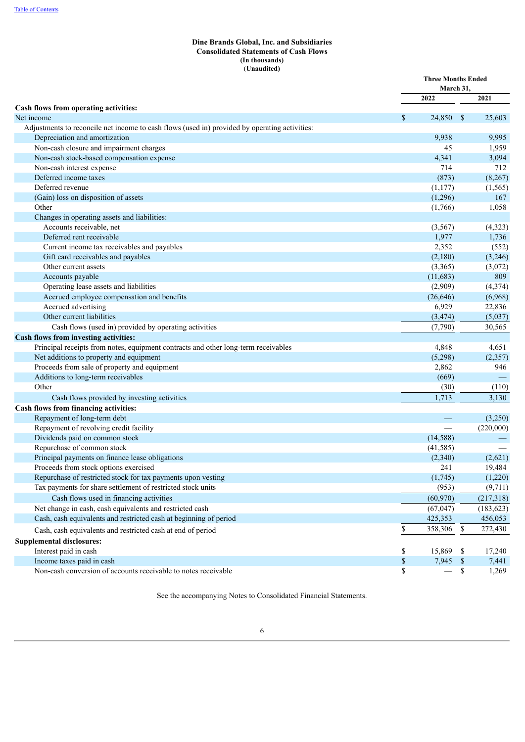#### **Dine Brands Global, Inc. and Subsidiaries Consolidated Statements of Cash Flows (In thousands)** (**Unaudited)**

|                                                                                               | <b>Three Months Ended</b><br>March 31, |                          |                           |            |
|-----------------------------------------------------------------------------------------------|----------------------------------------|--------------------------|---------------------------|------------|
|                                                                                               |                                        | 2022                     |                           | 2021       |
| Cash flows from operating activities:                                                         |                                        |                          |                           |            |
| Net income                                                                                    | \$                                     | 24,850                   | <sup>S</sup>              | 25,603     |
| Adjustments to reconcile net income to cash flows (used in) provided by operating activities: |                                        |                          |                           |            |
| Depreciation and amortization                                                                 |                                        | 9.938                    |                           | 9,995      |
| Non-cash closure and impairment charges                                                       |                                        | 45                       |                           | 1,959      |
| Non-cash stock-based compensation expense                                                     |                                        | 4,341                    |                           | 3,094      |
| Non-cash interest expense                                                                     |                                        | 714                      |                           | 712        |
| Deferred income taxes                                                                         |                                        | (873)                    |                           | (8,267)    |
| Deferred revenue                                                                              |                                        | (1,177)                  |                           | (1, 565)   |
| (Gain) loss on disposition of assets                                                          |                                        | (1,296)                  |                           | 167        |
| Other                                                                                         |                                        | (1,766)                  |                           | 1,058      |
| Changes in operating assets and liabilities:                                                  |                                        |                          |                           |            |
| Accounts receivable, net                                                                      |                                        | (3, 567)                 |                           | (4, 323)   |
| Deferred rent receivable                                                                      |                                        | 1,977                    |                           | 1,736      |
| Current income tax receivables and payables                                                   |                                        | 2,352                    |                           | (552)      |
| Gift card receivables and payables                                                            |                                        | (2,180)                  |                           | (3,246)    |
| Other current assets                                                                          |                                        | (3,365)                  |                           | (3,072)    |
| Accounts payable                                                                              |                                        | (11,683)                 |                           | 809        |
| Operating lease assets and liabilities                                                        |                                        | (2,909)                  |                           | (4, 374)   |
| Accrued employee compensation and benefits                                                    |                                        | (26, 646)                |                           | (6,968)    |
| Accrued advertising                                                                           |                                        | 6,929                    |                           | 22,836     |
| Other current liabilities                                                                     |                                        | (3, 474)                 |                           | (5,037)    |
| Cash flows (used in) provided by operating activities                                         |                                        | (7,790)                  |                           | 30,565     |
| Cash flows from investing activities:                                                         |                                        |                          |                           |            |
| Principal receipts from notes, equipment contracts and other long-term receivables            |                                        | 4,848                    |                           | 4,651      |
| Net additions to property and equipment                                                       |                                        | (5,298)                  |                           | (2,357)    |
| Proceeds from sale of property and equipment                                                  |                                        | 2,862                    |                           | 946        |
| Additions to long-term receivables                                                            |                                        | (669)                    |                           |            |
| Other                                                                                         |                                        | (30)                     |                           | (110)      |
|                                                                                               |                                        |                          |                           |            |
| Cash flows provided by investing activities                                                   |                                        | 1,713                    |                           | 3,130      |
| Cash flows from financing activities:                                                         |                                        |                          |                           |            |
| Repayment of long-term debt                                                                   |                                        |                          |                           | (3,250)    |
| Repayment of revolving credit facility                                                        |                                        |                          |                           | (220,000)  |
| Dividends paid on common stock                                                                |                                        | (14, 588)                |                           |            |
| Repurchase of common stock                                                                    |                                        | (41,585)                 |                           |            |
| Principal payments on finance lease obligations                                               |                                        | (2,340)                  |                           | (2,621)    |
| Proceeds from stock options exercised                                                         |                                        | 241                      |                           | 19,484     |
| Repurchase of restricted stock for tax payments upon vesting                                  |                                        | (1,745)                  |                           | (1,220)    |
| Tax payments for share settlement of restricted stock units                                   |                                        | (953)                    |                           | (9,711)    |
| Cash flows used in financing activities                                                       |                                        | (60, 970)                |                           | (217,318)  |
| Net change in cash, cash equivalents and restricted cash                                      |                                        | (67, 047)                |                           | (183, 623) |
| Cash, cash equivalents and restricted cash at beginning of period                             |                                        | 425,353                  |                           | 456,053    |
| Cash, cash equivalents and restricted cash at end of period                                   | \$                                     | 358,306                  | $\mathbb S$               | 272,430    |
| <b>Supplemental disclosures:</b>                                                              |                                        |                          |                           |            |
| Interest paid in cash                                                                         | \$                                     | 15,869                   | \$                        | 17,240     |
| Income taxes paid in cash                                                                     | $\mathbb S$                            | 7,945                    | $\boldsymbol{\mathsf{S}}$ | 7,441      |
| Non-cash conversion of accounts receivable to notes receivable                                | \$                                     | $\overline{\phantom{0}}$ | \$                        | 1,269      |

<span id="page-6-0"></span>See the accompanying Notes to Consolidated Financial Statements.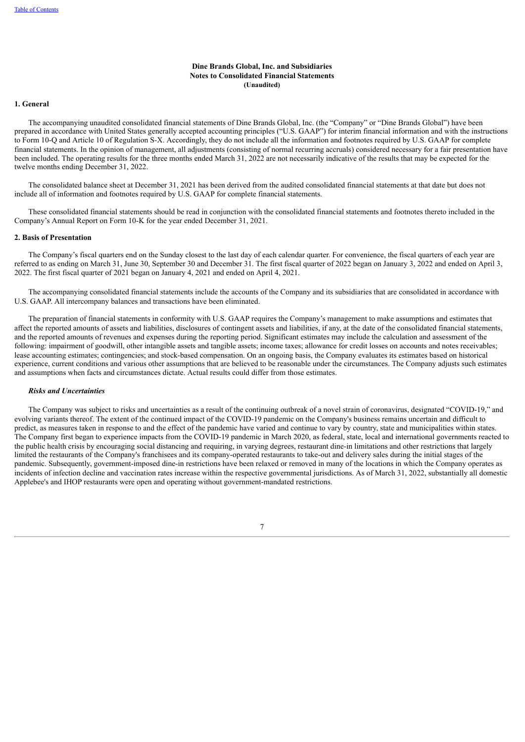#### **1. General**

The accompanying unaudited consolidated financial statements of Dine Brands Global, Inc. (the "Company" or "Dine Brands Global") have been prepared in accordance with United States generally accepted accounting principles ("U.S. GAAP") for interim financial information and with the instructions to Form 10-Q and Article 10 of Regulation S-X. Accordingly, they do not include all the information and footnotes required by U.S. GAAP for complete financial statements. In the opinion of management, all adjustments (consisting of normal recurring accruals) considered necessary for a fair presentation have been included. The operating results for the three months ended March 31, 2022 are not necessarily indicative of the results that may be expected for the twelve months ending December 31, 2022.

The consolidated balance sheet at December 31, 2021 has been derived from the audited consolidated financial statements at that date but does not include all of information and footnotes required by U.S. GAAP for complete financial statements.

These consolidated financial statements should be read in conjunction with the consolidated financial statements and footnotes thereto included in the Company's Annual Report on Form 10-K for the year ended December 31, 2021.

## **2. Basis of Presentation**

The Company's fiscal quarters end on the Sunday closest to the last day of each calendar quarter. For convenience, the fiscal quarters of each year are referred to as ending on March 31, June 30, September 30 and December 31. The first fiscal quarter of 2022 began on January 3, 2022 and ended on April 3, 2022. The first fiscal quarter of 2021 began on January 4, 2021 and ended on April 4, 2021.

The accompanying consolidated financial statements include the accounts of the Company and its subsidiaries that are consolidated in accordance with U.S. GAAP. All intercompany balances and transactions have been eliminated.

The preparation of financial statements in conformity with U.S. GAAP requires the Company's management to make assumptions and estimates that affect the reported amounts of assets and liabilities, disclosures of contingent assets and liabilities, if any, at the date of the consolidated financial statements, and the reported amounts of revenues and expenses during the reporting period. Significant estimates may include the calculation and assessment of the following: impairment of goodwill, other intangible assets and tangible assets; income taxes; allowance for credit losses on accounts and notes receivables; lease accounting estimates; contingencies; and stock-based compensation. On an ongoing basis, the Company evaluates its estimates based on historical experience, current conditions and various other assumptions that are believed to be reasonable under the circumstances. The Company adjusts such estimates and assumptions when facts and circumstances dictate. Actual results could differ from those estimates.

# *Risks and Uncertainties*

The Company was subject to risks and uncertainties as a result of the continuing outbreak of a novel strain of coronavirus, designated "COVID-19," and evolving variants thereof. The extent of the continued impact of the COVID-19 pandemic on the Company's business remains uncertain and difficult to predict, as measures taken in response to and the effect of the pandemic have varied and continue to vary by country, state and municipalities within states. The Company first began to experience impacts from the COVID-19 pandemic in March 2020, as federal, state, local and international governments reacted to the public health crisis by encouraging social distancing and requiring, in varying degrees, restaurant dine-in limitations and other restrictions that largely limited the restaurants of the Company's franchisees and its company-operated restaurants to take-out and delivery sales during the initial stages of the pandemic. Subsequently, government-imposed dine-in restrictions have been relaxed or removed in many of the locations in which the Company operates as incidents of infection decline and vaccination rates increase within the respective governmental jurisdictions. As of March 31, 2022, substantially all domestic Applebee's and IHOP restaurants were open and operating without government-mandated restrictions.

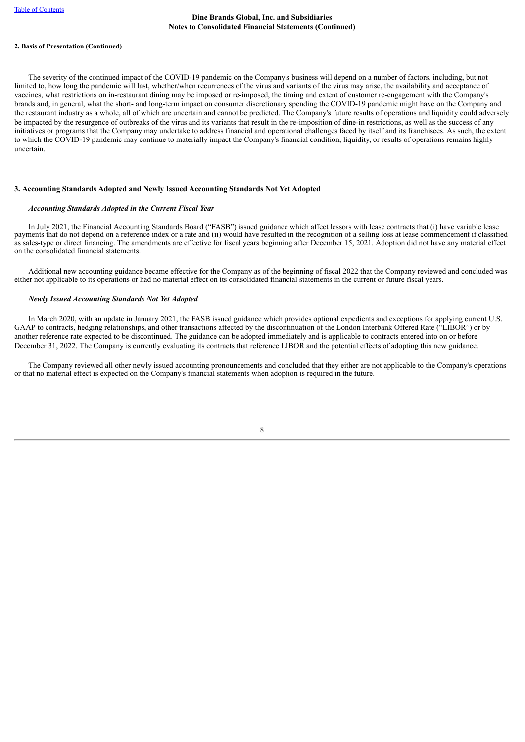# **2. Basis of Presentation (Continued)**

The severity of the continued impact of the COVID-19 pandemic on the Company's business will depend on a number of factors, including, but not limited to, how long the pandemic will last, whether/when recurrences of the virus and variants of the virus may arise, the availability and acceptance of vaccines, what restrictions on in-restaurant dining may be imposed or re-imposed, the timing and extent of customer re-engagement with the Company's brands and, in general, what the short- and long-term impact on consumer discretionary spending the COVID-19 pandemic might have on the Company and the restaurant industry as a whole, all of which are uncertain and cannot be predicted. The Company's future results of operations and liquidity could adversely be impacted by the resurgence of outbreaks of the virus and its variants that result in the re-imposition of dine-in restrictions, as well as the success of any initiatives or programs that the Company may undertake to address financial and operational challenges faced by itself and its franchisees. As such, the extent to which the COVID-19 pandemic may continue to materially impact the Company's financial condition, liquidity, or results of operations remains highly uncertain.

#### **3. Accounting Standards Adopted and Newly Issued Accounting Standards Not Yet Adopted**

#### *Accounting Standards Adopted in the Current Fiscal Year*

In July 2021, the Financial Accounting Standards Board ("FASB") issued guidance which affect lessors with lease contracts that (i) have variable lease payments that do not depend on a reference index or a rate and (ii) would have resulted in the recognition of a selling loss at lease commencement if classified as sales-type or direct financing. The amendments are effective for fiscal years beginning after December 15, 2021. Adoption did not have any material effect on the consolidated financial statements.

Additional new accounting guidance became effective for the Company as of the beginning of fiscal 2022 that the Company reviewed and concluded was either not applicable to its operations or had no material effect on its consolidated financial statements in the current or future fiscal years.

#### *Newly Issued Accounting Standards Not Yet Adopted*

In March 2020, with an update in January 2021, the FASB issued guidance which provides optional expedients and exceptions for applying current U.S. GAAP to contracts, hedging relationships, and other transactions affected by the discontinuation of the London Interbank Offered Rate ("LIBOR") or by another reference rate expected to be discontinued. The guidance can be adopted immediately and is applicable to contracts entered into on or before December 31, 2022. The Company is currently evaluating its contracts that reference LIBOR and the potential effects of adopting this new guidance.

The Company reviewed all other newly issued accounting pronouncements and concluded that they either are not applicable to the Company's operations or that no material effect is expected on the Company's financial statements when adoption is required in the future.

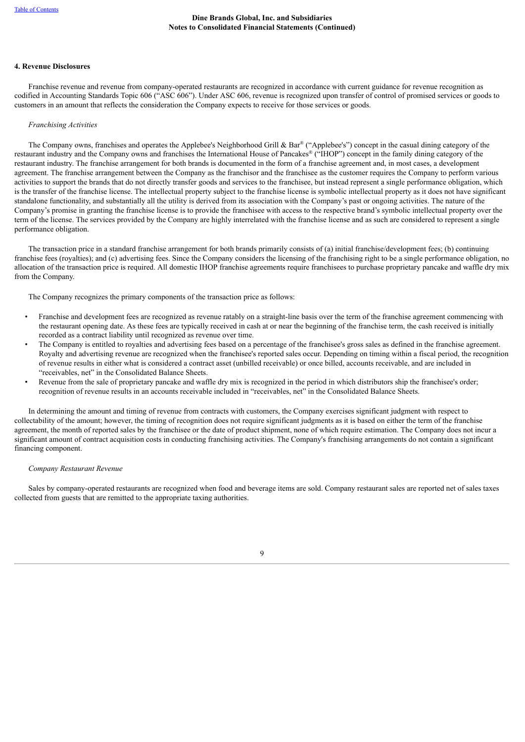# **4. Revenue Disclosures**

Franchise revenue and revenue from company-operated restaurants are recognized in accordance with current guidance for revenue recognition as codified in Accounting Standards Topic 606 ("ASC 606"). Under ASC 606, revenue is recognized upon transfer of control of promised services or goods to customers in an amount that reflects the consideration the Company expects to receive for those services or goods.

#### *Franchising Activities*

The Company owns, franchises and operates the Applebee's Neighborhood Grill & Bar® ("Applebee's") concept in the casual dining category of the restaurant industry and the Company owns and franchises the International House of Pancakes® ("IHOP") concept in the family dining category of the restaurant industry. The franchise arrangement for both brands is documented in the form of a franchise agreement and, in most cases, a development agreement. The franchise arrangement between the Company as the franchisor and the franchisee as the customer requires the Company to perform various activities to support the brands that do not directly transfer goods and services to the franchisee, but instead represent a single performance obligation, which is the transfer of the franchise license. The intellectual property subject to the franchise license is symbolic intellectual property as it does not have significant standalone functionality, and substantially all the utility is derived from its association with the Company's past or ongoing activities. The nature of the Company's promise in granting the franchise license is to provide the franchisee with access to the respective brand's symbolic intellectual property over the term of the license. The services provided by the Company are highly interrelated with the franchise license and as such are considered to represent a single performance obligation.

The transaction price in a standard franchise arrangement for both brands primarily consists of (a) initial franchise/development fees; (b) continuing franchise fees (royalties); and (c) advertising fees. Since the Company considers the licensing of the franchising right to be a single performance obligation, no allocation of the transaction price is required. All domestic IHOP franchise agreements require franchisees to purchase proprietary pancake and waffle dry mix from the Company.

The Company recognizes the primary components of the transaction price as follows:

- Franchise and development fees are recognized as revenue ratably on a straight-line basis over the term of the franchise agreement commencing with the restaurant opening date. As these fees are typically received in cash at or near the beginning of the franchise term, the cash received is initially recorded as a contract liability until recognized as revenue over time.
- The Company is entitled to royalties and advertising fees based on a percentage of the franchisee's gross sales as defined in the franchise agreement. Royalty and advertising revenue are recognized when the franchisee's reported sales occur. Depending on timing within a fiscal period, the recognition of revenue results in either what is considered a contract asset (unbilled receivable) or once billed, accounts receivable, and are included in "receivables, net" in the Consolidated Balance Sheets.
- Revenue from the sale of proprietary pancake and waffle dry mix is recognized in the period in which distributors ship the franchisee's order; recognition of revenue results in an accounts receivable included in "receivables, net" in the Consolidated Balance Sheets.

In determining the amount and timing of revenue from contracts with customers, the Company exercises significant judgment with respect to collectability of the amount; however, the timing of recognition does not require significant judgments as it is based on either the term of the franchise agreement, the month of reported sales by the franchisee or the date of product shipment, none of which require estimation. The Company does not incur a significant amount of contract acquisition costs in conducting franchising activities. The Company's franchising arrangements do not contain a significant financing component.

#### *Company Restaurant Revenue*

Sales by company-operated restaurants are recognized when food and beverage items are sold. Company restaurant sales are reported net of sales taxes collected from guests that are remitted to the appropriate taxing authorities.

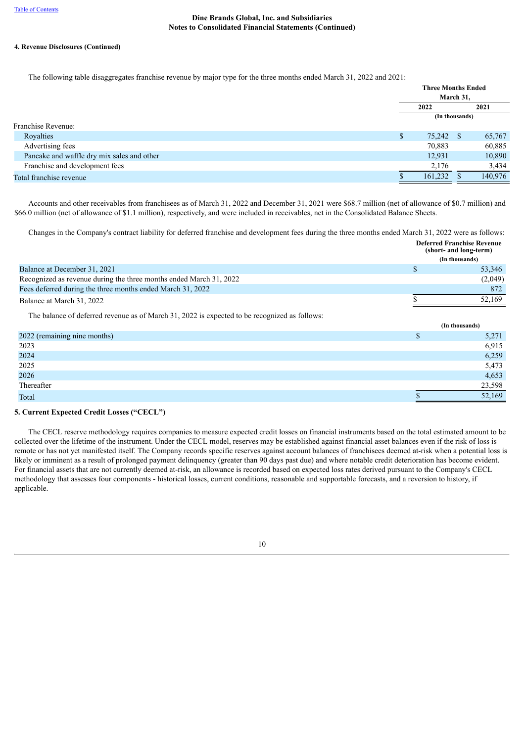#### **4. Revenue Disclosures (Continued)**

The following table disaggregates franchise revenue by major type for the three months ended March 31, 2022 and 2021:

|                                            |   | <b>Three Months Ended</b> |  |         |  |  |
|--------------------------------------------|---|---------------------------|--|---------|--|--|
|                                            |   | March 31,                 |  |         |  |  |
|                                            |   | 2022                      |  | 2021    |  |  |
|                                            |   | (In thousands)            |  |         |  |  |
| Franchise Revenue:                         |   |                           |  |         |  |  |
| Royalties                                  | S | 75,242 \$                 |  | 65,767  |  |  |
| Advertising fees                           |   | 70,883                    |  | 60,885  |  |  |
| Pancake and waffle dry mix sales and other |   | 12,931                    |  | 10,890  |  |  |
| Franchise and development fees             |   | 2,176                     |  | 3,434   |  |  |
| Total franchise revenue                    |   | 161,232                   |  | 140,976 |  |  |

Accounts and other receivables from franchisees as of March 31, 2022 and December 31, 2021 were \$68.7 million (net of allowance of \$0.7 million) and \$66.0 million (net of allowance of \$1.1 million), respectively, and were included in receivables, net in the Consolidated Balance Sheets.

Changes in the Company's contract liability for deferred franchise and development fees during the three months ended March 31, 2022 were as follows:

|                                                                                               |   | <b>Deferred Franchise Revenue</b><br>(short- and long-term) |
|-----------------------------------------------------------------------------------------------|---|-------------------------------------------------------------|
|                                                                                               |   | (In thousands)                                              |
| Balance at December 31, 2021                                                                  | ъ | 53,346                                                      |
| Recognized as revenue during the three months ended March 31, 2022                            |   | (2,049)                                                     |
| Fees deferred during the three months ended March 31, 2022                                    |   | 872                                                         |
| Balance at March 31, 2022                                                                     |   | 52,169                                                      |
| The balance of deferred revenue as of March 31, 2022 is expected to be recognized as follows: |   |                                                             |
|                                                                                               |   | (In thousands)                                              |
| 2022 (remaining nine months)                                                                  |   | 5,271                                                       |
| 2023                                                                                          |   | 6,915                                                       |

| 2023       | 0,915  |
|------------|--------|
| 2024       | 6,259  |
| 2025       | 5,473  |
| 2026       | 4,653  |
| Thereafter | 23,598 |
| Total      | 52,169 |

# **5. Current Expected Credit Losses ("CECL")**

The CECL reserve methodology requires companies to measure expected credit losses on financial instruments based on the total estimated amount to be collected over the lifetime of the instrument. Under the CECL model, reserves may be established against financial asset balances even if the risk of loss is remote or has not yet manifested itself. The Company records specific reserves against account balances of franchisees deemed at-risk when a potential loss is likely or imminent as a result of prolonged payment delinquency (greater than 90 days past due) and where notable credit deterioration has become evident. For financial assets that are not currently deemed at-risk, an allowance is recorded based on expected loss rates derived pursuant to the Company's CECL methodology that assesses four components - historical losses, current conditions, reasonable and supportable forecasts, and a reversion to history, if applicable.

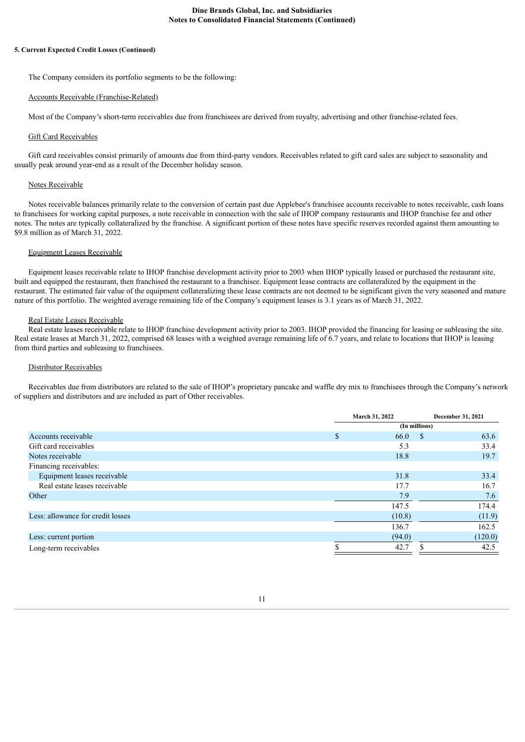### **5. Current Expected Credit Losses (Continued)**

The Company considers its portfolio segments to be the following:

# Accounts Receivable (Franchise-Related)

Most of the Company's short-term receivables due from franchisees are derived from royalty, advertising and other franchise-related fees.

# Gift Card Receivables

Gift card receivables consist primarily of amounts due from third-party vendors. Receivables related to gift card sales are subject to seasonality and usually peak around year-end as a result of the December holiday season.

# Notes Receivable

Notes receivable balances primarily relate to the conversion of certain past due Applebee's franchisee accounts receivable to notes receivable, cash loans to franchisees for working capital purposes, a note receivable in connection with the sale of IHOP company restaurants and IHOP franchise fee and other notes. The notes are typically collateralized by the franchise. A significant portion of these notes have specific reserves recorded against them amounting to \$9.8 million as of March 31, 2022.

# Equipment Leases Receivable

Equipment leases receivable relate to IHOP franchise development activity prior to 2003 when IHOP typically leased or purchased the restaurant site, built and equipped the restaurant, then franchised the restaurant to a franchisee. Equipment lease contracts are collateralized by the equipment in the restaurant. The estimated fair value of the equipment collateralizing these lease contracts are not deemed to be significant given the very seasoned and mature nature of this portfolio. The weighted average remaining life of the Company's equipment leases is 3.1 years as of March 31, 2022.

# Real Estate Leases Receivable

Real estate leases receivable relate to IHOP franchise development activity prior to 2003. IHOP provided the financing for leasing or subleasing the site. Real estate leases at March 31, 2022, comprised 68 leases with a weighted average remaining life of 6.7 years, and relate to locations that IHOP is leasing from third parties and subleasing to franchisees.

# Distributor Receivables

Receivables due from distributors are related to the sale of IHOP's proprietary pancake and waffle dry mix to franchisees through the Company's network of suppliers and distributors and are included as part of Other receivables.

|                                   | March 31, 2022 |               |     | December 31, 2021 |
|-----------------------------------|----------------|---------------|-----|-------------------|
|                                   |                | (In millions) |     |                   |
| Accounts receivable               | \$.            | 66.0          | -\$ | 63.6              |
| Gift card receivables             |                | 5.3           |     | 33.4              |
| Notes receivable                  |                | 18.8          |     | 19.7              |
| Financing receivables:            |                |               |     |                   |
| Equipment leases receivable       |                | 31.8          |     | 33.4              |
| Real estate leases receivable     |                | 17.7          |     | 16.7              |
| Other                             |                | 7.9           |     | 7.6               |
|                                   |                | 147.5         |     | 174.4             |
| Less: allowance for credit losses |                | (10.8)        |     | (11.9)            |
|                                   |                | 136.7         |     | 162.5             |
| Less: current portion             |                | (94.0)        |     | (120.0)           |
| Long-term receivables             |                | 42.7          |     | 42.5              |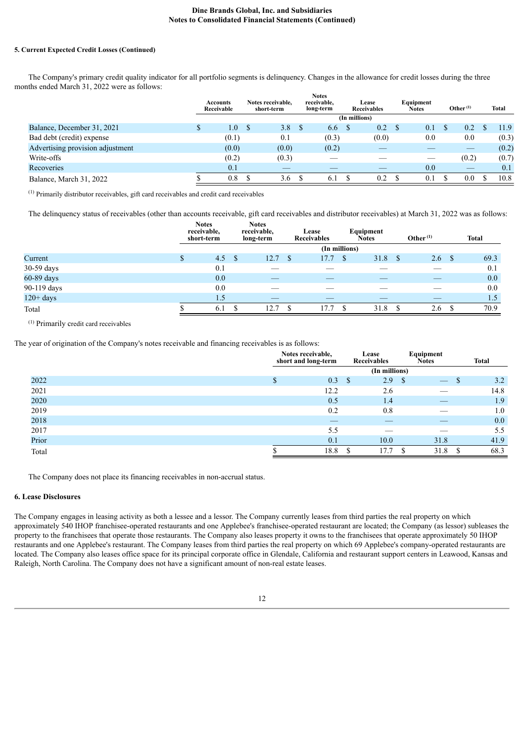# **5. Current Expected Credit Losses (Continued)**

The Company's primary credit quality indicator for all portfolio segments is delinquency. Changes in the allowance for credit losses during the three months ended March 31, 2022 were as follows:

|                                  | <b>Accounts</b><br>Receivable | Notes receivable.<br>short-term | <b>Notes</b><br>receivable.<br>long-term | Lease<br><b>Receivables</b> | Equipment<br><b>Notes</b> | Other $(1)$                 | <b>Total</b> |
|----------------------------------|-------------------------------|---------------------------------|------------------------------------------|-----------------------------|---------------------------|-----------------------------|--------------|
|                                  |                               |                                 |                                          | (In millions)               |                           |                             |              |
| Balance, December 31, 2021       | \$<br>$1.0\,$                 | 3.8                             | 6.6                                      | 0.2                         | 0.1                       | 0.2                         | 11.9         |
| Bad debt (credit) expense        | (0.1)                         | 0.1                             | (0.3)                                    | (0.0)                       | 0.0                       | 0.0                         | (0.3)        |
| Advertising provision adjustment | (0.0)                         | (0.0)                           | (0.2)                                    |                             |                           | $\overbrace{\hspace{15em}}$ | (0.2)        |
| Write-offs                       | (0.2)                         | (0.3)                           |                                          |                             |                           | (0.2)                       | (0.7)        |
| Recoveries                       | 0.1                           |                                 |                                          |                             | 0.0                       |                             | 0.1          |
| Balance, March 31, 2022          | 0.8                           | 3.6                             | 6.1                                      | 0.2                         | 0.1                       | 0.0                         | 10.8         |

 $<sup>(1)</sup>$  Primarily distributor receivables, gift card receivables and credit card receivables</sup>

The delinquency status of receivables (other than accounts receivable, gift card receivables and distributor receivables) at March 31, 2022 was as follows:

|              | <b>Notes</b><br>receivable,<br>short-term |     |      | <b>Notes</b><br>receivable,<br>long-term | Lease<br><b>Receivables</b> |   | Equipment<br><b>Notes</b> |    | Other $(1)$ |          | <b>Total</b>     |
|--------------|-------------------------------------------|-----|------|------------------------------------------|-----------------------------|---|---------------------------|----|-------------|----------|------------------|
|              |                                           |     |      |                                          | (In millions)               |   |                           |    |             |          |                  |
| Current      | D                                         | 4.5 | - \$ | 12.1                                     | 17.7                        | S | 31.8                      | -S | 2.6         | <b>S</b> | 69.3             |
| 30-59 days   |                                           | 0.1 |      |                                          |                             |   |                           |    |             |          | 0.1              |
| 60-89 days   |                                           | 0.0 |      |                                          |                             |   |                           |    |             |          | 0.0              |
| 90-119 days  |                                           | 0.0 |      |                                          |                             |   |                           |    |             |          | 0.0              |
| $120 + days$ |                                           | 1.5 |      | __                                       | __                          |   |                           |    |             |          | 1.5 <sub>l</sub> |
| Total        |                                           | 6.1 |      | 12.<br>-                                 | .7.7                        |   | 31.8                      |    | 2.6         |          | 70.9             |

Primarily credit card receivables (1)

The year of origination of the Company's notes receivable and financing receivables is as follows:

|       |   | Notes receivable,<br>short and long-term | Lease<br>Receivables | Equipment<br><b>Notes</b>        |   | <b>Total</b> |
|-------|---|------------------------------------------|----------------------|----------------------------------|---|--------------|
|       |   |                                          | (In millions)        |                                  |   |              |
| 2022  | S | 0.3                                      | 2.9<br>- \$          | - \$<br>$\overline{\phantom{m}}$ |   | 3.2          |
| 2021  |   | 12.2                                     | 2.6                  |                                  |   | 14.8         |
| 2020  |   | 0.5                                      | 1.4                  |                                  |   | 1.9          |
| 2019  |   | 0.2                                      | 0.8                  |                                  |   | 1.0          |
| 2018  |   |                                          |                      |                                  |   | 0.0          |
| 2017  |   | 5.5                                      |                      |                                  |   | 5.5          |
| Prior |   | 0.1                                      | 10.0                 | 31.8                             |   | 41.9         |
| Total |   | 18.8                                     | 17.7                 | 31.8                             | S | 68.3         |
|       |   |                                          |                      |                                  |   |              |

The Company does not place its financing receivables in non-accrual status.

# **6. Lease Disclosures**

The Company engages in leasing activity as both a lessee and a lessor. The Company currently leases from third parties the real property on which approximately 540 IHOP franchisee-operated restaurants and one Applebee's franchisee-operated restaurant are located; the Company (as lessor) subleases the property to the franchisees that operate those restaurants. The Company also leases property it owns to the franchisees that operate approximately 50 IHOP restaurants and one Applebee's restaurant. The Company leases from third parties the real property on which 69 Applebee's company-operated restaurants are located. The Company also leases office space for its principal corporate office in Glendale, California and restaurant support centers in Leawood, Kansas and Raleigh, North Carolina. The Company does not have a significant amount of non-real estate leases.

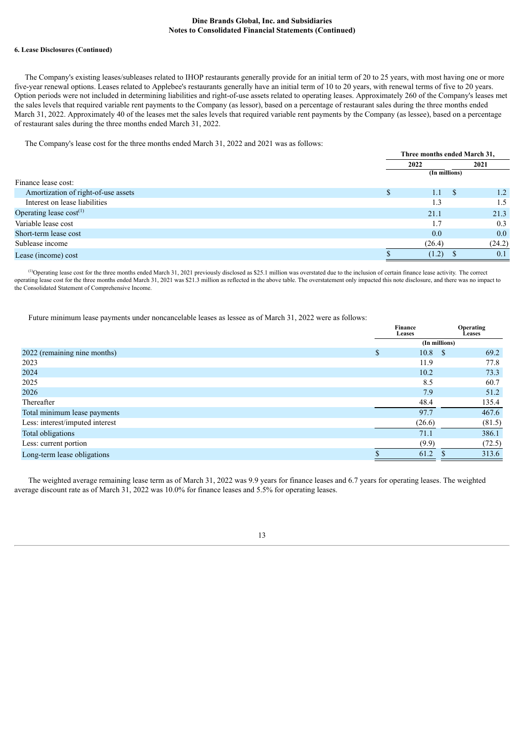#### **6. Lease Disclosures (Continued)**

The Company's existing leases/subleases related to IHOP restaurants generally provide for an initial term of 20 to 25 years, with most having one or more five-year renewal options. Leases related to Applebee's restaurants generally have an initial term of 10 to 20 years, with renewal terms of five to 20 years. Option periods were not included in determining liabilities and right-of-use assets related to operating leases. Approximately 260 of the Company's leases met the sales levels that required variable rent payments to the Company (as lessor), based on a percentage of restaurant sales during the three months ended March 31, 2022. Approximately 40 of the leases met the sales levels that required variable rent payments by the Company (as lessee), based on a percentage of restaurant sales during the three months ended March 31, 2022.

The Company's lease cost for the three months ended March 31, 2022 and 2021 was as follows:

|                                     | Three months ended March 31, |    |        |  |
|-------------------------------------|------------------------------|----|--------|--|
|                                     | 2022                         |    | 2021   |  |
|                                     | (In millions)                |    |        |  |
| Finance lease cost:                 |                              |    |        |  |
| Amortization of right-of-use assets | 1.1                          | -S | 1.2    |  |
| Interest on lease liabilities       | 1.3                          |    | 1.5    |  |
| Operating lease $cost^{(1)}$        | 21.1                         |    | 21.3   |  |
| Variable lease cost                 | 1.7                          |    | 0.3    |  |
| Short-term lease cost               | 0.0                          |    | 0.0    |  |
| Sublease income                     | (26.4)                       |    | (24.2) |  |
| Lease (income) cost                 | (1.2)                        |    | 0.1    |  |

(1) Operating lease cost for the three months ended March 31, 2021 previously disclosed as \$25.1 million was overstated due to the inclusion of certain finance lease activity. The correct operating lease cost for the three months ended March 31, 2021 was \$21.3 million as reflected in the above table. The overstatement only impacted this note disclosure, and there was no impact to the Consolidated Statement of Comprehensive Income.

Future minimum lease payments under noncancelable leases as lessee as of March 31, 2022 were as follows:

|                                 | Finance<br><b>Leases</b> |               | Operating<br><b>Leases</b> |
|---------------------------------|--------------------------|---------------|----------------------------|
|                                 |                          | (In millions) |                            |
| 2022 (remaining nine months)    | 10.8<br>\$.              | - \$          | 69.2                       |
| 2023                            | 11.9                     |               | 77.8                       |
| 2024                            | 10.2                     |               | 73.3                       |
| 2025                            | 8.5                      |               | 60.7                       |
| 2026                            | 7.9                      |               | 51.2                       |
| Thereafter                      | 48.4                     |               | 135.4                      |
| Total minimum lease payments    | 97.7                     |               | 467.6                      |
| Less: interest/imputed interest | (26.6)                   |               | (81.5)                     |
| Total obligations               | 71.1                     |               | 386.1                      |
| Less: current portion           | (9.9)                    |               | (72.5)                     |
| Long-term lease obligations     | 61.2                     |               | 313.6                      |

The weighted average remaining lease term as of March 31, 2022 was 9.9 years for finance leases and 6.7 years for operating leases. The weighted average discount rate as of March 31, 2022 was 10.0% for finance leases and 5.5% for operating leases.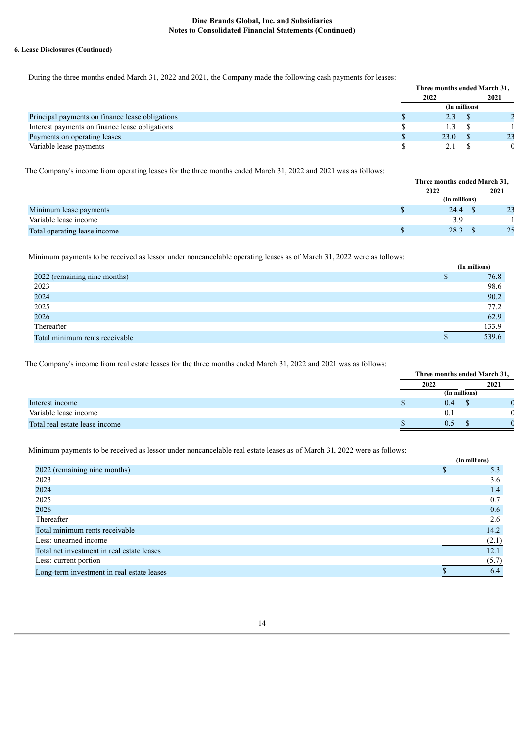# **6. Lease Disclosures (Continued)**

During the three months ended March 31, 2022 and 2021, the Company made the following cash payments for leases:

|                                                 | Three months ended March 31, |               |          |  |  |  |
|-------------------------------------------------|------------------------------|---------------|----------|--|--|--|
|                                                 | 2022                         |               |          |  |  |  |
|                                                 |                              | (In millions) |          |  |  |  |
| Principal payments on finance lease obligations |                              |               |          |  |  |  |
| Interest payments on finance lease obligations  | $\cdot$ 5                    |               |          |  |  |  |
| Payments on operating leases                    | 23.0                         |               | 23       |  |  |  |
| Variable lease payments                         |                              |               | $\theta$ |  |  |  |

The Company's income from operating leases for the three months ended March 31, 2022 and 2021 was as follows:

|                              | Three months ended March 31, |    |  |
|------------------------------|------------------------------|----|--|
|                              | 2022                         |    |  |
|                              | (In millions)                |    |  |
| Minimum lease payments       | 24.4                         | 23 |  |
| Variable lease income        | 39                           |    |  |
| Total operating lease income | 28.3                         | 25 |  |

Minimum payments to be received as lessor under noncancelable operating leases as of March 31, 2022 were as follows:

|                                | (In millions) |
|--------------------------------|---------------|
| 2022 (remaining nine months)   | 76.8          |
| 2023                           | 98.6          |
| 2024                           | 90.2          |
| 2025                           | 77.2          |
| 2026                           | 62.9          |
| Thereafter                     | 133.9         |
| Total minimum rents receivable | 539.6         |

The Company's income from real estate leases for the three months ended March 31, 2022 and 2021 was as follows:

|                                | Three months ended March 31, |      |  |  |  |
|--------------------------------|------------------------------|------|--|--|--|
|                                | 2022                         | 2021 |  |  |  |
|                                | (In millions)                |      |  |  |  |
| Interest income                | 0.4                          |      |  |  |  |
| Variable lease income          | $0$ .                        | 0    |  |  |  |
| Total real estate lease income | 0.5                          |      |  |  |  |

Minimum payments to be received as lessor under noncancelable real estate leases as of March 31, 2022 were as follows:

|                                            |          | (In millions) |
|--------------------------------------------|----------|---------------|
| 2022 (remaining nine months)               | ¢<br>аĐ. | 5.3           |
| 2023                                       |          | 3.6           |
| 2024                                       |          | 1.4           |
| 2025                                       |          | 0.7           |
| 2026                                       |          | 0.6           |
| Thereafter                                 |          | 2.6           |
| Total minimum rents receivable             |          | 14.2          |
| Less: unearned income                      |          | (2.1)         |
| Total net investment in real estate leases |          | 12.1          |
| Less: current portion                      |          | (5.7)         |
| Long-term investment in real estate leases |          | 6.4           |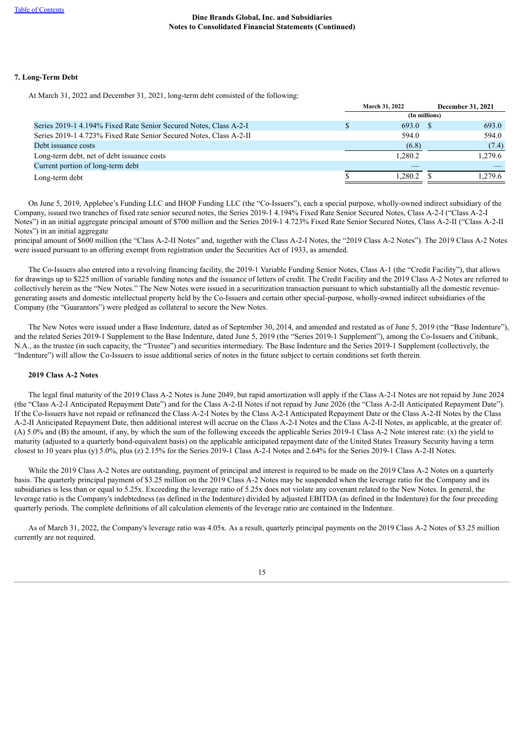# **7. Long-Term Debt**

At March 31, 2022 and December 31, 2021, long-term debt consisted of the following:

|                                                                    | <b>March 31, 2022</b> |  | <b>December 31, 2021</b> |  |
|--------------------------------------------------------------------|-----------------------|--|--------------------------|--|
|                                                                    | (In millions)         |  |                          |  |
| Series 2019-1 4.194% Fixed Rate Senior Secured Notes, Class A-2-I  | 693.0                 |  | 693.0                    |  |
| Series 2019-1 4.723% Fixed Rate Senior Secured Notes, Class A-2-II | 594.0                 |  | 594.0                    |  |
| Debt issuance costs                                                | (6.8)                 |  | (7.4)                    |  |
| Long-term debt, net of debt issuance costs                         | 1.280.2               |  | 1.279.6                  |  |
| Current portion of long-term debt                                  |                       |  |                          |  |
| Long-term debt                                                     | 1.280.2               |  | 1.279.6                  |  |
|                                                                    |                       |  |                          |  |

On June 5, 2019, Applebee's Funding LLC and IHOP Funding LLC (the "Co-Issuers"), each a special purpose, wholly-owned indirect subsidiary of the Company, issued two tranches of fixed rate senior secured notes, the Series 2019-1 4.194% Fixed Rate Senior Secured Notes, Class A-2-I ("Class A-2-I Notes") in an initial aggregate principal amount of \$700 million and the Series 2019-1 4.723% Fixed Rate Senior Secured Notes, Class A-2-II ("Class A-2-II Notes") in an initial aggregate

principal amount of \$600 million (the "Class A-2-II Notes" and, together with the Class A-2-I Notes, the "2019 Class A-2 Notes"). The 2019 Class A-2 Notes were issued pursuant to an offering exempt from registration under the Securities Act of 1933, as amended.

The Co-Issuers also entered into a revolving financing facility, the 2019-1 Variable Funding Senior Notes, Class A-1 (the "Credit Facility"), that allows for drawings up to \$225 million of variable funding notes and the issuance of letters of credit. The Credit Facility and the 2019 Class A-2 Notes are referred to collectively herein as the "New Notes." The New Notes were issued in a securitization transaction pursuant to which substantially all the domestic revenuegenerating assets and domestic intellectual property held by the Co-Issuers and certain other special-purpose, wholly-owned indirect subsidiaries of the Company (the "Guarantors") were pledged as collateral to secure the New Notes.

The New Notes were issued under a Base Indenture, dated as of September 30, 2014, and amended and restated as of June 5, 2019 (the "Base Indenture"), and the related Series 2019-1 Supplement to the Base Indenture, dated June 5, 2019 (the "Series 2019-1 Supplement"), among the Co-Issuers and Citibank, N.A., as the trustee (in such capacity, the "Trustee") and securities intermediary. The Base Indenture and the Series 2019-1 Supplement (collectively, the "Indenture") will allow the Co-Issuers to issue additional series of notes in the future subject to certain conditions set forth therein.

# **2019 Class A-2 Notes**

The legal final maturity of the 2019 Class A-2 Notes is June 2049, but rapid amortization will apply if the Class A-2-I Notes are not repaid by June 2024 (the "Class A-2-I Anticipated Repayment Date") and for the Class A-2-II Notes if not repaid by June 2026 (the "Class A-2-II Anticipated Repayment Date"). If the Co-Issuers have not repaid or refinanced the Class A-2-I Notes by the Class A-2-I Anticipated Repayment Date or the Class A-2-II Notes by the Class A-2-II Anticipated Repayment Date, then additional interest will accrue on the Class A-2-I Notes and the Class A-2-II Notes, as applicable, at the greater of: (A) 5.0% and (B) the amount, if any, by which the sum of the following exceeds the applicable Series 2019-1 Class A-2 Note interest rate: (x) the yield to maturity (adjusted to a quarterly bond-equivalent basis) on the applicable anticipated repayment date of the United States Treasury Security having a term closest to 10 years plus (y) 5.0%, plus (z) 2.15% for the Series 2019-1 Class A-2-I Notes and 2.64% for the Series 2019-1 Class A-2-II Notes.

While the 2019 Class A-2 Notes are outstanding, payment of principal and interest is required to be made on the 2019 Class A-2 Notes on a quarterly basis. The quarterly principal payment of \$3.25 million on the 2019 Class A-2 Notes may be suspended when the leverage ratio for the Company and its subsidiaries is less than or equal to 5.25x. Exceeding the leverage ratio of 5.25x does not violate any covenant related to the New Notes. In general, the leverage ratio is the Company's indebtedness (as defined in the Indenture) divided by adjusted EBITDA (as defined in the Indenture) for the four preceding quarterly periods. The complete definitions of all calculation elements of the leverage ratio are contained in the Indenture.

As of March 31, 2022, the Company's leverage ratio was 4.05x. As a result, quarterly principal payments on the 2019 Class A-2 Notes of \$3.25 million currently are not required.

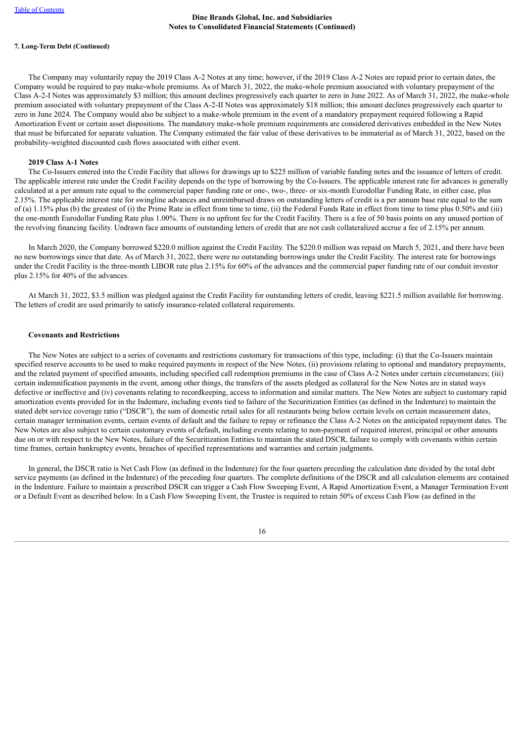#### **7. Long-Term Debt (Continued)**

The Company may voluntarily repay the 2019 Class A-2 Notes at any time; however, if the 2019 Class A-2 Notes are repaid prior to certain dates, the Company would be required to pay make-whole premiums. As of March 31, 2022, the make-whole premium associated with voluntary prepayment of the Class A-2-I Notes was approximately \$3 million; this amount declines progressively each quarter to zero in June 2022. As of March 31, 2022, the make-whole premium associated with voluntary prepayment of the Class A-2-II Notes was approximately \$18 million; this amount declines progressively each quarter to zero in June 2024. The Company would also be subject to a make-whole premium in the event of a mandatory prepayment required following a Rapid Amortization Event or certain asset dispositions. The mandatory make-whole premium requirements are considered derivatives embedded in the New Notes that must be bifurcated for separate valuation. The Company estimated the fair value of these derivatives to be immaterial as of March 31, 2022, based on the probability-weighted discounted cash flows associated with either event.

#### **2019 Class A-1 Notes**

The Co-Issuers entered into the Credit Facility that allows for drawings up to \$225 million of variable funding notes and the issuance of letters of credit. The applicable interest rate under the Credit Facility depends on the type of borrowing by the Co-Issuers. The applicable interest rate for advances is generally calculated at a per annum rate equal to the commercial paper funding rate or one-, two-, three- or six-month Eurodollar Funding Rate, in either case, plus 2.15%. The applicable interest rate for swingline advances and unreimbursed draws on outstanding letters of credit is a per annum base rate equal to the sum of (a) 1.15% plus (b) the greatest of (i) the Prime Rate in effect from time to time, (ii) the Federal Funds Rate in effect from time to time plus 0.50% and (iii) the one-month Eurodollar Funding Rate plus 1.00%. There is no upfront fee for the Credit Facility. There is a fee of 50 basis points on any unused portion of the revolving financing facility. Undrawn face amounts of outstanding letters of credit that are not cash collateralized accrue a fee of 2.15% per annum.

In March 2020, the Company borrowed \$220.0 million against the Credit Facility. The \$220.0 million was repaid on March 5, 2021, and there have been no new borrowings since that date. As of March 31, 2022, there were no outstanding borrowings under the Credit Facility. The interest rate for borrowings under the Credit Facility is the three-month LIBOR rate plus 2.15% for 60% of the advances and the commercial paper funding rate of our conduit investor plus 2.15% for 40% of the advances.

At March 31, 2022, \$3.5 million was pledged against the Credit Facility for outstanding letters of credit, leaving \$221.5 million available for borrowing. The letters of credit are used primarily to satisfy insurance-related collateral requirements.

# **Covenants and Restrictions**

The New Notes are subject to a series of covenants and restrictions customary for transactions of this type, including: (i) that the Co-Issuers maintain specified reserve accounts to be used to make required payments in respect of the New Notes, (ii) provisions relating to optional and mandatory prepayments. and the related payment of specified amounts, including specified call redemption premiums in the case of Class A-2 Notes under certain circumstances; (iii) certain indemnification payments in the event, among other things, the transfers of the assets pledged as collateral for the New Notes are in stated ways defective or ineffective and (iv) covenants relating to recordkeeping, access to information and similar matters. The New Notes are subject to customary rapid amortization events provided for in the Indenture, including events tied to failure of the Securitization Entities (as defined in the Indenture) to maintain the stated debt service coverage ratio ("DSCR"), the sum of domestic retail sales for all restaurants being below certain levels on certain measurement dates, certain manager termination events, certain events of default and the failure to repay or refinance the Class A-2 Notes on the anticipated repayment dates. The New Notes are also subject to certain customary events of default, including events relating to non-payment of required interest, principal or other amounts due on or with respect to the New Notes, failure of the Securitization Entities to maintain the stated DSCR, failure to comply with covenants within certain time frames, certain bankruptcy events, breaches of specified representations and warranties and certain judgments.

In general, the DSCR ratio is Net Cash Flow (as defined in the Indenture) for the four quarters preceding the calculation date divided by the total debt service payments (as defined in the Indenture) of the preceding four quarters. The complete definitions of the DSCR and all calculation elements are contained in the Indenture. Failure to maintain a prescribed DSCR can trigger a Cash Flow Sweeping Event, A Rapid Amortization Event, a Manager Termination Event or a Default Event as described below. In a Cash Flow Sweeping Event, the Trustee is required to retain 50% of excess Cash Flow (as defined in the

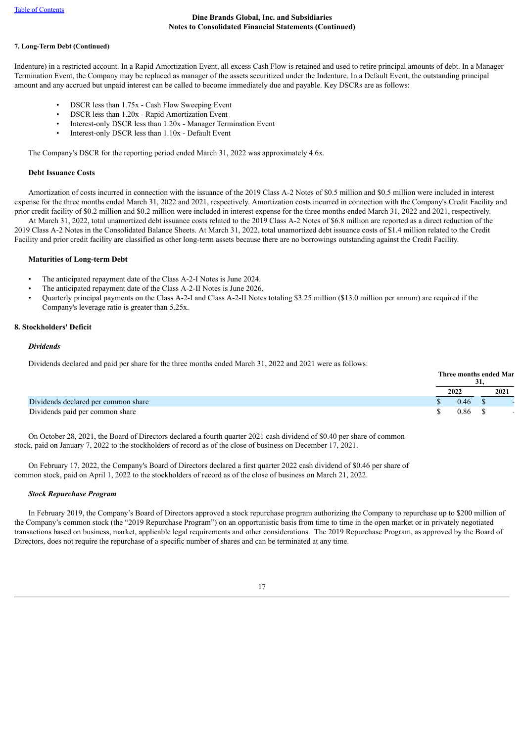### **7. Long-Term Debt (Continued)**

Indenture) in a restricted account. In a Rapid Amortization Event, all excess Cash Flow is retained and used to retire principal amounts of debt. In a Manager Termination Event, the Company may be replaced as manager of the assets securitized under the Indenture. In a Default Event, the outstanding principal amount and any accrued but unpaid interest can be called to become immediately due and payable. Key DSCRs are as follows:

- DSCR less than 1.75x Cash Flow Sweeping Event
- DSCR less than 1.20x Rapid Amortization Event
- Interest-only DSCR less than 1.20x Manager Termination Event
- Interest-only DSCR less than 1.10x Default Event

The Company's DSCR for the reporting period ended March 31, 2022 was approximately 4.6x.

# **Debt Issuance Costs**

Amortization of costs incurred in connection with the issuance of the 2019 Class A-2 Notes of \$0.5 million and \$0.5 million were included in interest expense for the three months ended March 31, 2022 and 2021, respectively. Amortization costs incurred in connection with the Company's Credit Facility and prior credit facility of \$0.2 million and \$0.2 million were included in interest expense for the three months ended March 31, 2022 and 2021, respectively. At March 31, 2022, total unamortized debt issuance costs related to the 2019 Class A-2 Notes of \$6.8 million are reported as a direct reduction of the

2019 Class A-2 Notes in the Consolidated Balance Sheets. At March 31, 2022, total unamortized debt issuance costs of \$1.4 million related to the Credit Facility and prior credit facility are classified as other long-term assets because there are no borrowings outstanding against the Credit Facility.

# **Maturities of Long-term Debt**

- The anticipated repayment date of the Class A-2-I Notes is June 2024.
- The anticipated repayment date of the Class A-2-II Notes is June 2026.
- Quarterly principal payments on the Class A-2-I and Class A-2-II Notes totaling \$3.25 million (\$13.0 million per annum) are required if the Company's leverage ratio is greater than 5.25x.

# **8. Stockholders' Deficit**

# *Dividends*

Dividends declared and paid per share for the three months ended March 31, 2022 and 2021 were as follows:

|                                     | Three months ended Mar | JI. |                          |
|-------------------------------------|------------------------|-----|--------------------------|
|                                     | 2022                   |     | 2021                     |
| Dividends declared per common share | 0.46                   |     |                          |
| Dividends paid per common share     | 0.86                   |     | $\overline{\phantom{a}}$ |

On October 28, 2021, the Board of Directors declared a fourth quarter 2021 cash dividend of \$0.40 per share of common stock, paid on January 7, 2022 to the stockholders of record as of the close of business on December 17, 2021.

On February 17, 2022, the Company's Board of Directors declared a first quarter 2022 cash dividend of \$0.46 per share of common stock, paid on April 1, 2022 to the stockholders of record as of the close of business on March 21, 2022.

#### *Stock Repurchase Program*

In February 2019, the Company's Board of Directors approved a stock repurchase program authorizing the Company to repurchase up to \$200 million of the Company's common stock (the "2019 Repurchase Program") on an opportunistic basis from time to time in the open market or in privately negotiated transactions based on business, market, applicable legal requirements and other considerations. The 2019 Repurchase Program, as approved by the Board of Directors, does not require the repurchase of a specific number of shares and can be terminated at any time.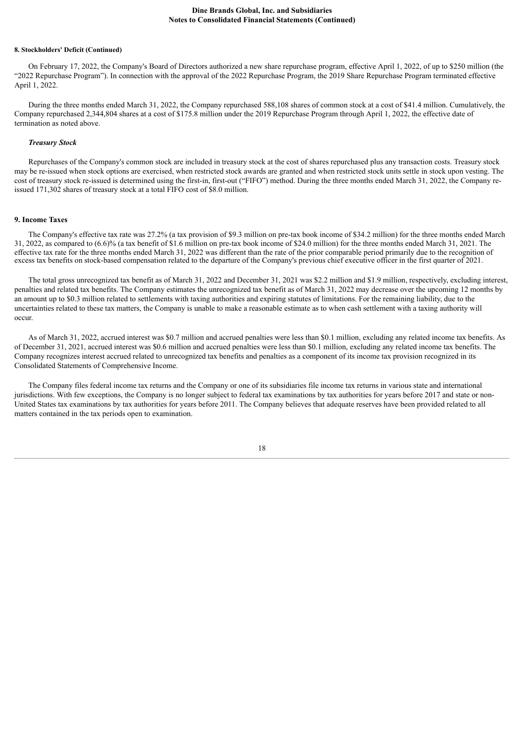#### **8. Stockholders' Deficit (Continued)**

On February 17, 2022, the Company's Board of Directors authorized a new share repurchase program, effective April 1, 2022, of up to \$250 million (the "2022 Repurchase Program"). In connection with the approval of the 2022 Repurchase Program, the 2019 Share Repurchase Program terminated effective April 1, 2022.

During the three months ended March 31, 2022, the Company repurchased 588,108 shares of common stock at a cost of \$41.4 million. Cumulatively, the Company repurchased 2,344,804 shares at a cost of \$175.8 million under the 2019 Repurchase Program through April 1, 2022, the effective date of termination as noted above.

#### *Treasury Stock*

Repurchases of the Company's common stock are included in treasury stock at the cost of shares repurchased plus any transaction costs. Treasury stock may be re-issued when stock options are exercised, when restricted stock awards are granted and when restricted stock units settle in stock upon vesting. The cost of treasury stock re-issued is determined using the first-in, first-out ("FIFO") method. During the three months ended March 31, 2022, the Company reissued 171,302 shares of treasury stock at a total FIFO cost of \$8.0 million.

#### **9. Income Taxes**

The Company's effective tax rate was 27.2% (a tax provision of \$9.3 million on pre-tax book income of \$34.2 million) for the three months ended March 31, 2022, as compared to (6.6)% (a tax benefit of \$1.6 million on pre-tax book income of \$24.0 million) for the three months ended March 31, 2021. The effective tax rate for the three months ended March 31, 2022 was different than the rate of the prior comparable period primarily due to the recognition of excess tax benefits on stock-based compensation related to the departure of the Company's previous chief executive officer in the first quarter of 2021.

The total gross unrecognized tax benefit as of March 31, 2022 and December 31, 2021 was \$2.2 million and \$1.9 million, respectively, excluding interest, penalties and related tax benefits. The Company estimates the unrecognized tax benefit as of March 31, 2022 may decrease over the upcoming 12 months by an amount up to \$0.3 million related to settlements with taxing authorities and expiring statutes of limitations. For the remaining liability, due to the uncertainties related to these tax matters, the Company is unable to make a reasonable estimate as to when cash settlement with a taxing authority will occur.

As of March 31, 2022, accrued interest was \$0.7 million and accrued penalties were less than \$0.1 million, excluding any related income tax benefits. As of December 31, 2021, accrued interest was \$0.6 million and accrued penalties were less than \$0.1 million, excluding any related income tax benefits. The Company recognizes interest accrued related to unrecognized tax benefits and penalties as a component of its income tax provision recognized in its Consolidated Statements of Comprehensive Income.

The Company files federal income tax returns and the Company or one of its subsidiaries file income tax returns in various state and international jurisdictions. With few exceptions, the Company is no longer subject to federal tax examinations by tax authorities for years before 2017 and state or non-United States tax examinations by tax authorities for years before 2011. The Company believes that adequate reserves have been provided related to all matters contained in the tax periods open to examination.

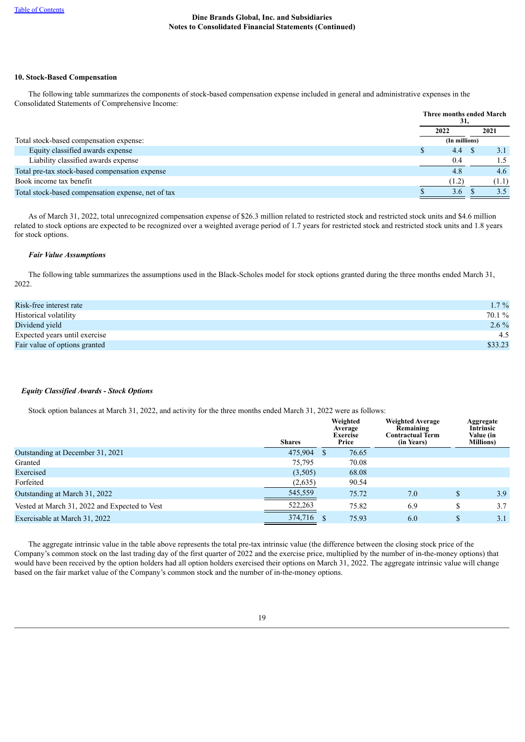# **10. Stock-Based Compensation**

The following table summarizes the components of stock-based compensation expense included in general and administrative expenses in the Consolidated Statements of Comprehensive Income:

|                                                    | Three months ended March<br>31, |  |       |  |
|----------------------------------------------------|---------------------------------|--|-------|--|
|                                                    | 2022                            |  | 2021  |  |
| Total stock-based compensation expense:            | (In millions)                   |  |       |  |
| Equity classified awards expense                   | 4.4                             |  |       |  |
| Liability classified awards expense                | 0.4                             |  | 1.5   |  |
| Total pre-tax stock-based compensation expense     | 4.8                             |  | 4.6   |  |
| Book income tax benefit                            | (1.2)                           |  | (1.1) |  |
| Total stock-based compensation expense, net of tax | 3.6                             |  | 3.5   |  |

As of March 31, 2022, total unrecognized compensation expense of \$26.3 million related to restricted stock and restricted stock units and \$4.6 million related to stock options are expected to be recognized over a weighted average period of 1.7 years for restricted stock and restricted stock units and 1.8 years for stock options.

# *Fair Value Assumptions*

The following table summarizes the assumptions used in the Black-Scholes model for stock options granted during the three months ended March 31, 2022.

| Risk-free interest rate       | $1.7\%$  |
|-------------------------------|----------|
| Historical volatility         | $70.1\%$ |
| Dividend vield                | $2.6\%$  |
| Expected years until exercise | 4.5      |
| Fair value of options granted | \$33.23  |

# *Equity Classified Awards - Stock Options*

Stock option balances at March 31, 2022, and activity for the three months ended March 31, 2022 were as follows:

| <b>Shares</b>                                 |            | Weighted<br>Average<br>Exercise<br>Price | <b>Weighted Average</b><br>Remaining<br><b>Contractual Term</b><br>(in Years) | Aggregate<br><b>Intrinsic</b><br>Value (in<br><b>Millions</b> ) |
|-----------------------------------------------|------------|------------------------------------------|-------------------------------------------------------------------------------|-----------------------------------------------------------------|
| Outstanding at December 31, 2021              | 475,904 \$ | 76.65                                    |                                                                               |                                                                 |
| Granted                                       | 75,795     | 70.08                                    |                                                                               |                                                                 |
| Exercised                                     | (3,505)    | 68.08                                    |                                                                               |                                                                 |
| Forfeited                                     | (2,635)    | 90.54                                    |                                                                               |                                                                 |
| Outstanding at March 31, 2022                 | 545,559    | 75.72                                    | 7.0                                                                           | 3.9                                                             |
| Vested at March 31, 2022 and Expected to Vest | 522,263    | 75.82                                    | 6.9                                                                           | 3.7                                                             |
| Exercisable at March 31, 2022                 | 374,716    | 75.93                                    | 6.0                                                                           | 3.1                                                             |

The aggregate intrinsic value in the table above represents the total pre-tax intrinsic value (the difference between the closing stock price of the Company's common stock on the last trading day of the first quarter of 2022 and the exercise price, multiplied by the number of in-the-money options) that would have been received by the option holders had all option holders exercised their options on March 31, 2022. The aggregate intrinsic value will change based on the fair market value of the Company's common stock and the number of in-the-money options.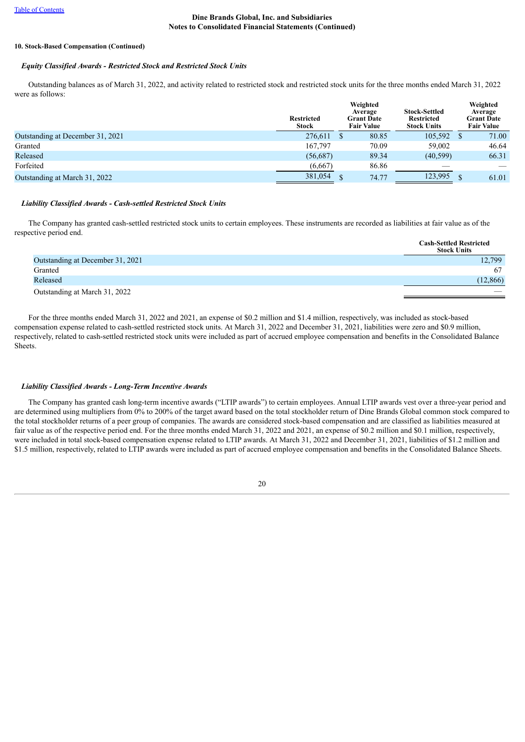#### **10. Stock-Based Compensation (Continued)**

# *Equity Classified Awards - Restricted Stock and Restricted Stock Units*

Outstanding balances as of March 31, 2022, and activity related to restricted stock and restricted stock units for the three months ended March 31, 2022 were as follows:

|                                  | <b>Restricted</b><br><b>Stock</b> | Weighted<br>Average<br><b>Grant Date</b><br><b>Fair Value</b> | <b>Stock-Settled</b><br><b>Restricted</b><br><b>Stock Units</b> | Weighted<br>Average<br><b>Grant Date</b><br><b>Fair Value</b> |
|----------------------------------|-----------------------------------|---------------------------------------------------------------|-----------------------------------------------------------------|---------------------------------------------------------------|
| Outstanding at December 31, 2021 | 276,611                           | 80.85                                                         | 105,592                                                         | 71.00                                                         |
| Granted                          | 167.797                           | 70.09                                                         | 59,002                                                          | 46.64                                                         |
| Released                         | (56,687)                          | 89.34                                                         | (40, 599)                                                       | 66.31                                                         |
| Forfeited                        | (6,667)                           | 86.86                                                         |                                                                 |                                                               |
| Outstanding at March 31, 2022    | 381,054                           | 74.77                                                         | 123,995                                                         | 61.01                                                         |

# *Liability Classified Awards - Cash-settled Restricted Stock Units*

The Company has granted cash-settled restricted stock units to certain employees. These instruments are recorded as liabilities at fair value as of the respective period end.

|                                  | <b>Cash-Settled Restricted</b><br><b>Stock Units</b> |
|----------------------------------|------------------------------------------------------|
| Outstanding at December 31, 2021 | 12,799                                               |
| Granted                          | 67                                                   |
| Released                         | (12, 866)                                            |
| Outstanding at March 31, 2022    |                                                      |

For the three months ended March 31, 2022 and 2021, an expense of \$0.2 million and \$1.4 million, respectively, was included as stock-based compensation expense related to cash-settled restricted stock units. At March 31, 2022 and December 31, 2021, liabilities were zero and \$0.9 million, respectively, related to cash-settled restricted stock units were included as part of accrued employee compensation and benefits in the Consolidated Balance Sheets.

# *Liability Classified Awards - Long-Term Incentive Awards*

The Company has granted cash long-term incentive awards ("LTIP awards") to certain employees. Annual LTIP awards vest over a three-year period and are determined using multipliers from 0% to 200% of the target award based on the total stockholder return of Dine Brands Global common stock compared to the total stockholder returns of a peer group of companies. The awards are considered stock-based compensation and are classified as liabilities measured at fair value as of the respective period end. For the three months ended March 31, 2022 and 2021, an expense of \$0.2 million and \$0.1 million, respectively. were included in total stock-based compensation expense related to LTIP awards. At March 31, 2022 and December 31, 2021, liabilities of \$1.2 million and \$1.5 million, respectively, related to LTIP awards were included as part of accrued employee compensation and benefits in the Consolidated Balance Sheets.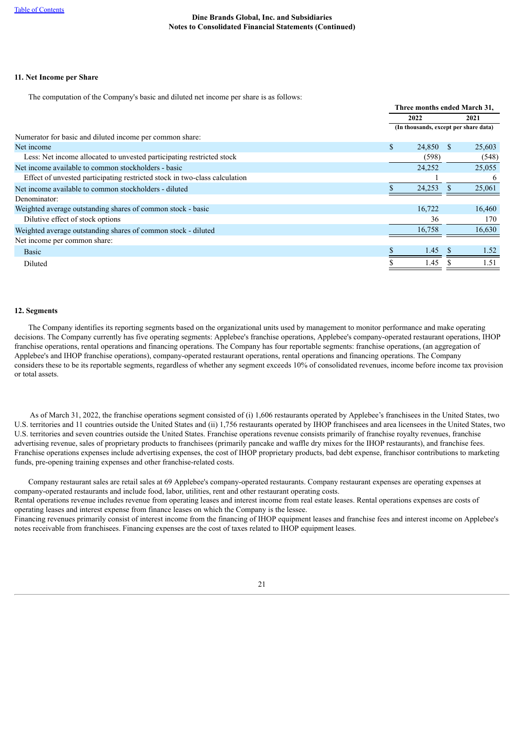#### **11. Net Income per Share**

The computation of the Company's basic and diluted net income per share is as follows:

|                                                                            |              | Three months ended March 31, |                                       |  |  |
|----------------------------------------------------------------------------|--------------|------------------------------|---------------------------------------|--|--|
|                                                                            | 2022         |                              | 2021                                  |  |  |
|                                                                            |              |                              | (In thousands, except per share data) |  |  |
| Numerator for basic and diluted income per common share:                   |              |                              |                                       |  |  |
| Net income                                                                 | 24,850<br>\$ | <sup>S</sup>                 | 25,603                                |  |  |
| Less: Net income allocated to unvested participating restricted stock      | (598)        |                              | (548)                                 |  |  |
| Net income available to common stockholders - basic                        | 24,252       |                              | 25,055                                |  |  |
| Effect of unvested participating restricted stock in two-class calculation |              |                              | 6                                     |  |  |
| Net income available to common stockholders - diluted                      | 24,253       |                              | 25,061                                |  |  |
| Denominator:                                                               |              |                              |                                       |  |  |
| Weighted average outstanding shares of common stock - basic                | 16.722       |                              | 16,460                                |  |  |
| Dilutive effect of stock options                                           |              | 36                           | 170                                   |  |  |
| Weighted average outstanding shares of common stock - diluted              | 16,758       |                              | 16,630                                |  |  |
| Net income per common share:                                               |              |                              |                                       |  |  |
| <b>Basic</b>                                                               | 1.45         | -S                           | 1.52                                  |  |  |
| Diluted                                                                    | 1.45         |                              | 1.51                                  |  |  |
|                                                                            |              |                              |                                       |  |  |

#### **12. Segments**

The Company identifies its reporting segments based on the organizational units used by management to monitor performance and make operating decisions. The Company currently has five operating segments: Applebee's franchise operations, Applebee's company-operated restaurant operations, IHOP franchise operations, rental operations and financing operations. The Company has four reportable segments: franchise operations, (an aggregation of Applebee's and IHOP franchise operations), company-operated restaurant operations, rental operations and financing operations. The Company considers these to be its reportable segments, regardless of whether any segment exceeds 10% of consolidated revenues, income before income tax provision or total assets.

As of March 31, 2022, the franchise operations segment consisted of (i) 1,606 restaurants operated by Applebee's franchisees in the United States, two U.S. territories and 11 countries outside the United States and (ii) 1,756 restaurants operated by IHOP franchisees and area licensees in the United States, two U.S. territories and seven countries outside the United States. Franchise operations revenue consists primarily of franchise royalty revenues, franchise advertising revenue, sales of proprietary products to franchisees (primarily pancake and waffle dry mixes for the IHOP restaurants), and franchise fees. Franchise operations expenses include advertising expenses, the cost of IHOP proprietary products, bad debt expense, franchisor contributions to marketing funds, pre-opening training expenses and other franchise-related costs.

Company restaurant sales are retail sales at 69 Applebee's company-operated restaurants. Company restaurant expenses are operating expenses at company-operated restaurants and include food, labor, utilities, rent and other restaurant operating costs.

Rental operations revenue includes revenue from operating leases and interest income from real estate leases. Rental operations expenses are costs of operating leases and interest expense from finance leases on which the Company is the lessee.

Financing revenues primarily consist of interest income from the financing of IHOP equipment leases and franchise fees and interest income on Applebee's notes receivable from franchisees. Financing expenses are the cost of taxes related to IHOP equipment leases.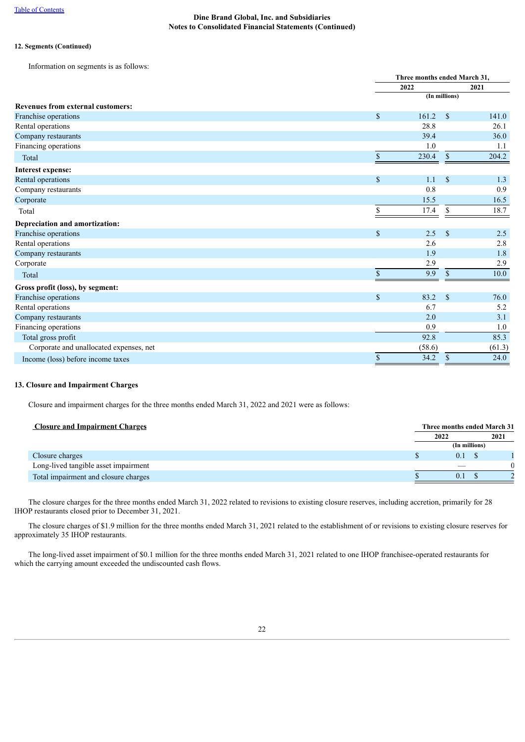#### **12. Segments (Continued)**

Information on segments is as follows:

|                                          |              | Three months ended March 31, |        |  |
|------------------------------------------|--------------|------------------------------|--------|--|
|                                          |              | 2022                         | 2021   |  |
|                                          |              | (In millions)                |        |  |
| <b>Revenues from external customers:</b> |              |                              |        |  |
| Franchise operations                     | $\mathbb{S}$ | 161.2<br>$\mathbb{S}$        | 141.0  |  |
| Rental operations                        |              | 28.8                         | 26.1   |  |
| Company restaurants                      |              | 39.4                         | 36.0   |  |
| Financing operations                     |              | 1.0                          | 1.1    |  |
| Total                                    | \$           | $\mathbb{S}$<br>230.4        | 204.2  |  |
| Interest expense:                        |              |                              |        |  |
| Rental operations                        | $\mathbb{S}$ | $\mathbb{S}$<br>1.1          | 1.3    |  |
| Company restaurants                      |              | 0.8                          | 0.9    |  |
| Corporate                                |              | 15.5                         | 16.5   |  |
| Total                                    | \$           | 17.4<br>\$                   | 18.7   |  |
| Depreciation and amortization:           |              |                              |        |  |
| Franchise operations                     | $\mathbb{S}$ | $\mathbb{S}$<br>2.5          | 2.5    |  |
| Rental operations                        |              | 2.6                          | 2.8    |  |
| Company restaurants                      |              | 1.9                          | 1.8    |  |
| Corporate                                |              | 2.9                          | 2.9    |  |
| Total                                    | \$           | 9.9<br>$\mathbf S$           | 10.0   |  |
| Gross profit (loss), by segment:         |              |                              |        |  |
| Franchise operations                     | $\mathbb{S}$ | 83.2<br>$\mathcal{S}$        | 76.0   |  |
| Rental operations                        |              | 6.7                          | 5.2    |  |
| Company restaurants                      |              | 2.0                          | 3.1    |  |
| Financing operations                     |              | 0.9                          | 1.0    |  |
| Total gross profit                       |              | 92.8                         | 85.3   |  |
| Corporate and unallocated expenses, net  |              | (58.6)                       | (61.3) |  |
| Income (loss) before income taxes        | \$           | $\mathbf S$<br>34.2          | 24.0   |  |

# **13. Closure and Impairment Charges**

Closure and impairment charges for the three months ended March 31, 2022 and 2021 were as follows:

| <b>Closure and Impairment Charges</b> |      |               | Three months ended March 31 |  |  |
|---------------------------------------|------|---------------|-----------------------------|--|--|
|                                       | 2022 |               | 2021                        |  |  |
|                                       |      | (In millions) |                             |  |  |
| Closure charges                       |      | 0.1           |                             |  |  |
| Long-lived tangible asset impairment  |      |               |                             |  |  |
| Total impairment and closure charges  |      | 0.1           |                             |  |  |

The closure charges for the three months ended March 31, 2022 related to revisions to existing closure reserves, including accretion, primarily for 28 IHOP restaurants closed prior to December 31, 2021.

The closure charges of \$1.9 million for the three months ended March 31, 2021 related to the establishment of or revisions to existing closure reserves for approximately 35 IHOP restaurants.

The long-lived asset impairment of \$0.1 million for the three months ended March 31, 2021 related to one IHOP franchisee-operated restaurants for which the carrying amount exceeded the undiscounted cash flows.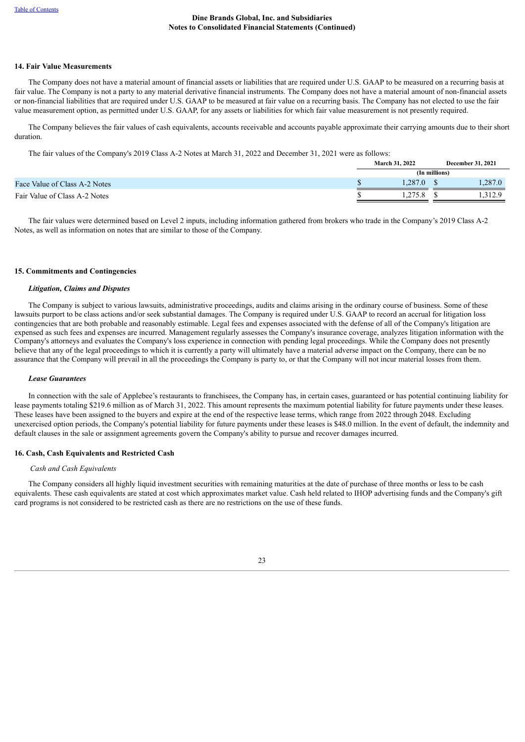# **14. Fair Value Measurements**

The Company does not have a material amount of financial assets or liabilities that are required under U.S. GAAP to be measured on a recurring basis at fair value. The Company is not a party to any material derivative financial instruments. The Company does not have a material amount of non-financial assets or non-financial liabilities that are required under U.S. GAAP to be measured at fair value on a recurring basis. The Company has not elected to use the fair value measurement option, as permitted under U.S. GAAP, for any assets or liabilities for which fair value measurement is not presently required.

The Company believes the fair values of cash equivalents, accounts receivable and accounts payable approximate their carrying amounts due to their short duration.

**March 31, 2022 December 31, 2021**

The fair values of the Company's 2019 Class A-2 Notes at March 31, 2022 and December 31, 2021 were as follows:

|                               |               | 19141 CH 91, 2022 |  | - December 91, 2021 |
|-------------------------------|---------------|-------------------|--|---------------------|
|                               | (In millions) |                   |  |                     |
| Face Value of Class A-2 Notes |               | .287.0            |  | .287.0              |
| Fair Value of Class A-2 Notes |               | .275.8            |  | 1,312.9             |

The fair values were determined based on Level 2 inputs, including information gathered from brokers who trade in the Company's 2019 Class A-2 Notes, as well as information on notes that are similar to those of the Company.

#### **15. Commitments and Contingencies**

#### *Litigation, Claims and Disputes*

The Company is subject to various lawsuits, administrative proceedings, audits and claims arising in the ordinary course of business. Some of these lawsuits purport to be class actions and/or seek substantial damages. The Company is required under U.S. GAAP to record an accrual for litigation loss contingencies that are both probable and reasonably estimable. Legal fees and expenses associated with the defense of all of the Company's litigation are expensed as such fees and expenses are incurred. Management regularly assesses the Company's insurance coverage, analyzes litigation information with the Company's attorneys and evaluates the Company's loss experience in connection with pending legal proceedings. While the Company does not presently believe that any of the legal proceedings to which it is currently a party will ultimately have a material adverse impact on the Company, there can be no assurance that the Company will prevail in all the proceedings the Company is party to, or that the Company will not incur material losses from them.

#### *Lease Guarantees*

In connection with the sale of Applebee's restaurants to franchisees, the Company has, in certain cases, guaranteed or has potential continuing liability for lease payments totaling \$219.6 million as of March 31, 2022. This amount represents the maximum potential liability for future payments under these leases. These leases have been assigned to the buyers and expire at the end of the respective lease terms, which range from 2022 through 2048. Excluding unexercised option periods, the Company's potential liability for future payments under these leases is \$48.0 million. In the event of default, the indemnity and default clauses in the sale or assignment agreements govern the Company's ability to pursue and recover damages incurred.

#### **16. Cash, Cash Equivalents and Restricted Cash**

#### *Cash and Cash Equivalents*

The Company considers all highly liquid investment securities with remaining maturities at the date of purchase of three months or less to be cash equivalents. These cash equivalents are stated at cost which approximates market value. Cash held related to IHOP advertising funds and the Company's gift card programs is not considered to be restricted cash as there are no restrictions on the use of these funds.

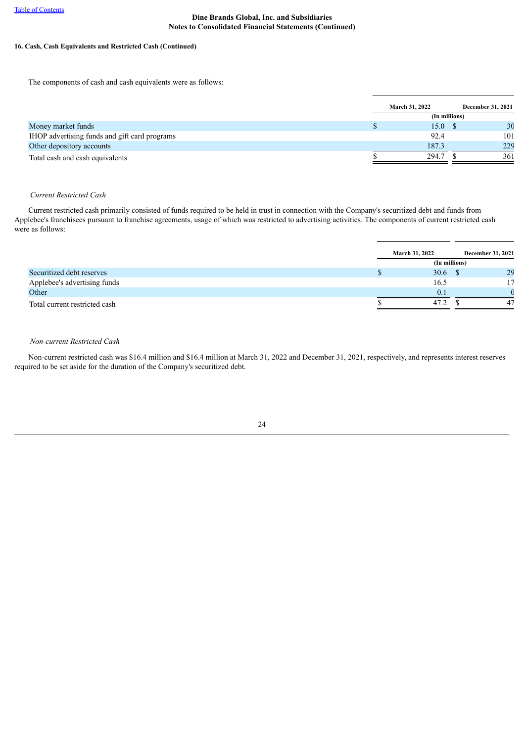# **16. Cash, Cash Equivalents and Restricted Cash (Continued)**

The components of cash and cash equivalents were as follows:

|                                               | <b>March 31, 2022</b> | <b>December 31, 2021</b> |     |  |
|-----------------------------------------------|-----------------------|--------------------------|-----|--|
|                                               | (In millions)         |                          |     |  |
| Money market funds                            | 15.0 S                |                          | 30  |  |
| IHOP advertising funds and gift card programs | 92.4                  |                          | 101 |  |
| Other depository accounts                     | 187.3                 |                          | 229 |  |
| Total cash and cash equivalents               | 294.7                 |                          | 361 |  |

# *Current Restricted Cash*

Current restricted cash primarily consisted of funds required to be held in trust in connection with the Company's securitized debt and funds from Applebee's franchisees pursuant to franchise agreements, usage of which was restricted to advertising activities. The components of current restricted cash were as follows:

|                               | March 31, 2022 | December 31, 2021 |    |  |
|-------------------------------|----------------|-------------------|----|--|
|                               | (In millions)  |                   |    |  |
| Securitized debt reserves     | $30.6$ \$      |                   | 29 |  |
| Applebee's advertising funds  | 16.5           |                   | 17 |  |
| Other                         | 0.1            |                   |    |  |
| Total current restricted cash | 47.2           |                   | 47 |  |

# *Non-current Restricted Cash*

<span id="page-24-0"></span>Non-current restricted cash was \$16.4 million and \$16.4 million at March 31, 2022 and December 31, 2021, respectively, and represents interest reserves required to be set aside for the duration of the Company's securitized debt.

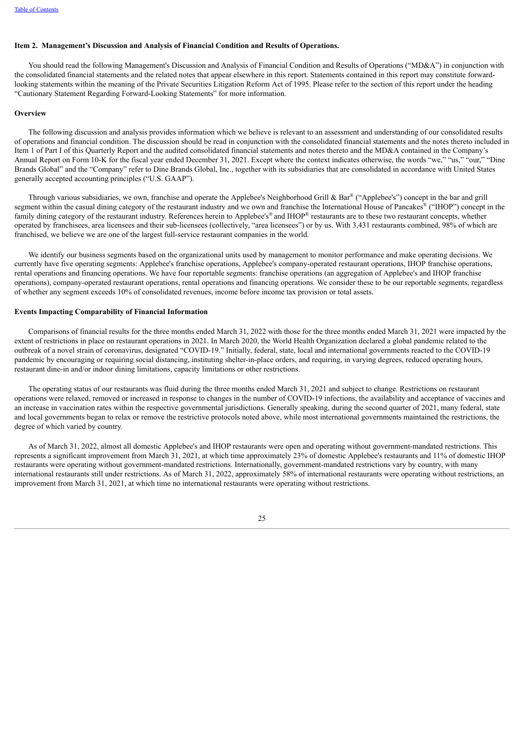# **Item 2. Management's Discussion and Analysis of Financial Condition and Results of Operations.**

You should read the following Management's Discussion and Analysis of Financial Condition and Results of Operations ("MD&A") in conjunction with the consolidated financial statements and the related notes that appear elsewhere in this report. Statements contained in this report may constitute forwardlooking statements within the meaning of the Private Securities Litigation Reform Act of 1995. Please refer to the section of this report under the heading "Cautionary Statement Regarding Forward-Looking Statements" for more information.

#### **Overview**

The following discussion and analysis provides information which we believe is relevant to an assessment and understanding of our consolidated results of operations and financial condition. The discussion should be read in conjunction with the consolidated financial statements and the notes thereto included in Item 1 of Part I of this Quarterly Report and the audited consolidated financial statements and notes thereto and the MD&A contained in the Company's Annual Report on Form 10-K for the fiscal year ended December 31, 2021. Except where the context indicates otherwise, the words "we," "us," "our," "Dine Brands Global" and the "Company" refer to Dine Brands Global, Inc., together with its subsidiaries that are consolidated in accordance with United States generally accepted accounting principles ("U.S. GAAP").

Through various subsidiaries, we own, franchise and operate the Applebee's Neighborhood Grill & Bar® ("Applebee's") concept in the bar and grill segment within the casual dining category of the restaurant industry and we own and franchise the International House of Pancakes® ("IHOP") concept in the family dining category of the restaurant industry. References herein to Applebee's<sup>®</sup> and IHOP<sup>®</sup> restaurants are to these two restaurant concepts, whether operated by franchisees, area licensees and their sub-licensees (collectively, "area licensees") or by us. With 3,431 restaurants combined, 98% of which are franchised, we believe we are one of the largest full-service restaurant companies in the world.

We identify our business segments based on the organizational units used by management to monitor performance and make operating decisions. We currently have five operating segments: Applebee's franchise operations, Applebee's company-operated restaurant operations, IHOP franchise operations, rental operations and financing operations. We have four reportable segments: franchise operations (an aggregation of Applebee's and IHOP franchise operations), company-operated restaurant operations, rental operations and financing operations. We consider these to be our reportable segments, regardless of whether any segment exceeds 10% of consolidated revenues, income before income tax provision or total assets.

### **Events Impacting Comparability of Financial Information**

Comparisons of financial results for the three months ended March 31, 2022 with those for the three months ended March 31, 2021 were impacted by the extent of restrictions in place on restaurant operations in 2021. In March 2020, the World Health Organization declared a global pandemic related to the outbreak of a novel strain of coronavirus, designated "COVID-19." Initially, federal, state, local and international governments reacted to the COVID-19 pandemic by encouraging or requiring social distancing, instituting shelter-in-place orders, and requiring, in varying degrees, reduced operating hours, restaurant dine-in and/or indoor dining limitations, capacity limitations or other restrictions.

The operating status of our restaurants was fluid during the three months ended March 31, 2021 and subject to change. Restrictions on restaurant operations were relaxed, removed or increased in response to changes in the number of COVID-19 infections, the availability and acceptance of vaccines and an increase in vaccination rates within the respective governmental jurisdictions. Generally speaking, during the second quarter of 2021, many federal, state and local governments began to relax or remove the restrictive protocols noted above, while most international governments maintained the restrictions, the degree of which varied by country.

As of March 31, 2022, almost all domestic Applebee's and IHOP restaurants were open and operating without government-mandated restrictions. This represents a significant improvement from March 31, 2021, at which time approximately 23% of domestic Applebee's restaurants and 11% of domestic IHOP restaurants were operating without government-mandated restrictions. Internationally, government-mandated restrictions vary by country, with many international restaurants still under restrictions. As of March 31, 2022, approximately 58% of international restaurants were operating without restrictions, an improvement from March 31, 2021, at which time no international restaurants were operating without restrictions.

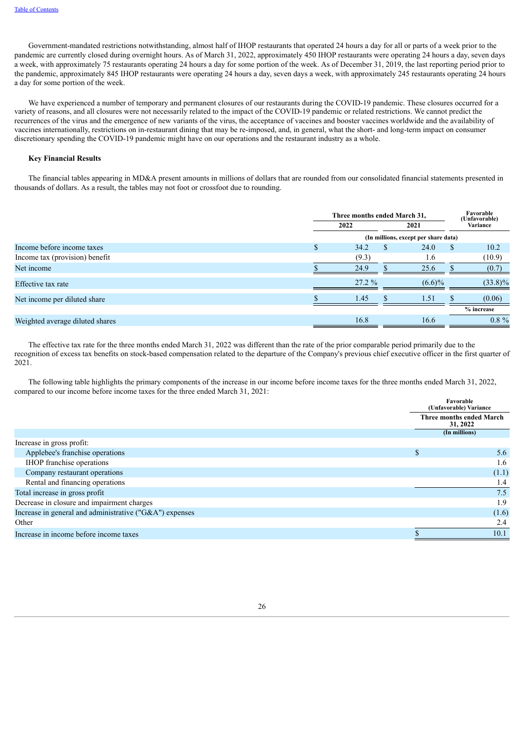Government-mandated restrictions notwithstanding, almost half of IHOP restaurants that operated 24 hours a day for all or parts of a week prior to the pandemic are currently closed during overnight hours. As of March 31, 2022, approximately 450 IHOP restaurants were operating 24 hours a day, seven days a week, with approximately 75 restaurants operating 24 hours a day for some portion of the week. As of December 31, 2019, the last reporting period prior to the pandemic, approximately 845 IHOP restaurants were operating 24 hours a day, seven days a week, with approximately 245 restaurants operating 24 hours a day for some portion of the week.

We have experienced a number of temporary and permanent closures of our restaurants during the COVID-19 pandemic. These closures occurred for a variety of reasons, and all closures were not necessarily related to the impact of the COVID-19 pandemic or related restrictions. We cannot predict the recurrences of the virus and the emergence of new variants of the virus, the acceptance of vaccines and booster vaccines worldwide and the availability of vaccines internationally, restrictions on in-restaurant dining that may be re-imposed, and, in general, what the short- and long-term impact on consumer discretionary spending the COVID-19 pandemic might have on our operations and the restaurant industry as a whole.

# **Key Financial Results**

The financial tables appearing in MD&A present amounts in millions of dollars that are rounded from our consolidated financial statements presented in thousands of dollars. As a result, the tables may not foot or crossfoot due to rounding.

|                                 | Three months ended March 31, |           |  |                                      |               | Favorable<br>(Unfavorable) |
|---------------------------------|------------------------------|-----------|--|--------------------------------------|---------------|----------------------------|
|                                 |                              | 2022      |  | 2021                                 |               | Variance                   |
|                                 |                              |           |  | (In millions, except per share data) |               |                            |
| Income before income taxes      | S                            | 34.2      |  | 24.0                                 | <sup>\$</sup> | 10.2                       |
| Income tax (provision) benefit  |                              | (9.3)     |  | 1.6                                  |               | (10.9)                     |
| Net income                      |                              | 24.9      |  | 25.6                                 |               | (0.7)                      |
| Effective tax rate              |                              | $27.2 \%$ |  | $(6.6)\%$                            |               | $(33.8)\%$                 |
| Net income per diluted share    |                              | 1.45      |  | 1.51                                 |               | (0.06)                     |
|                                 |                              |           |  |                                      |               | % increase                 |
| Weighted average diluted shares |                              | 16.8      |  | 16.6                                 |               | $0.8 \%$                   |

The effective tax rate for the three months ended March 31, 2022 was different than the rate of the prior comparable period primarily due to the recognition of excess tax benefits on stock-based compensation related to the departure of the Company's previous chief executive officer in the first quarter of 2021.

The following table highlights the primary components of the increase in our income before income taxes for the three months ended March 31, 2022, compared to our income before income taxes for the three ended March 31, 2021:

|                                                         | Favorable<br>(Unfavorable) Variance         |
|---------------------------------------------------------|---------------------------------------------|
|                                                         | <b>Three months ended March</b><br>31, 2022 |
|                                                         | (In millions)                               |
| Increase in gross profit:                               |                                             |
| Applebee's franchise operations                         | 5.6                                         |
| <b>IHOP</b> franchise operations                        | 1.6                                         |
| Company restaurant operations                           | (1.1)                                       |
| Rental and financing operations                         | 1.4                                         |
| Total increase in gross profit                          | 7.5                                         |
| Decrease in closure and impairment charges              | 1.9                                         |
| Increase in general and administrative ("G&A") expenses | (1.6)                                       |
| Other                                                   | 2.4                                         |
| Increase in income before income taxes                  | 10.1                                        |
|                                                         |                                             |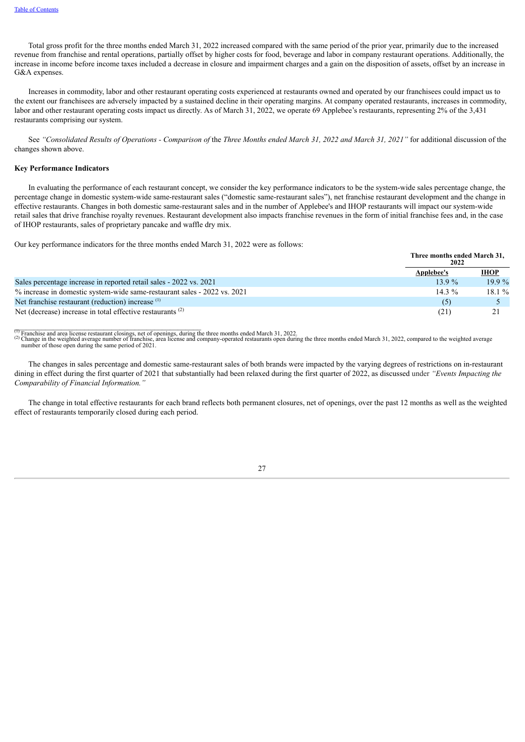Total gross profit for the three months ended March 31, 2022 increased compared with the same period of the prior year, primarily due to the increased revenue from franchise and rental operations, partially offset by higher costs for food, beverage and labor in company restaurant operations. Additionally, the increase in income before income taxes included a decrease in closure and impairment charges and a gain on the disposition of assets, offset by an increase in G&A expenses.

Increases in commodity, labor and other restaurant operating costs experienced at restaurants owned and operated by our franchisees could impact us to the extent our franchisees are adversely impacted by a sustained decline in their operating margins. At company operated restaurants, increases in commodity, labor and other restaurant operating costs impact us directly. As of March 31, 2022, we operate 69 Applebee's restaurants, representing 2% of the 3,431 restaurants comprising our system.

See "Consolidated Results of Operations - Comparison of the Three Months ended March 31, 2022 and March 31, 2021" for additional discussion of the changes shown above.

# **Key Performance Indicators**

In evaluating the performance of each restaurant concept, we consider the key performance indicators to be the system-wide sales percentage change, the percentage change in domestic system-wide same-restaurant sales ("domestic same-restaurant sales"), net franchise restaurant development and the change in effective restaurants. Changes in both domestic same-restaurant sales and in the number of Applebee's and IHOP restaurants will impact our system-wide retail sales that drive franchise royalty revenues. Restaurant development also impacts franchise revenues in the form of initial franchise fees and, in the case of IHOP restaurants, sales of proprietary pancake and waffle dry mix.

Our key performance indicators for the three months ended March 31, 2022 were as follows:

|                                                                          | Three months ended March 31,<br>2022 |             |
|--------------------------------------------------------------------------|--------------------------------------|-------------|
|                                                                          | <b>Applebee's</b>                    | <b>IHOP</b> |
| Sales percentage increase in reported retail sales - 2022 vs. 2021       | $13.9\%$                             | $19.9\%$    |
| % increase in domestic system-wide same-restaurant sales - 2022 vs. 2021 | $14.3\%$                             | $18.1 \%$   |
| Net franchise restaurant (reduction) increase <sup>(1)</sup>             | (5)                                  |             |
| Net (decrease) increase in total effective restaurants $(2)$             | (21)                                 |             |

(1) (2)

<sup>(1)</sup> Franchise and area license restaurant closings, net of openings, during the three months ended March 31, 2022.<br><sup>(2)</sup> Change in the weighted average number of franchise, area license and company-operated restaurants o number of those open during the same period of 2021.

The changes in sales percentage and domestic same-restaurant sales of both brands were impacted by the varying degrees of restrictions on in-restaurant dining in effect during the first quarter of 2021 that substantially had been relaxed during the first quarter of 2022, as discussed under *"Events Impacting the Comparability of Financial Information."*

The change in total effective restaurants for each brand reflects both permanent closures, net of openings, over the past 12 months as well as the weighted effect of restaurants temporarily closed during each period.

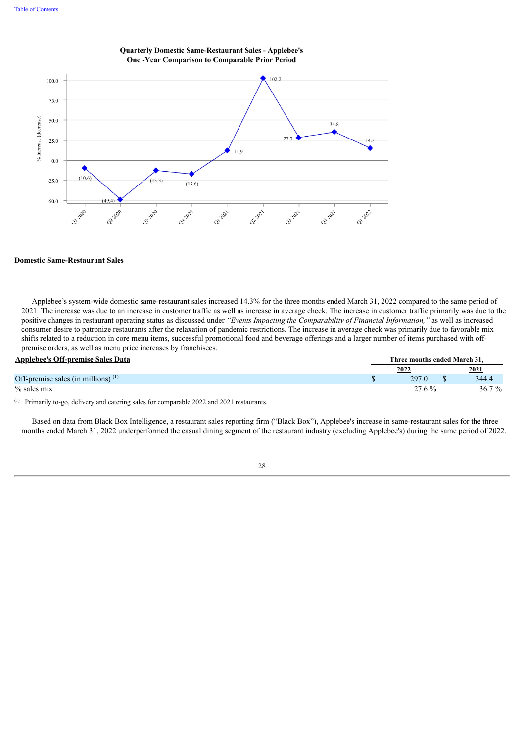



#### **Domestic Same-Restaurant Sales**

Applebee's system-wide domestic same-restaurant sales increased 14.3% for the three months ended March 31, 2022 compared to the same period of 2021. The increase was due to an increase in customer traffic as well as increase in average check. The increase in customer traffic primarily was due to the positive changes in restaurant operating status as discussed under *"Events Impacting the Comparability of Financial Information,"* as well as increased consumer desire to patronize restaurants after the relaxation of pandemic restrictions. The increase in average check was primarily due to favorable mix shifts related to a reduction in core menu items, successful promotional food and beverage offerings and a larger number of items purchased with offpremise orders, as well as menu price increases by franchisees.

| <b>Applebee's Off-premise Sales Data</b> | Three months ended March 31, |           |  |          |
|------------------------------------------|------------------------------|-----------|--|----------|
|                                          |                              | 2022      |  | 2021     |
| Off-premise sales (in millions) $(1)$    |                              | 297.0     |  | 344.4    |
| $%$ sales mix                            |                              | $27.6 \%$ |  | $36.7\%$ |

 $(1)$  Primarily to-go, delivery and catering sales for comparable 2022 and 2021 restaurants.

Based on data from Black Box Intelligence, a restaurant sales reporting firm ("Black Box"), Applebee's increase in same-restaurant sales for the three months ended March 31, 2022 underperformed the casual dining segment of the restaurant industry (excluding Applebee's) during the same period of 2022.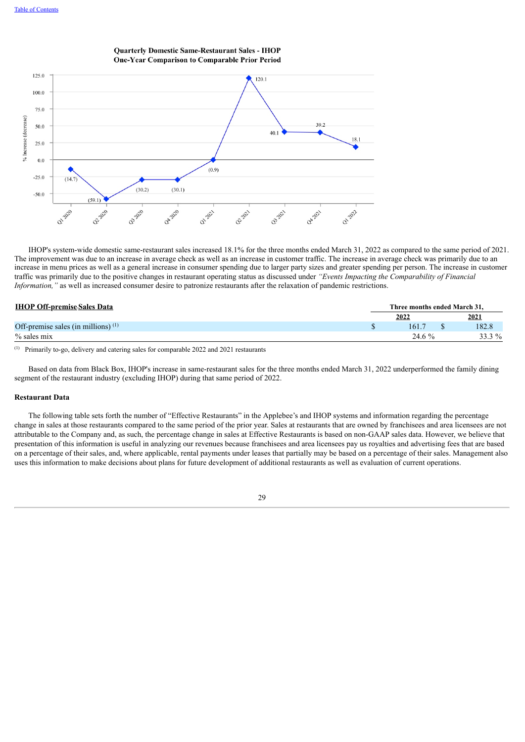

**Quarterly Domestic Same-Restaurant Sales - IHOP One-Year Comparison to Comparable Prior Period** 

IHOP's system-wide domestic same-restaurant sales increased 18.1% for the three months ended March 31, 2022 as compared to the same period of 2021. The improvement was due to an increase in average check as well as an increase in customer traffic. The increase in average check was primarily due to an increase in menu prices as well as a general increase in consumer spending due to larger party sizes and greater spending per person. The increase in customer traffic was primarily due to the positive changes in restaurant operating status as discussed under *"Events Impacting the Comparability of Financial Information,"* as well as increased consumer desire to patronize restaurants after the relaxation of pandemic restrictions.

# **IHOP Off-premise Sales Data Three months ended March 31,**

|                                       |              | 2022  | 2021                   |
|---------------------------------------|--------------|-------|------------------------|
| Off-premise sales (in millions) $(1)$ | $\mathbf{v}$ | 161.7 | 182.8                  |
| % sales mix                           |              | 60/   | $3\frac{0}{6}$<br>JJ.J |

 $(1)$  Primarily to-go, delivery and catering sales for comparable 2022 and 2021 restaurants

Based on data from Black Box, IHOP's increase in same-restaurant sales for the three months ended March 31, 2022 underperformed the family dining segment of the restaurant industry (excluding IHOP) during that same period of 2022.

#### **Restaurant Data**

The following table sets forth the number of "Effective Restaurants" in the Applebee's and IHOP systems and information regarding the percentage change in sales at those restaurants compared to the same period of the prior year. Sales at restaurants that are owned by franchisees and area licensees are not attributable to the Company and, as such, the percentage change in sales at Effective Restaurants is based on non-GAAP sales data. However, we believe that presentation of this information is useful in analyzing our revenues because franchisees and area licensees pay us royalties and advertising fees that are based on a percentage of their sales, and, where applicable, rental payments under leases that partially may be based on a percentage of their sales. Management also uses this information to make decisions about plans for future development of additional restaurants as well as evaluation of current operations.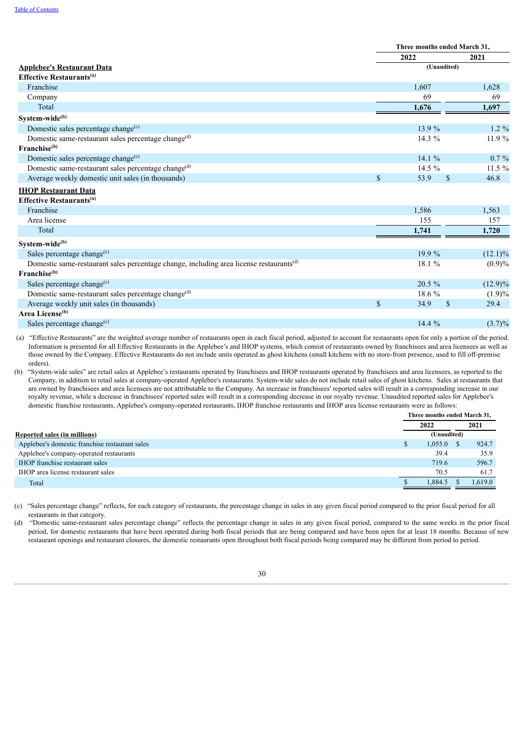|                                                                                                     |              | Three months ended March 31, |            |  |
|-----------------------------------------------------------------------------------------------------|--------------|------------------------------|------------|--|
|                                                                                                     |              | 2022                         | 2021       |  |
| <b>Applebee's Restaurant Data</b>                                                                   |              | (Unaudited)                  |            |  |
| <b>Effective Restaurants</b> <sup>(a)</sup>                                                         |              |                              |            |  |
| Franchise                                                                                           |              | 1,607                        | 1,628      |  |
| Company                                                                                             |              | 69                           | 69         |  |
| Total                                                                                               |              | 1,676                        | 1,697      |  |
| System-wide <sup>(b)</sup>                                                                          |              |                              |            |  |
| Domestic sales percentage change <sup>(c)</sup>                                                     |              | 13.9 %                       | $1.2\%$    |  |
| Domestic same-restaurant sales percentage change <sup>(d)</sup>                                     |              | 14.3 %                       | 11.9%      |  |
| Franchise <sup>(b)</sup>                                                                            |              |                              |            |  |
| Domestic sales percentage change <sup>(c)</sup>                                                     |              | 14.1%                        | $0.7\%$    |  |
| Domestic same-restaurant sales percentage change <sup>(d)</sup>                                     |              | $14.5\%$                     | $11.5\%$   |  |
| Average weekly domestic unit sales (in thousands)                                                   | $\mathbb{S}$ | 53.9<br>$\mathbb{S}$         | 46.8       |  |
| <b>IHOP Restaurant Data</b>                                                                         |              |                              |            |  |
| <b>Effective Restaurants</b> <sup>(a)</sup>                                                         |              |                              |            |  |
| Franchise                                                                                           |              | 1,586                        | 1,563      |  |
| Area license                                                                                        |              | 155                          | 157        |  |
| Total                                                                                               |              | 1,741                        | 1,720      |  |
| System-wide <sup>(b)</sup>                                                                          |              |                              |            |  |
| Sales percentage change <sup>(c)</sup>                                                              |              | 19.9%                        | $(12.1)\%$ |  |
| Domestic same-restaurant sales percentage change, including area license restaurants <sup>(d)</sup> |              | 18.1 %                       | $(0.9)\%$  |  |
| Franchise <sup>(b)</sup>                                                                            |              |                              |            |  |
| Sales percentage change <sup>(c)</sup>                                                              |              | 20.5 %                       | $(12.9)\%$ |  |
| Domestic same-restaurant sales percentage change <sup>(d)</sup>                                     |              | 18.6 %                       | $(1.9)\%$  |  |
| Average weekly unit sales (in thousands)                                                            | \$           | 34.9<br>$\mathbb{S}$         | 29.4       |  |
| Area License <sup>(b)</sup>                                                                         |              |                              |            |  |
| Sales percentage change <sup>(c)</sup>                                                              |              | 14.4 %                       | $(3.7)\%$  |  |
|                                                                                                     |              |                              |            |  |

(a) "Effective Restaurants" are the weighted average number of restaurants open in each fiscal period, adjusted to account for restaurants open for only a portion of the period. Information is presented for all Effective Restaurants in the Applebee's and IHOP systems, which consist of restaurants owned by franchisees and area licensees as well as those owned by the Company. Effective Restaurants do not include units operated as ghost kitchens (small kitchens with no store-front presence, used to fill off-premise orders).

(b) "System-wide sales" are retail sales at Applebee's restaurants operated by franchisees and IHOP restaurants operated by franchisees and area licensees, as reported to the Company, in addition to retail sales at company-operated Applebee's restaurants. System-wide sales do not include retail sales of ghost kitchens. Sales at restaurants that are owned by franchisees and area licensees are not attributable to the Company. An increase in franchisees' reported sales will result in a corresponding increase in our royalty revenue, while a decrease in franchisees' reported sales will result in a corresponding decrease in our royalty revenue. Unaudited reported sales for Applebee's domestic franchise restaurants, Applebee's company-operated restaurants, IHOP franchise restaurants and IHOP area license restaurants were as follows:

|                                                |  | Three months ended March 31. |         |
|------------------------------------------------|--|------------------------------|---------|
|                                                |  | 2022                         | 2021    |
| <b>Reported sales (in millions)</b>            |  | (Unaudited)                  |         |
| Applebee's domestic franchise restaurant sales |  | 1,055.0                      | 924.7   |
| Applebee's company-operated restaurants        |  | 39.4                         | 35.9    |
| <b>IHOP</b> franchise restaurant sales         |  | 719.6                        | 596.7   |
| IHOP area license restaurant sales             |  | 70.5                         | 61.7    |
| Total                                          |  | 1,884.5                      | 1.619.0 |

(c) "Sales percentage change" reflects, for each category of restaurants, the percentage change in sales in any given fiscal period compared to the prior fiscal period for all restaurants in that category.

(d) "Domestic same-restaurant sales percentage change" reflects the percentage change in sales in any given fiscal period, compared to the same weeks in the prior fiscal period, for domestic restaurants that have been operated during both fiscal periods that are being compared and have been open for at least 18 months. Because of new restaurant openings and restaurant closures, the domestic restaurants open throughout both fiscal periods being compared may be different from period to period.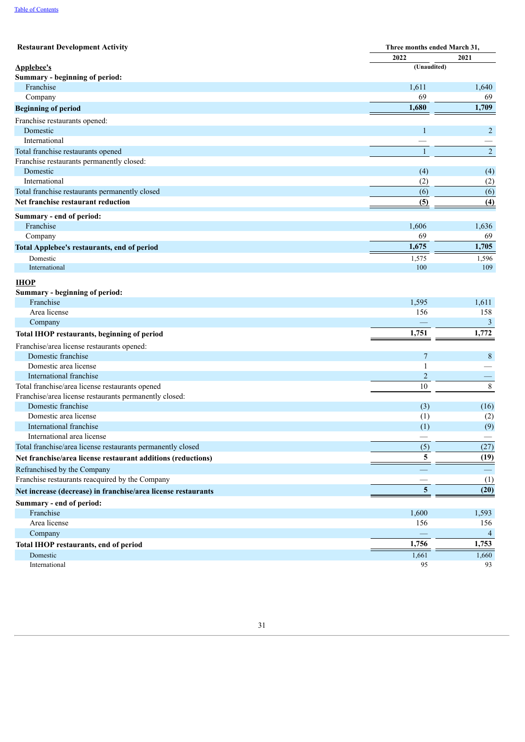| <b>Restaurant Development Activity</b>                        |                | Three months ended March 31, |  |  |
|---------------------------------------------------------------|----------------|------------------------------|--|--|
|                                                               | 2022           | 2021                         |  |  |
| <b>Applebee's</b>                                             | (Unaudited)    |                              |  |  |
| Summary - beginning of period:                                |                |                              |  |  |
| Franchise                                                     | 1,611          | 1,640                        |  |  |
| Company                                                       | 69             | 69                           |  |  |
| <b>Beginning of period</b>                                    | 1,680          | 1,709                        |  |  |
| Franchise restaurants opened:                                 |                |                              |  |  |
| Domestic                                                      | $\mathbf{1}$   | $\overline{2}$               |  |  |
| International                                                 |                |                              |  |  |
| Total franchise restaurants opened                            |                | $\overline{2}$               |  |  |
| Franchise restaurants permanently closed:                     |                |                              |  |  |
| Domestic                                                      | (4)            | (4)                          |  |  |
| International                                                 | (2)            | (2)                          |  |  |
| Total franchise restaurants permanently closed                | (6)            | (6)                          |  |  |
| Net franchise restaurant reduction                            | (5)            | (4)                          |  |  |
| Summary - end of period:                                      |                |                              |  |  |
| Franchise                                                     | 1,606          | 1,636                        |  |  |
| Company                                                       | 69             | 69                           |  |  |
| Total Applebee's restaurants, end of period                   | 1,675          | 1,705                        |  |  |
| Domestic                                                      | 1,575          | 1,596                        |  |  |
| International                                                 | 100            | 109                          |  |  |
|                                                               |                |                              |  |  |
| <b>IHOP</b>                                                   |                |                              |  |  |
| Summary - beginning of period:<br>Franchise                   | 1,595          | 1,611                        |  |  |
| Area license                                                  | 156            | 158                          |  |  |
| Company                                                       |                | 3                            |  |  |
| Total IHOP restaurants, beginning of period                   | 1,751          | 1,772                        |  |  |
|                                                               |                |                              |  |  |
| Franchise/area license restaurants opened:                    |                |                              |  |  |
| Domestic franchise<br>Domestic area license                   | 7<br>1         | 8                            |  |  |
| International franchise                                       | $\overline{2}$ |                              |  |  |
| Total franchise/area license restaurants opened               | 10             | $\,$ 8 $\,$                  |  |  |
| Franchise/area license restaurants permanently closed:        |                |                              |  |  |
| Domestic franchise                                            | (3)            | (16)                         |  |  |
| Domestic area license                                         | (1)            | (2)                          |  |  |
| International franchise                                       | (1)            | (9)                          |  |  |
| International area license                                    |                |                              |  |  |
| Total franchise/area license restaurants permanently closed   | (5)            | (27)                         |  |  |
| Net franchise/area license restaurant additions (reductions)  | 5              | (19)                         |  |  |
| Refranchised by the Company                                   |                |                              |  |  |
| Franchise restaurants reacquired by the Company               |                | (1)                          |  |  |
| Net increase (decrease) in franchise/area license restaurants | 5              | (20)                         |  |  |
|                                                               |                |                              |  |  |
| Summary - end of period:                                      |                |                              |  |  |
| Franchise                                                     | 1,600          | 1,593                        |  |  |
| Area license                                                  | 156            | 156                          |  |  |
| Company                                                       |                | 4                            |  |  |
| Total IHOP restaurants, end of period                         | 1,756          | 1,753                        |  |  |
| Domestic                                                      | 1,661          | 1,660                        |  |  |
| International                                                 | 95             | 93                           |  |  |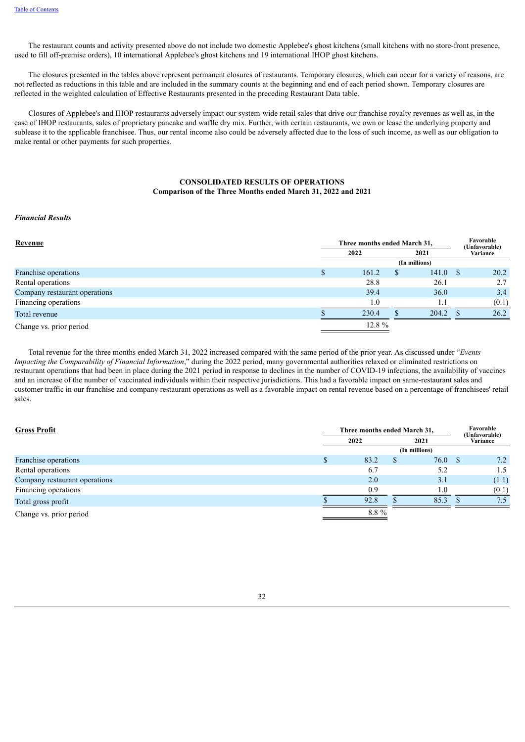The restaurant counts and activity presented above do not include two domestic Applebee's ghost kitchens (small kitchens with no store-front presence, used to fill off-premise orders), 10 international Applebee's ghost kitchens and 19 international IHOP ghost kitchens.

The closures presented in the tables above represent permanent closures of restaurants. Temporary closures, which can occur for a variety of reasons, are not reflected as reductions in this table and are included in the summary counts at the beginning and end of each period shown. Temporary closures are reflected in the weighted calculation of Effective Restaurants presented in the preceding Restaurant Data table.

Closures of Applebee's and IHOP restaurants adversely impact our system-wide retail sales that drive our franchise royalty revenues as well as, in the case of IHOP restaurants, sales of proprietary pancake and waffle dry mix. Further, with certain restaurants, we own or lease the underlying property and sublease it to the applicable franchisee. Thus, our rental income also could be adversely affected due to the loss of such income, as well as our obligation to make rental or other payments for such properties.

# **CONSOLIDATED RESULTS OF OPERATIONS Comparison of the Three Months ended March 31, 2022 and 2021**

### *Financial Results*

| <b>Revenue</b>                | Three months ended March 31, |       | Favorable<br>(Unfavorable) |          |  |
|-------------------------------|------------------------------|-------|----------------------------|----------|--|
|                               | 2022                         | 2021  |                            | Variance |  |
|                               | (In millions)                |       |                            |          |  |
| Franchise operations          | 161.2                        | 141.0 |                            | 20.2     |  |
| Rental operations             | 28.8                         | 26.1  |                            | 2.7      |  |
| Company restaurant operations | 39.4                         | 36.0  |                            | 3.4      |  |
| Financing operations          | 1.0                          | 1.1   |                            | (0.1)    |  |
| Total revenue                 | 230.4                        | 204.2 |                            | 26.2     |  |
| Change vs. prior period       | 12.8 %                       |       |                            |          |  |

Total revenue for the three months ended March 31, 2022 increased compared with the same period of the prior year. As discussed under "*Events Impacting the Comparability of Financial Information*," during the 2022 period, many governmental authorities relaxed or eliminated restrictions on restaurant operations that had been in place during the 2021 period in response to declines in the number of COVID-19 infections, the availability of vaccines and an increase of the number of vaccinated individuals within their respective jurisdictions. This had a favorable impact on same-restaurant sales and customer traffic in our franchise and company restaurant operations as well as a favorable impact on rental revenue based on a percentage of franchisees' retail sales.

| <b>Gross Profit</b>           |      | Three months ended March 31, | Favorable<br>(Unfavorable) |               |  |          |  |
|-------------------------------|------|------------------------------|----------------------------|---------------|--|----------|--|
|                               | 2022 |                              |                            | 2021          |  | Variance |  |
|                               |      |                              |                            | (In millions) |  |          |  |
| Franchise operations          |      | 83.2                         |                            | 76.0 S        |  | 7.2      |  |
| Rental operations             |      | 6.7                          |                            | 5.2           |  | 1.5      |  |
| Company restaurant operations |      | 2.0                          |                            | 3.1           |  | (1.1)    |  |
| Financing operations          |      | 0.9                          |                            | 1.0           |  | (0.1)    |  |
| Total gross profit            |      | 92.8                         |                            | 85.3          |  | 7.5      |  |
| Change vs. prior period       |      | 8.8%                         |                            |               |  |          |  |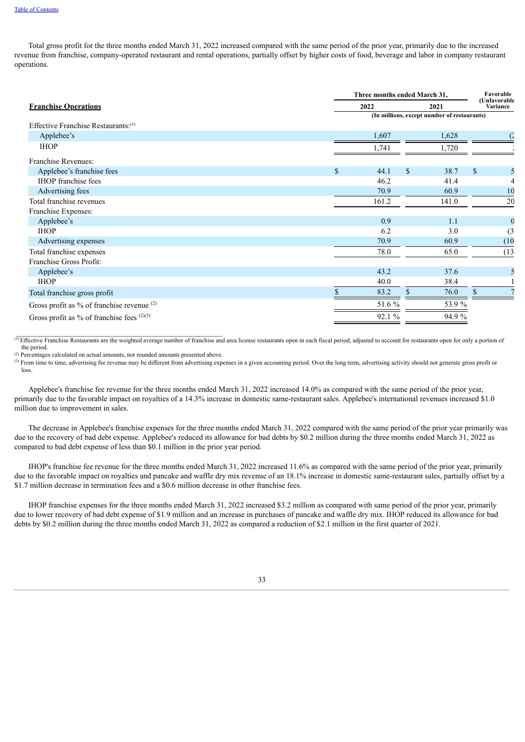Total gross profit for the three months ended March 31, 2022 increased compared with the same period of the prior year, primarily due to the increased revenue from franchise, company-operated restaurant and rental operations, partially offset by higher costs of food, beverage and labor in company restaurant operations.

|                                              |             | Three months ended March 31, |    |                                             |                    |  |  |  |
|----------------------------------------------|-------------|------------------------------|----|---------------------------------------------|--------------------|--|--|--|
| <b>Franchise Operations</b>                  |             | 2022                         |    | (Unfavorable<br>Variance<br>2021            |                    |  |  |  |
|                                              |             |                              |    | (In millions, except number of restaurants) |                    |  |  |  |
| Effective Franchise Restaurants:(1)          |             |                              |    |                                             |                    |  |  |  |
| Applebee's                                   |             | 1,607                        |    | 1,628                                       |                    |  |  |  |
| <b>IHOP</b>                                  |             | 1,741                        |    | 1,720                                       |                    |  |  |  |
| Franchise Revenues:                          |             |                              |    |                                             |                    |  |  |  |
| Applebee's franchise fees                    | $\mathbf S$ | 44.1                         | \$ | 38.7                                        | $\mathsf{\$}$<br>5 |  |  |  |
| <b>IHOP</b> franchise fees                   |             | 46.2                         |    | 41.4                                        |                    |  |  |  |
| Advertising fees                             |             | 70.9                         |    | 60.9                                        | 10                 |  |  |  |
| Total franchise revenues                     |             | 161.2                        |    | 141.0                                       | 20                 |  |  |  |
| Franchise Expenses:                          |             |                              |    |                                             |                    |  |  |  |
| Applebee's                                   |             | 0.9                          |    | 1.1                                         | $\overline{0}$     |  |  |  |
| <b>IHOP</b>                                  |             | 6.2                          |    | 3.0                                         | (3)                |  |  |  |
| Advertising expenses                         |             | 70.9                         |    | 60.9                                        | (10)               |  |  |  |
| Total franchise expenses                     |             | 78.0                         |    | 65.0                                        | (13)               |  |  |  |
| Franchise Gross Profit:                      |             |                              |    |                                             |                    |  |  |  |
| Applebee's                                   |             | 43.2                         |    | 37.6                                        | 5                  |  |  |  |
| <b>IHOP</b>                                  |             | 40.0                         |    | 38.4                                        |                    |  |  |  |
| Total franchise gross profit                 |             | 83.2                         | \$ | 76.0                                        | \$.                |  |  |  |
| Gross profit as % of franchise revenue $(2)$ |             | 51.6 %                       |    | 53.9%                                       |                    |  |  |  |
| Gross profit as % of franchise fees $(2)(3)$ |             | 92.1 %                       |    | 94.9 %                                      |                    |  |  |  |

 $\frac{(1)}{1}$  Effective Franchise Restaurants are the weighted average number of franchise and area license restaurants open in each fiscal period, adjusted to account for restaurants open for only a portion of the period.

<sup>(2)</sup> Percentages calculated on actual amounts, not rounded amounts presented above.

 $(3)$  From time to time, advertising fee revenue may be different from advertising expenses in a given accounting period. Over the long term, advertising activity should not generate gross profit or loss.

Applebee's franchise fee revenue for the three months ended March 31, 2022 increased 14.0% as compared with the same period of the prior year, primarily due to the favorable impact on royalties of a 14.3% increase in domestic same-restaurant sales. Applebee's international revenues increased \$1.0 million due to improvement in sales.

The decrease in Applebee's franchise expenses for the three months ended March 31, 2022 compared with the same period of the prior year primarily was due to the recovery of bad debt expense. Applebee's reduced its allowance for bad debts by \$0.2 million during the three months ended March 31, 2022 as compared to bad debt expense of less than \$0.1 million in the prior year period.

IHOP's franchise fee revenue for the three months ended March 31, 2022 increased 11.6% as compared with the same period of the prior year, primarily due to the favorable impact on royalties and pancake and waffle dry mix revenue of an 18.1% increase in domestic same-restaurant sales, partially offset by a \$1.7 million decrease in termination fees and a \$0.6 million decrease in other franchise fees.

IHOP franchise expenses for the three months ended March 31, 2022 increased \$3.2 million as compared with same period of the prior year, primarily due to lower recovery of bad debt expense of \$1.9 million and an increase in purchases of pancake and waffle dry mix. IHOP reduced its allowance for bad debts by \$0.2 million during the three months ended March 31, 2022 as compared a reduction of \$2.1 million in the first quarter of 2021.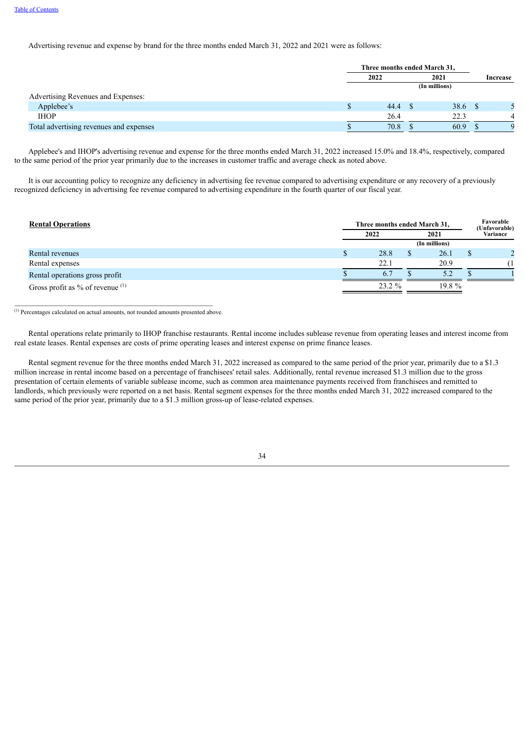Advertising revenue and expense by brand for the three months ended March 31, 2022 and 2021 were as follows:

|                                         | Three months ended March 31, |      |  |           |  |          |  |
|-----------------------------------------|------------------------------|------|--|-----------|--|----------|--|
|                                         | 2022                         |      |  | 2021      |  | Increase |  |
|                                         | (In millions)                |      |  |           |  |          |  |
| Advertising Revenues and Expenses:      |                              |      |  |           |  |          |  |
| Applebee's                              |                              | 44.4 |  | $38.6$ \$ |  |          |  |
| <b>IHOP</b>                             |                              | 26.4 |  | 22.3      |  | 4        |  |
| Total advertising revenues and expenses |                              | 70.8 |  | 60.9      |  |          |  |

Applebee's and IHOP's advertising revenue and expense for the three months ended March 31, 2022 increased 15.0% and 18.4%, respectively, compared to the same period of the prior year primarily due to the increases in customer traffic and average check as noted above.

It is our accounting policy to recognize any deficiency in advertising fee revenue compared to advertising expenditure or any recovery of a previously recognized deficiency in advertising fee revenue compared to advertising expenditure in the fourth quarter of our fiscal year.

| <b>Rental Operations</b>           | Three months ended March 31. | Favorable<br>(Unfavorable) |          |  |
|------------------------------------|------------------------------|----------------------------|----------|--|
|                                    | 2022                         | 2021                       | Variance |  |
|                                    |                              | (In millions)              |          |  |
| Rental revenues                    | 28.8                         | 26.1                       |          |  |
| Rental expenses                    | 22.1                         | 20.9                       |          |  |
| Rental operations gross profit     | 6.7                          | 5.2                        |          |  |
| Gross profit as % of revenue $(1)$ | 23.2 %                       | 19.8%                      |          |  |

 $(1)$  Percentages calculated on actual amounts, not rounded amounts presented above.

Rental operations relate primarily to IHOP franchise restaurants. Rental income includes sublease revenue from operating leases and interest income from real estate leases. Rental expenses are costs of prime operating leases and interest expense on prime finance leases.

Rental segment revenue for the three months ended March 31, 2022 increased as compared to the same period of the prior year, primarily due to a \$1.3 million increase in rental income based on a percentage of franchisees' retail sales. Additionally, rental revenue increased \$1.3 million due to the gross presentation of certain elements of variable sublease income, such as common area maintenance payments received from franchisees and remitted to landlords, which previously were reported on a net basis. Rental segment expenses for the three months ended March 31, 2022 increased compared to the same period of the prior year, primarily due to a \$1.3 million gross-up of lease-related expenses.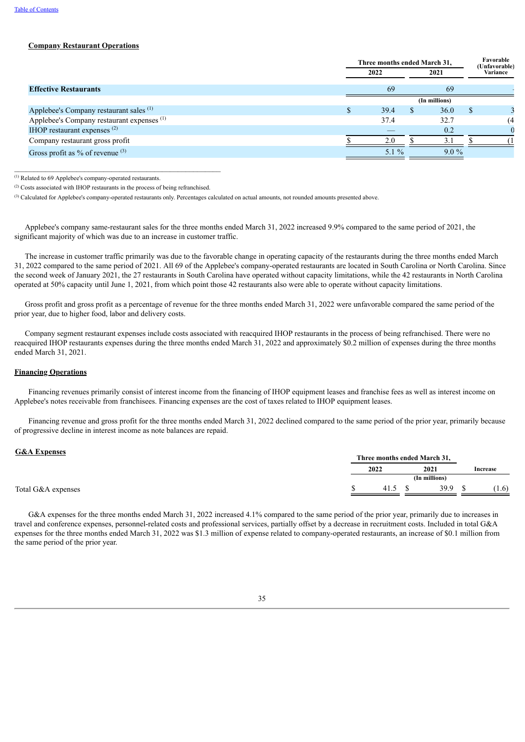#### **Company Restaurant Operations**

|                                                       | Three months ended March 31, |         |  |         | Favorable<br>(Unfavorable) |  |  |
|-------------------------------------------------------|------------------------------|---------|--|---------|----------------------------|--|--|
|                                                       |                              | 2022    |  | 2021    | Variance                   |  |  |
| <b>Effective Restaurants</b>                          |                              | 69      |  | 69      |                            |  |  |
|                                                       |                              |         |  |         |                            |  |  |
| Applebee's Company restaurant sales <sup>(1)</sup>    |                              | 39.4    |  | 36.0    |                            |  |  |
| Applebee's Company restaurant expenses <sup>(1)</sup> |                              | 37.4    |  | 32.7    |                            |  |  |
| IHOP restaurant expenses $(2)$                        |                              |         |  | 0.2     |                            |  |  |
| Company restaurant gross profit                       |                              | 2.0     |  | $3_{1}$ |                            |  |  |
| Gross profit as % of revenue $(3)$                    |                              | $5.1\%$ |  | $9.0\%$ |                            |  |  |

 $(1)$  Related to 69 Applebee's company-operated restaurants.

 $(2)$  Costs associated with IHOP restaurants in the process of being refranchised.

<sup>(3)</sup> Calculated for Applebee's company-operated restaurants only. Percentages calculated on actual amounts, not rounded amounts presented above.

Applebee's company same-restaurant sales for the three months ended March 31, 2022 increased 9.9% compared to the same period of 2021, the significant majority of which was due to an increase in customer traffic.

The increase in customer traffic primarily was due to the favorable change in operating capacity of the restaurants during the three months ended March 31, 2022 compared to the same period of 2021. All 69 of the Applebee's company-operated restaurants are located in South Carolina or North Carolina. Since the second week of January 2021, the 27 restaurants in South Carolina have operated without capacity limitations, while the 42 restaurants in North Carolina operated at 50% capacity until June 1, 2021, from which point those 42 restaurants also were able to operate without capacity limitations.

Gross profit and gross profit as a percentage of revenue for the three months ended March 31, 2022 were unfavorable compared the same period of the prior year, due to higher food, labor and delivery costs.

Company segment restaurant expenses include costs associated with reacquired IHOP restaurants in the process of being refranchised. There were no reacquired IHOP restaurants expenses during the three months ended March 31, 2022 and approximately \$0.2 million of expenses during the three months ended March 31, 2021.

### **Financing Operations**

Financing revenues primarily consist of interest income from the financing of IHOP equipment leases and franchise fees as well as interest income on Applebee's notes receivable from franchisees. Financing expenses are the cost of taxes related to IHOP equipment leases.

Financing revenue and gross profit for the three months ended March 31, 2022 declined compared to the same period of the prior year, primarily because of progressive decline in interest income as note balances are repaid.

# **G&A Expenses**

|                    | Three months ended March 31,<br>2021<br>2022 |               |  |          |  |
|--------------------|----------------------------------------------|---------------|--|----------|--|
|                    |                                              |               |  | Increase |  |
|                    |                                              | (In millions) |  |          |  |
| Total G&A expenses | 41.5                                         | 39.9          |  | (1.6)    |  |
|                    |                                              |               |  |          |  |

G&A expenses for the three months ended March 31, 2022 increased 4.1% compared to the same period of the prior year, primarily due to increases in travel and conference expenses, personnel-related costs and professional services, partially offset by a decrease in recruitment costs. Included in total G&A expenses for the three months ended March 31, 2022 was \$1.3 million of expense related to company-operated restaurants, an increase of \$0.1 million from the same period of the prior year.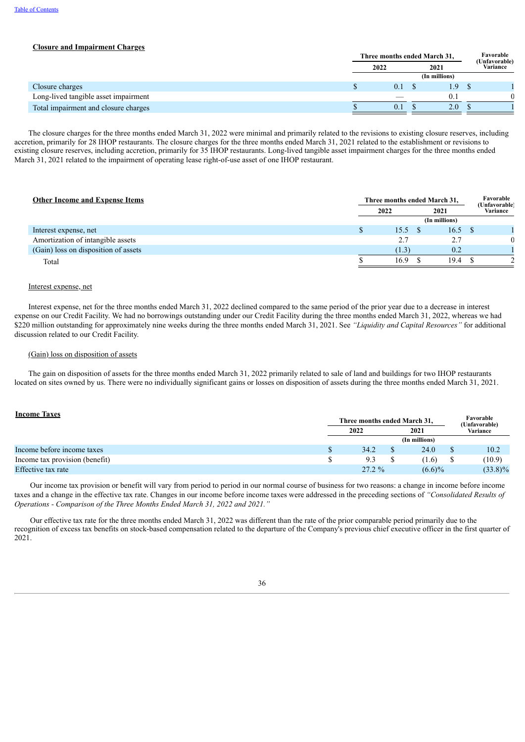#### **Closure and Impairment Charges**

|                                      | Three months ended March 31, |     |  |      | Favorable<br>(Unfavorable) |          |  |
|--------------------------------------|------------------------------|-----|--|------|----------------------------|----------|--|
|                                      | 2022                         |     |  | 2021 |                            | Variance |  |
|                                      | (In millions)                |     |  |      |                            |          |  |
| Closure charges                      |                              | 0.1 |  |      |                            |          |  |
| Long-lived tangible asset impairment |                              |     |  |      |                            | $\theta$ |  |
| Total impairment and closure charges |                              | 0.1 |  | 2.0  |                            |          |  |

The closure charges for the three months ended March 31, 2022 were minimal and primarily related to the revisions to existing closure reserves, including accretion, primarily for 28 IHOP restaurants. The closure charges for the three months ended March 31, 2021 related to the establishment or revisions to existing closure reserves, including accretion, primarily for 35 IHOP restaurants. Long-lived tangible asset impairment charges for the three months ended March 31, 2021 related to the impairment of operating lease right-of-use asset of one IHOP restaurant.

| <b>Other Income and Expense Items</b> | Three months ended March 31, |       |  | Favorable     |  |          |  |                           |
|---------------------------------------|------------------------------|-------|--|---------------|--|----------|--|---------------------------|
|                                       |                              | 2022  |  | 2021          |  |          |  | (Unfavorable)<br>Variance |
|                                       |                              |       |  | (In millions) |  |          |  |                           |
| Interest expense, net                 |                              | 15.5  |  | 16.5 \$       |  |          |  |                           |
| Amortization of intangible assets     |                              | 2.7   |  | 2.7           |  | $\theta$ |  |                           |
| (Gain) loss on disposition of assets  |                              | (1.3) |  | 0.2           |  |          |  |                           |
| Total                                 |                              | 16.9  |  | 19.4          |  |          |  |                           |

#### Interest expense, net

Interest expense, net for the three months ended March 31, 2022 declined compared to the same period of the prior year due to a decrease in interest expense on our Credit Facility. We had no borrowings outstanding under our Credit Facility during the three months ended March 31, 2022, whereas we had \$220 million outstanding for approximately nine weeks during the three months ended March 31, 2021. See *"Liquidity and Capital Resources"* for additional discussion related to our Credit Facility.

# (Gain) loss on disposition of assets

The gain on disposition of assets for the three months ended March 31, 2022 primarily related to sale of land and buildings for two IHOP restaurants located on sites owned by us. There were no individually significant gains or losses on disposition of assets during the three months ended March 31, 2021.

| <b>Income Taxes</b>            | Three months ended March 31. |  |               | Favorable<br>(Unfavorable) |            |  |
|--------------------------------|------------------------------|--|---------------|----------------------------|------------|--|
|                                | 2022                         |  | 2021          |                            | Variance   |  |
|                                |                              |  | (In millions) |                            |            |  |
| Income before income taxes     | 34.2                         |  | 24.0          |                            | 10.2       |  |
| Income tax provision (benefit) | 9.3                          |  | (1.6)         |                            | (10.9)     |  |
| Effective tax rate             | $27.2 \%$                    |  | $(6.6)\%$     |                            | $(33.8)\%$ |  |

Our income tax provision or benefit will vary from period to period in our normal course of business for two reasons: a change in income before income taxes and a change in the effective tax rate. Changes in our income before income taxes were addressed in the preceding sections of *"Consolidated Results of Operations - Comparison of the Three Months Ended March 31, 2022 and 2021."*

Our effective tax rate for the three months ended March 31, 2022 was different than the rate of the prior comparable period primarily due to the recognition of excess tax benefits on stock-based compensation related to the departure of the Company's previous chief executive officer in the first quarter of 2021.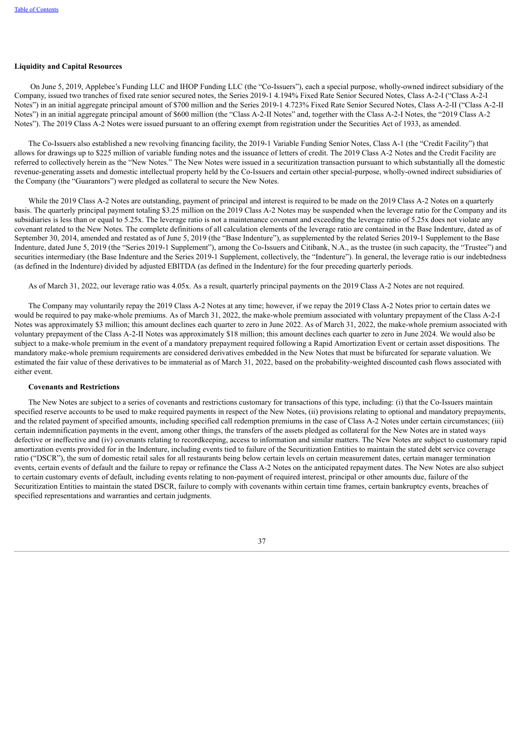# **Liquidity and Capital Resources**

On June 5, 2019, Applebee's Funding LLC and IHOP Funding LLC (the "Co-Issuers"), each a special purpose, wholly-owned indirect subsidiary of the Company, issued two tranches of fixed rate senior secured notes, the Series 2019-1 4.194% Fixed Rate Senior Secured Notes, Class A-2-I ("Class A-2-I Notes") in an initial aggregate principal amount of \$700 million and the Series 2019-1 4.723% Fixed Rate Senior Secured Notes, Class A-2-II ("Class A-2-II Notes") in an initial aggregate principal amount of \$600 million (the "Class A-2-II Notes" and, together with the Class A-2-I Notes, the "2019 Class A-2 Notes"). The 2019 Class A-2 Notes were issued pursuant to an offering exempt from registration under the Securities Act of 1933, as amended.

The Co-Issuers also established a new revolving financing facility, the 2019-1 Variable Funding Senior Notes, Class A-1 (the "Credit Facility") that allows for drawings up to \$225 million of variable funding notes and the issuance of letters of credit. The 2019 Class A-2 Notes and the Credit Facility are referred to collectively herein as the "New Notes." The New Notes were issued in a securitization transaction pursuant to which substantially all the domestic revenue-generating assets and domestic intellectual property held by the Co-Issuers and certain other special-purpose, wholly-owned indirect subsidiaries of the Company (the "Guarantors") were pledged as collateral to secure the New Notes.

While the 2019 Class A-2 Notes are outstanding, payment of principal and interest is required to be made on the 2019 Class A-2 Notes on a quarterly basis. The quarterly principal payment totaling \$3.25 million on the 2019 Class A-2 Notes may be suspended when the leverage ratio for the Company and its subsidiaries is less than or equal to 5.25x. The leverage ratio is not a maintenance covenant and exceeding the leverage ratio of 5.25x does not violate any covenant related to the New Notes. The complete definitions of all calculation elements of the leverage ratio are contained in the Base Indenture, dated as of September 30, 2014, amended and restated as of June 5, 2019 (the "Base Indenture"), as supplemented by the related Series 2019-1 Supplement to the Base Indenture, dated June 5, 2019 (the "Series 2019-1 Supplement"), among the Co-Issuers and Citibank, N.A., as the trustee (in such capacity, the "Trustee") and securities intermediary (the Base Indenture and the Series 2019-1 Supplement, collectively, the "Indenture"). In general, the leverage ratio is our indebtedness (as defined in the Indenture) divided by adjusted EBITDA (as defined in the Indenture) for the four preceding quarterly periods.

As of March 31, 2022, our leverage ratio was 4.05x. As a result, quarterly principal payments on the 2019 Class A-2 Notes are not required.

The Company may voluntarily repay the 2019 Class A-2 Notes at any time; however, if we repay the 2019 Class A-2 Notes prior to certain dates we would be required to pay make-whole premiums. As of March 31, 2022, the make-whole premium associated with voluntary prepayment of the Class A-2-I Notes was approximately \$3 million; this amount declines each quarter to zero in June 2022. As of March 31, 2022, the make-whole premium associated with voluntary prepayment of the Class A-2-II Notes was approximately \$18 million; this amount declines each quarter to zero in June 2024. We would also be subject to a make-whole premium in the event of a mandatory prepayment required following a Rapid Amortization Event or certain asset dispositions. The mandatory make-whole premium requirements are considered derivatives embedded in the New Notes that must be bifurcated for separate valuation. We estimated the fair value of these derivatives to be immaterial as of March 31, 2022, based on the probability-weighted discounted cash flows associated with either event.

#### **Covenants and Restrictions**

The New Notes are subject to a series of covenants and restrictions customary for transactions of this type, including: (i) that the Co-Issuers maintain specified reserve accounts to be used to make required payments in respect of the New Notes, (ii) provisions relating to optional and mandatory prepayments, and the related payment of specified amounts, including specified call redemption premiums in the case of Class A-2 Notes under certain circumstances; (iii) certain indemnification payments in the event, among other things, the transfers of the assets pledged as collateral for the New Notes are in stated ways defective or ineffective and (iv) covenants relating to recordkeeping, access to information and similar matters. The New Notes are subject to customary rapid amortization events provided for in the Indenture, including events tied to failure of the Securitization Entities to maintain the stated debt service coverage ratio ("DSCR"), the sum of domestic retail sales for all restaurants being below certain levels on certain measurement dates, certain manager termination events, certain events of default and the failure to repay or refinance the Class A-2 Notes on the anticipated repayment dates. The New Notes are also subject to certain customary events of default, including events relating to non-payment of required interest, principal or other amounts due, failure of the Securitization Entities to maintain the stated DSCR, failure to comply with covenants within certain time frames, certain bankruptcy events, breaches of specified representations and warranties and certain judgments.

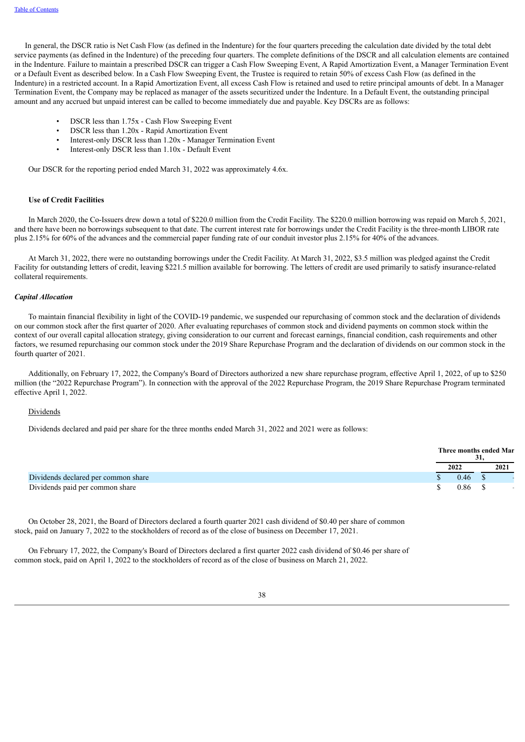In general, the DSCR ratio is Net Cash Flow (as defined in the Indenture) for the four quarters preceding the calculation date divided by the total debt service payments (as defined in the Indenture) of the preceding four quarters. The complete definitions of the DSCR and all calculation elements are contained in the Indenture. Failure to maintain a prescribed DSCR can trigger a Cash Flow Sweeping Event, A Rapid Amortization Event, a Manager Termination Event or a Default Event as described below. In a Cash Flow Sweeping Event, the Trustee is required to retain 50% of excess Cash Flow (as defined in the Indenture) in a restricted account. In a Rapid Amortization Event, all excess Cash Flow is retained and used to retire principal amounts of debt. In a Manager Termination Event, the Company may be replaced as manager of the assets securitized under the Indenture. In a Default Event, the outstanding principal amount and any accrued but unpaid interest can be called to become immediately due and payable. Key DSCRs are as follows:

- DSCR less than 1.75x Cash Flow Sweeping Event
- DSCR less than 1.20x Rapid Amortization Event
- Interest-only DSCR less than 1.20x Manager Termination Event
- Interest-only DSCR less than 1.10x Default Event

Our DSCR for the reporting period ended March 31, 2022 was approximately 4.6x.

#### **Use of Credit Facilities**

In March 2020, the Co-Issuers drew down a total of \$220.0 million from the Credit Facility. The \$220.0 million borrowing was repaid on March 5, 2021, and there have been no borrowings subsequent to that date. The current interest rate for borrowings under the Credit Facility is the three-month LIBOR rate plus 2.15% for 60% of the advances and the commercial paper funding rate of our conduit investor plus 2.15% for 40% of the advances.

At March 31, 2022, there were no outstanding borrowings under the Credit Facility. At March 31, 2022, \$3.5 million was pledged against the Credit Facility for outstanding letters of credit, leaving \$221.5 million available for borrowing. The letters of credit are used primarily to satisfy insurance-related collateral requirements.

# *Capital Allocation*

To maintain financial flexibility in light of the COVID-19 pandemic, we suspended our repurchasing of common stock and the declaration of dividends on our common stock after the first quarter of 2020. After evaluating repurchases of common stock and dividend payments on common stock within the context of our overall capital allocation strategy, giving consideration to our current and forecast earnings, financial condition, cash requirements and other factors, we resumed repurchasing our common stock under the 2019 Share Repurchase Program and the declaration of dividends on our common stock in the fourth quarter of 2021.

Additionally, on February 17, 2022, the Company's Board of Directors authorized a new share repurchase program, effective April 1, 2022, of up to \$250 million (the "2022 Repurchase Program"). In connection with the approval of the 2022 Repurchase Program, the 2019 Share Repurchase Program terminated effective April 1, 2022.

#### **Dividends**

Dividends declared and paid per share for the three months ended March 31, 2022 and 2021 were as follows:

|                                     | Three months ended Mar |      |
|-------------------------------------|------------------------|------|
|                                     | 2022                   | 2021 |
| Dividends declared per common share | 0.46                   |      |
| Dividends paid per common share     | 0.86                   | . .  |

On October 28, 2021, the Board of Directors declared a fourth quarter 2021 cash dividend of \$0.40 per share of common stock, paid on January 7, 2022 to the stockholders of record as of the close of business on December 17, 2021.

On February 17, 2022, the Company's Board of Directors declared a first quarter 2022 cash dividend of \$0.46 per share of common stock, paid on April 1, 2022 to the stockholders of record as of the close of business on March 21, 2022.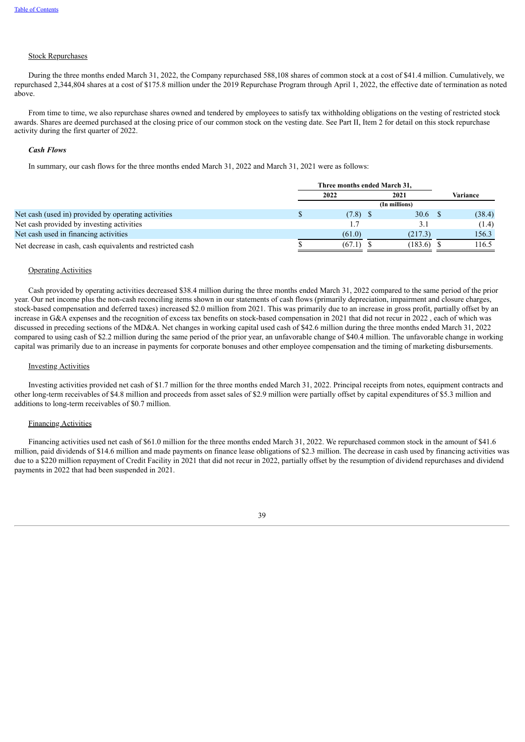# Stock Repurchases

During the three months ended March 31, 2022, the Company repurchased 588,108 shares of common stock at a cost of \$41.4 million. Cumulatively, we repurchased 2,344,804 shares at a cost of \$175.8 million under the 2019 Repurchase Program through April 1, 2022, the effective date of termination as noted above.

From time to time, we also repurchase shares owned and tendered by employees to satisfy tax withholding obligations on the vesting of restricted stock awards. Shares are deemed purchased at the closing price of our common stock on the vesting date. See Part II, Item 2 for detail on this stock repurchase activity during the first quarter of 2022.

### *Cash Flows*

In summary, our cash flows for the three months ended March 31, 2022 and March 31, 2021 were as follows:

|                                                            |  | 2022          | 2021      | Variance |  |  |  |  |  |
|------------------------------------------------------------|--|---------------|-----------|----------|--|--|--|--|--|
|                                                            |  | (In millions) |           |          |  |  |  |  |  |
| Net cash (used in) provided by operating activities        |  | $(7.8)$ \$    | $30.6$ \$ | (38.4)   |  |  |  |  |  |
| Net cash provided by investing activities                  |  |               | 3.1       | (1.4)    |  |  |  |  |  |
| Net cash used in financing activities                      |  | (61.0)        | (217.3)   | 156.3    |  |  |  |  |  |
| Net decrease in cash, cash equivalents and restricted cash |  | (67.1)        | (183.6)   | 116.5    |  |  |  |  |  |

# Operating Activities

Cash provided by operating activities decreased \$38.4 million during the three months ended March 31, 2022 compared to the same period of the prior year. Our net income plus the non-cash reconciling items shown in our statements of cash flows (primarily depreciation, impairment and closure charges, stock-based compensation and deferred taxes) increased \$2.0 million from 2021. This was primarily due to an increase in gross profit, partially offset by an increase in G&A expenses and the recognition of excess tax benefits on stock-based compensation in 2021 that did not recur in 2022 , each of which was discussed in preceding sections of the MD&A. Net changes in working capital used cash of \$42.6 million during the three months ended March 31, 2022 compared to using cash of \$2.2 million during the same period of the prior year, an unfavorable change of \$40.4 million. The unfavorable change in working capital was primarily due to an increase in payments for corporate bonuses and other employee compensation and the timing of marketing disbursements.

### Investing Activities

Investing activities provided net cash of \$1.7 million for the three months ended March 31, 2022. Principal receipts from notes, equipment contracts and other long-term receivables of \$4.8 million and proceeds from asset sales of \$2.9 million were partially offset by capital expenditures of \$5.3 million and additions to long-term receivables of \$0.7 million.

# Financing Activities

Financing activities used net cash of \$61.0 million for the three months ended March 31, 2022. We repurchased common stock in the amount of \$41.6 million, paid dividends of \$14.6 million and made payments on finance lease obligations of \$2.3 million. The decrease in cash used by financing activities was due to a \$220 million repayment of Credit Facility in 2021 that did not recur in 2022, partially offset by the resumption of dividend repurchases and dividend payments in 2022 that had been suspended in 2021.

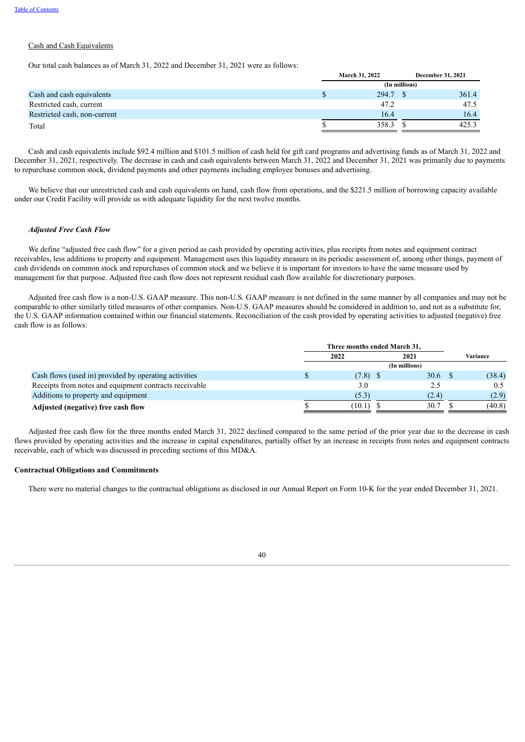### Cash and Cash Equivalents

Our total cash balances as of March 31, 2022 and December 31, 2021 were as follows:

|                              | <b>March 31, 2022</b> |               | <b>December 31, 2021</b> |
|------------------------------|-----------------------|---------------|--------------------------|
|                              |                       | (In millions) |                          |
| Cash and cash equivalents    | 294.7 \$              |               | 361.4                    |
| Restricted cash, current     | 47.2                  |               | 47.5                     |
| Restricted cash, non-current | 16.4                  |               | 16.4                     |
| Total                        | 358.3                 |               | 425.3                    |
|                              |                       |               |                          |

Cash and cash equivalents include \$92.4 million and \$101.5 million of cash held for gift card programs and advertising funds as of March 31, 2022 and December 31, 2021, respectively. The decrease in cash and cash equivalents between March 31, 2022 and December 31, 2021 was primarily due to payments to repurchase common stock, dividend payments and other payments including employee bonuses and advertising.

We believe that our unrestricted cash and cash equivalents on hand, cash flow from operations, and the \$221.5 million of borrowing capacity available under our Credit Facility will provide us with adequate liquidity for the next twelve months.

#### *Adjusted Free Cash Flow*

We define "adjusted free cash flow" for a given period as cash provided by operating activities, plus receipts from notes and equipment contract receivables, less additions to property and equipment. Management uses this liquidity measure in its periodic assessment of, among other things, payment of cash dividends on common stock and repurchases of common stock and we believe it is important for investors to have the same measure used by management for that purpose. Adjusted free cash flow does not represent residual cash flow available for discretionary purposes.

Adjusted free cash flow is a non-U.S. GAAP measure. This non-U.S. GAAP measure is not defined in the same manner by all companies and may not be comparable to other similarly titled measures of other companies. Non-U.S. GAAP measures should be considered in addition to, and not as a substitute for, the U.S. GAAP information contained within our financial statements. Reconciliation of the cash provided by operating activities to adjusted (negative) free cash flow is as follows:

|                                                        |  | Three months ended March 31, |               |          |
|--------------------------------------------------------|--|------------------------------|---------------|----------|
|                                                        |  | 2022                         | 2021          | Variance |
|                                                        |  |                              | (In millions) |          |
| Cash flows (used in) provided by operating activities  |  | $(7.8)$ \$                   | $30.6$ \$     | (38.4)   |
| Receipts from notes and equipment contracts receivable |  | 3.0                          | 2.5           | 0.5      |
| Additions to property and equipment                    |  | (5.3)                        | (2.4)         | (2.9)    |
| Adjusted (negative) free cash flow                     |  | (10.1)                       | 30.7          | (40.8)   |

Adjusted free cash flow for the three months ended March 31, 2022 declined compared to the same period of the prior year due to the decrease in cash flows provided by operating activities and the increase in capital expenditures, partially offset by an increase in receipts from notes and equipment contracts receivable, each of which was discussed in preceding sections of this MD&A.

# **Contractual Obligations and Commitments**

There were no material changes to the contractual obligations as disclosed in our Annual Report on Form 10-K for the year ended December 31, 2021.

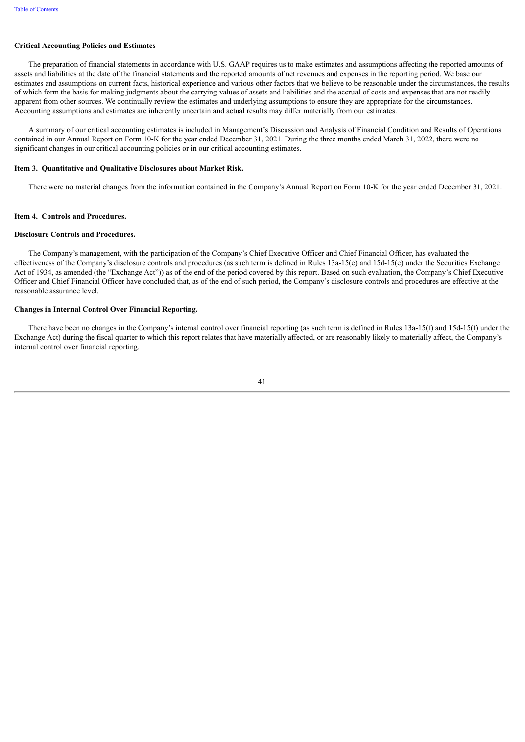### **Critical Accounting Policies and Estimates**

The preparation of financial statements in accordance with U.S. GAAP requires us to make estimates and assumptions affecting the reported amounts of assets and liabilities at the date of the financial statements and the reported amounts of net revenues and expenses in the reporting period. We base our estimates and assumptions on current facts, historical experience and various other factors that we believe to be reasonable under the circumstances, the results of which form the basis for making judgments about the carrying values of assets and liabilities and the accrual of costs and expenses that are not readily apparent from other sources. We continually review the estimates and underlying assumptions to ensure they are appropriate for the circumstances. Accounting assumptions and estimates are inherently uncertain and actual results may differ materially from our estimates.

A summary of our critical accounting estimates is included in Management's Discussion and Analysis of Financial Condition and Results of Operations contained in our Annual Report on Form 10-K for the year ended December 31, 2021. During the three months ended March 31, 2022, there were no significant changes in our critical accounting policies or in our critical accounting estimates.

### <span id="page-41-0"></span>**Item 3. Quantitative and Qualitative Disclosures about Market Risk.**

There were no material changes from the information contained in the Company's Annual Report on Form 10-K for the year ended December 31, 2021.

# <span id="page-41-1"></span>**Item 4. Controls and Procedures.**

#### **Disclosure Controls and Procedures.**

The Company's management, with the participation of the Company's Chief Executive Officer and Chief Financial Officer, has evaluated the effectiveness of the Company's disclosure controls and procedures (as such term is defined in Rules 13a-15(e) and 15d-15(e) under the Securities Exchange Act of 1934, as amended (the "Exchange Act")) as of the end of the period covered by this report. Based on such evaluation, the Company's Chief Executive Officer and Chief Financial Officer have concluded that, as of the end of such period, the Company's disclosure controls and procedures are effective at the reasonable assurance level.

# **Changes in Internal Control Over Financial Reporting.**

<span id="page-41-2"></span>There have been no changes in the Company's internal control over financial reporting (as such term is defined in Rules 13a-15(f) and 15d-15(f) under the Exchange Act) during the fiscal quarter to which this report relates that have materially affected, or are reasonably likely to materially affect, the Company's internal control over financial reporting.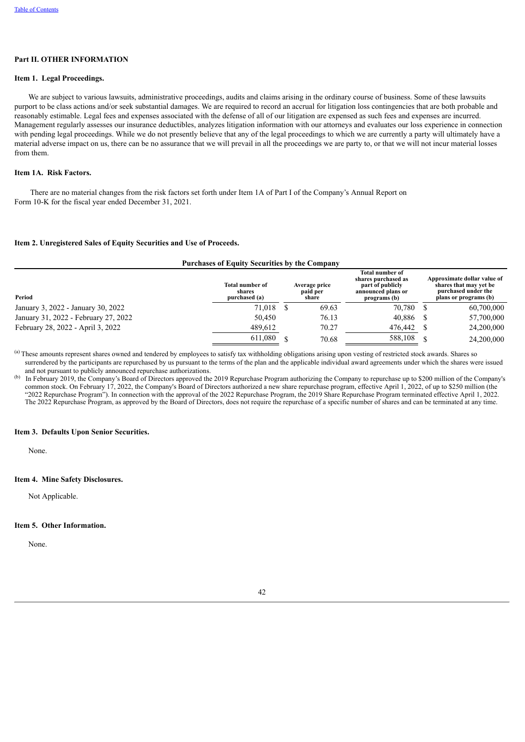### **Part II. OTHER INFORMATION**

#### <span id="page-42-0"></span>**Item 1. Legal Proceedings.**

We are subject to various lawsuits, administrative proceedings, audits and claims arising in the ordinary course of business. Some of these lawsuits purport to be class actions and/or seek substantial damages. We are required to record an accrual for litigation loss contingencies that are both probable and reasonably estimable. Legal fees and expenses associated with the defense of all of our litigation are expensed as such fees and expenses are incurred. Management regularly assesses our insurance deductibles, analyzes litigation information with our attorneys and evaluates our loss experience in connection with pending legal proceedings. While we do not presently believe that any of the legal proceedings to which we are currently a party will ultimately have a material adverse impact on us, there can be no assurance that we will prevail in all the proceedings we are party to, or that we will not incur material losses from them.

### <span id="page-42-1"></span>**Item 1A. Risk Factors.**

There are no material changes from the risk factors set forth under Item 1A of Part I of the Company's Annual Report on Form 10-K for the fiscal year ended December 31, 2021.

#### <span id="page-42-2"></span>**Item 2. Unregistered Sales of Equity Securities and Use of Proceeds.**

| <b>Purchases of Equity Securities by the Company</b> |                                                   |  |                                    |                                                                                                  |  |                                                                                                       |  |  |  |
|------------------------------------------------------|---------------------------------------------------|--|------------------------------------|--------------------------------------------------------------------------------------------------|--|-------------------------------------------------------------------------------------------------------|--|--|--|
| Period                                               | <b>Total number of</b><br>shares<br>purchased (a) |  | Average price<br>paid per<br>share | Total number of<br>shares purchased as<br>part of publicly<br>announced plans or<br>programs (b) |  | Approximate dollar value of<br>shares that may vet be<br>purchased under the<br>plans or programs (b) |  |  |  |
| January 3, 2022 - January 30, 2022                   | 71.018                                            |  | 69.63                              | 70.780                                                                                           |  | 60,700,000                                                                                            |  |  |  |
| January 31, 2022 - February 27, 2022                 | 50.450                                            |  | 76.13                              | 40.886                                                                                           |  | 57,700,000                                                                                            |  |  |  |
| February 28, 2022 - April 3, 2022                    | 489,612                                           |  | 70.27                              | 476,442                                                                                          |  | 24,200,000                                                                                            |  |  |  |
|                                                      | 611,080                                           |  | 70.68                              | 588,108                                                                                          |  | 24,200,000                                                                                            |  |  |  |

 $\alpha$ ) These amounts represent shares owned and tendered by employees to satisfy tax withholding obligations arising upon vesting of restricted stock awards. Shares so surrendered by the participants are repurchased by us pursuant to the terms of the plan and the applicable individual award agreements under which the shares were issued and not pursuant to publicly announced repurchase authorizations.

In February 2019, the Company's Board of Directors approved the 2019 Repurchase Program authorizing the Company to repurchase up to \$200 million of the Company's common stock. On February 17, 2022, the Company's Board of Directors authorized a new share repurchase program, effective April 1, 2022, of up to \$250 million (the "2022 Repurchase Program"). In connection with the approval of the 2022 Repurchase Program, the 2019 Share Repurchase Program terminated effective April 1, 2022. The 2022 Repurchase Program, as approved by the Board of Directors, does not require the repurchase of a specific number of shares and can be terminated at any time. (b)

#### <span id="page-42-3"></span>**Item 3. Defaults Upon Senior Securities.**

None.

#### <span id="page-42-4"></span>**Item 4. Mine Safety Disclosures.**

Not Applicable.

#### <span id="page-42-5"></span>**Item 5. Other Information.**

<span id="page-42-6"></span>None.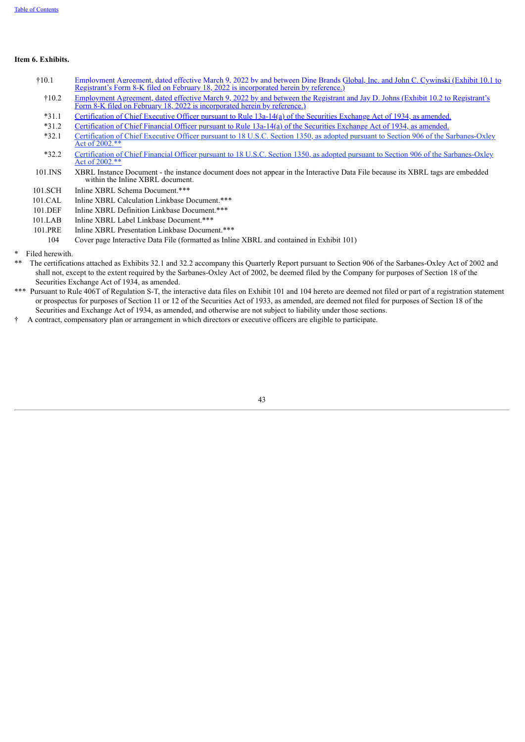#### **Item 6. Exhibits.**

- †10.1 [Employment](https://www.sec.gov/Archives/edgar/data/49754/000119312522046069/d312214dex101.htm) Agreement, dated effective March 9, 2022 by and between Dine Brands Global, Inc. and John C. Cywinski [\(](https://www.sec.gov/Archives/edgar/data/49754/000119312522046069/d312214dex101.htm)Exhibit 10.1 to Registrant's Form 8-K filed on February 18, 2022 is incorporated herein by reference.)
- †10.2 [Employment](https://www.sec.gov/Archives/edgar/data/49754/000119312522046069/d312214dex102.htm) Agreement, dated effective March 9, 2022 by and between the Registrant and Jay D. Johns (Exhibit 10.2 to Registrant's Form 8-K filed on February 18, 2022 is incorporated herein by reference.)
- \*31.1 [Certification](#page-45-0) of Chief Executive Officer pursuant to Rule 13a-14(a) of the Securities Exchange Act of 1934, as amended.
- \*31.2 [Certification](#page-47-0) of Chief Financial Officer pursuant to Rule 13a-14(a) of the Securities Exchange Act of 1934, as amended.
- \*32.1 Certification of Chief Executive Officer pursuant to 18 U.S.C. Section 1350, as adopted pursuant to Section 906 of the [Sarbanes-Oxley](#page-49-0) Act of 2002.\*\*
- \*32.2 Certification of Chief Financial Officer pursuant to 18 U.S.C. Section 1350, as adopted pursuant to Section 906 of the [Sarbanes-Oxley](#page-50-0) Act of 2002.\*
- 101.INS XBRL Instance Document the instance document does not appear in the Interactive Data File because its XBRL tags are embedded within the Inline XBRL document.
- 101.SCH Inline XBRL Schema Document.\*\*\*
- 101.CAL Inline XBRL Calculation Linkbase Document.\*\*\*
- 101.DEF Inline XBRL Definition Linkbase Document.\*\*\*
- 101.LAB Inline XBRL Label Linkbase Document.\*\*\*
- 101.PRE Inline XBRL Presentation Linkbase Document.\*\*\*
	- 104 Cover page Interactive Data File (formatted as Inline XBRL and contained in Exhibit 101)
- \* Filed herewith.
- The certifications attached as Exhibits 32.1 and 32.2 accompany this Quarterly Report pursuant to Section 906 of the Sarbanes-Oxley Act of 2002 and shall not, except to the extent required by the Sarbanes-Oxley Act of 2002, be deemed filed by the Company for purposes of Section 18 of the Securities Exchange Act of 1934, as amended.
- \*\*\* Pursuant to Rule 406T of Regulation S-T, the interactive data files on Exhibit 101 and 104 hereto are deemed not filed or part of a registration statement or prospectus for purposes of Section 11 or 12 of the Securities Act of 1933, as amended, are deemed not filed for purposes of Section 18 of the Securities and Exchange Act of 1934, as amended, and otherwise are not subject to liability under those sections.
- <span id="page-43-0"></span>† A contract, compensatory plan or arrangement in which directors or executive officers are eligible to participate.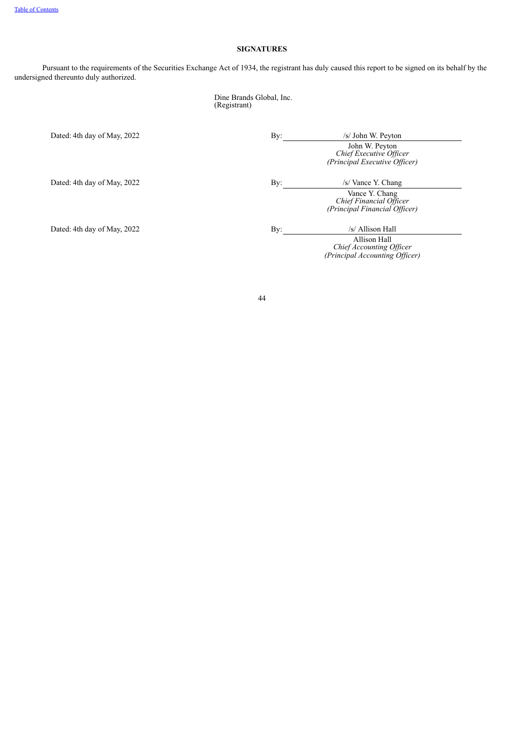#### **SIGNATURES**

Pursuant to the requirements of the Securities Exchange Act of 1934, the registrant has duly caused this report to be signed on its behalf by the undersigned thereunto duly authorized.

> Dine Brands Global, Inc. (Registrant)

Dated: 4th day of May, 2022 By: /s/ John W. Peyton John W. Peyton *Chief Executive Of icer*

*(Principal Executive Of icer)*

Dated: 4th day of May, 2022 By: /s/ Vance Y. Chang

Vance Y. Chang *Chief Financial Of icer (Principal Financial Of icer)*

Dated: 4th day of May, 2022 By: /s/ Allison Hall

Allison Hall *Chief Accounting Officer (Principal Accounting Of icer)*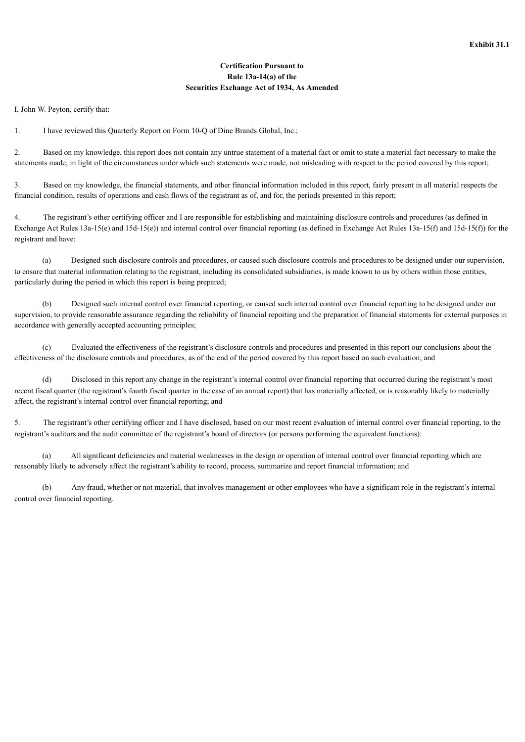# **Certification Pursuant to Rule 13a-14(a) of the Securities Exchange Act of 1934, As Amended**

<span id="page-45-0"></span>I, John W. Peyton, certify that:

1. I have reviewed this Quarterly Report on Form 10-Q of Dine Brands Global, Inc.;

2. Based on my knowledge, this report does not contain any untrue statement of a material fact or omit to state a material fact necessary to make the statements made, in light of the circumstances under which such statements were made, not misleading with respect to the period covered by this report;

3. Based on my knowledge, the financial statements, and other financial information included in this report, fairly present in all material respects the financial condition, results of operations and cash flows of the registrant as of, and for, the periods presented in this report;

4. The registrant's other certifying officer and I are responsible for establishing and maintaining disclosure controls and procedures (as defined in Exchange Act Rules 13a-15(e) and 15d-15(e)) and internal control over financial reporting (as defined in Exchange Act Rules 13a-15(f) and 15d-15(f)) for the registrant and have:

(a) Designed such disclosure controls and procedures, or caused such disclosure controls and procedures to be designed under our supervision, to ensure that material information relating to the registrant, including its consolidated subsidiaries, is made known to us by others within those entities, particularly during the period in which this report is being prepared;

(b) Designed such internal control over financial reporting, or caused such internal control over financial reporting to be designed under our supervision, to provide reasonable assurance regarding the reliability of financial reporting and the preparation of financial statements for external purposes in accordance with generally accepted accounting principles;

(c) Evaluated the effectiveness of the registrant's disclosure controls and procedures and presented in this report our conclusions about the effectiveness of the disclosure controls and procedures, as of the end of the period covered by this report based on such evaluation; and

(d) Disclosed in this report any change in the registrant's internal control over financial reporting that occurred during the registrant's most recent fiscal quarter (the registrant's fourth fiscal quarter in the case of an annual report) that has materially affected, or is reasonably likely to materially affect, the registrant's internal control over financial reporting; and

5. The registrant's other certifying officer and I have disclosed, based on our most recent evaluation of internal control over financial reporting, to the registrant's auditors and the audit committee of the registrant's board of directors (or persons performing the equivalent functions):

(a) All significant deficiencies and material weaknesses in the design or operation of internal control over financial reporting which are reasonably likely to adversely affect the registrant's ability to record, process, summarize and report financial information; and

(b) Any fraud, whether or not material, that involves management or other employees who have a significant role in the registrant's internal control over financial reporting.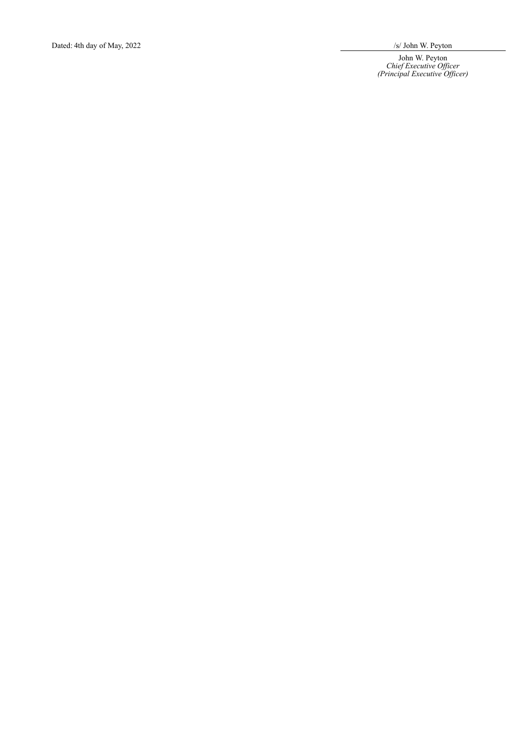Dated: 4th day of May, 2022

/s/ John W. Peyton

John W. Peyton *Chief Executive Officer (Principal Executive Officer)*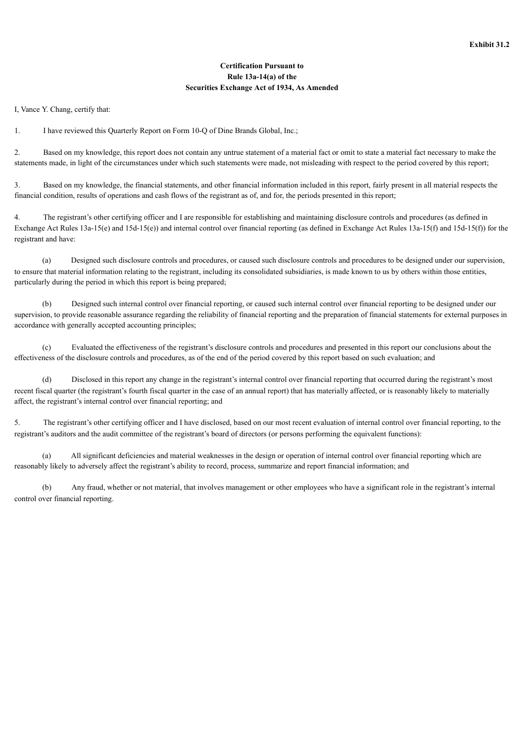# **Certification Pursuant to Rule 13a-14(a) of the Securities Exchange Act of 1934, As Amended**

<span id="page-47-0"></span>I, Vance Y. Chang, certify that:

1. I have reviewed this Quarterly Report on Form 10-Q of Dine Brands Global, Inc.;

2. Based on my knowledge, this report does not contain any untrue statement of a material fact or omit to state a material fact necessary to make the statements made, in light of the circumstances under which such statements were made, not misleading with respect to the period covered by this report;

3. Based on my knowledge, the financial statements, and other financial information included in this report, fairly present in all material respects the financial condition, results of operations and cash flows of the registrant as of, and for, the periods presented in this report;

4. The registrant's other certifying officer and I are responsible for establishing and maintaining disclosure controls and procedures (as defined in Exchange Act Rules 13a-15(e) and 15d-15(e)) and internal control over financial reporting (as defined in Exchange Act Rules 13a-15(f) and 15d-15(f)) for the registrant and have:

(a) Designed such disclosure controls and procedures, or caused such disclosure controls and procedures to be designed under our supervision, to ensure that material information relating to the registrant, including its consolidated subsidiaries, is made known to us by others within those entities, particularly during the period in which this report is being prepared;

(b) Designed such internal control over financial reporting, or caused such internal control over financial reporting to be designed under our supervision, to provide reasonable assurance regarding the reliability of financial reporting and the preparation of financial statements for external purposes in accordance with generally accepted accounting principles;

(c) Evaluated the effectiveness of the registrant's disclosure controls and procedures and presented in this report our conclusions about the effectiveness of the disclosure controls and procedures, as of the end of the period covered by this report based on such evaluation; and

(d) Disclosed in this report any change in the registrant's internal control over financial reporting that occurred during the registrant's most recent fiscal quarter (the registrant's fourth fiscal quarter in the case of an annual report) that has materially affected, or is reasonably likely to materially affect, the registrant's internal control over financial reporting; and

5. The registrant's other certifying officer and I have disclosed, based on our most recent evaluation of internal control over financial reporting, to the registrant's auditors and the audit committee of the registrant's board of directors (or persons performing the equivalent functions):

(a) All significant deficiencies and material weaknesses in the design or operation of internal control over financial reporting which are reasonably likely to adversely affect the registrant's ability to record, process, summarize and report financial information; and

(b) Any fraud, whether or not material, that involves management or other employees who have a significant role in the registrant's internal control over financial reporting.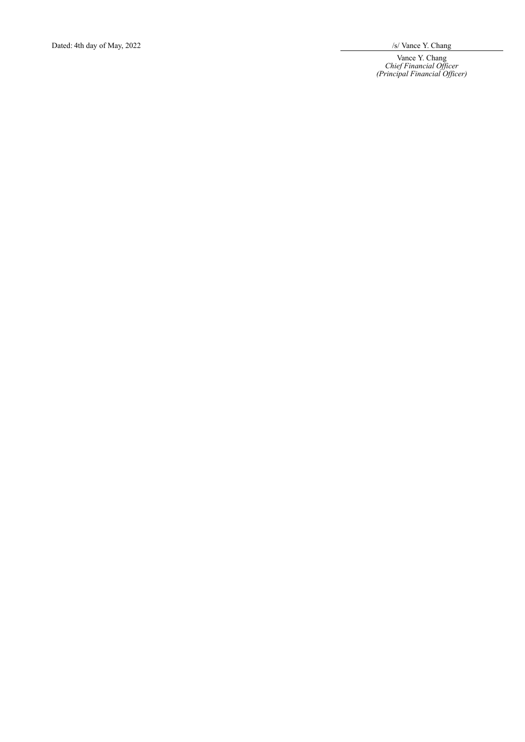Dated: 4th day of May, 2022

/s/ Vance Y. Chang

Vance Y. Chang *Chief* Financial Officer *(Principal Financial Officer)*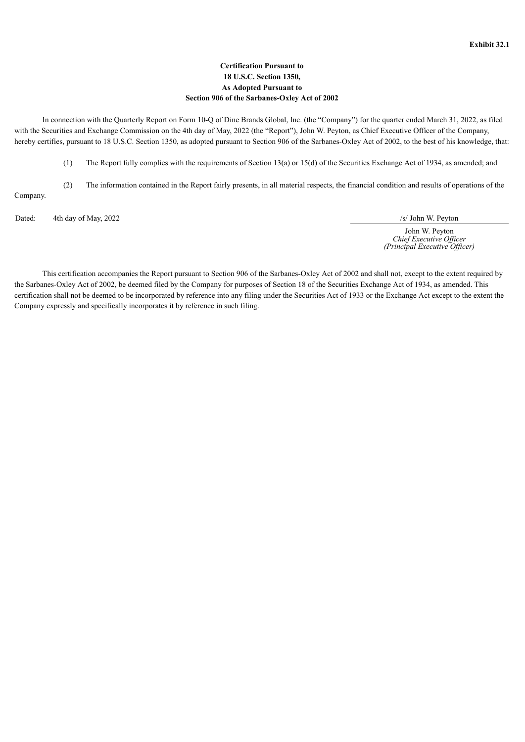# **Certification Pursuant to 18 U.S.C. Section 1350, As Adopted Pursuant to Section 906 of the Sarbanes-Oxley Act of 2002**

<span id="page-49-0"></span>In connection with the Quarterly Report on Form 10-Q of Dine Brands Global, Inc. (the "Company") for the quarter ended March 31, 2022, as filed with the Securities and Exchange Commission on the 4th day of May, 2022 (the "Report"), John W. Peyton, as Chief Executive Officer of the Company, hereby certifies, pursuant to 18 U.S.C. Section 1350, as adopted pursuant to Section 906 of the Sarbanes-Oxley Act of 2002, to the best of his knowledge, that:

(1) The Report fully complies with the requirements of Section 13(a) or 15(d) of the Securities Exchange Act of 1934, as amended; and

(2) The information contained in the Report fairly presents, in all material respects, the financial condition and results of operations of the

Company.

Dated: 4th day of May, 2022 /s/ John W. Peyton

John W. Peyton *Chief Executive Of icer (Principal Executive Of icer)*

This certification accompanies the Report pursuant to Section 906 of the Sarbanes-Oxley Act of 2002 and shall not, except to the extent required by the Sarbanes-Oxley Act of 2002, be deemed filed by the Company for purposes of Section 18 of the Securities Exchange Act of 1934, as amended. This certification shall not be deemed to be incorporated by reference into any filing under the Securities Act of 1933 or the Exchange Act except to the extent the Company expressly and specifically incorporates it by reference in such filing.